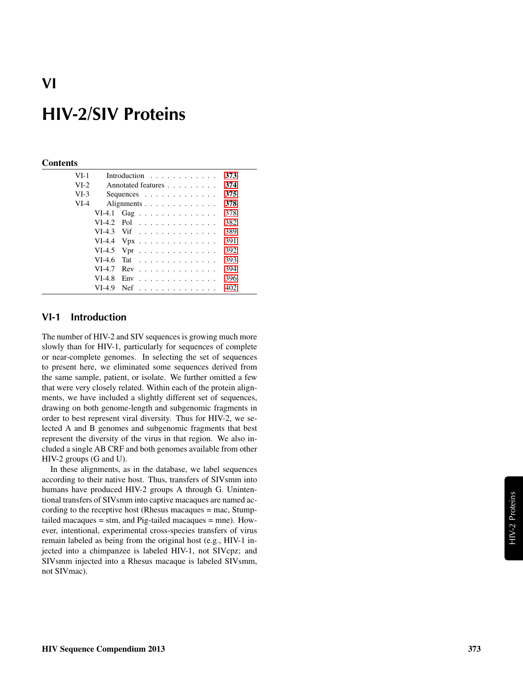#### **Contents**

| $VI-1$ |          | Introduction $\ldots$ ,                       | 373 |
|--------|----------|-----------------------------------------------|-----|
| $VI-2$ |          | Annotated features                            | 374 |
| $VI-3$ |          | Sequences $\ldots$ $\ldots$ $\ldots$ $\ldots$ | 375 |
| $VI-4$ |          | Alignments                                    | 378 |
|        |          | VI-4.1 Gag                                    | 378 |
|        |          | $VI-4.2$ Pol                                  | 382 |
|        |          | $VI-4.3$ Vif                                  | 389 |
|        |          | VI-4.4 $Vpx$                                  | 391 |
|        |          | VI-4.5 Vpr $\dots \dots \dots \dots \dots$    | 392 |
|        | $VI-4.6$ | Tat                                           | 393 |
|        | $VI-4.7$ | $Rev \dots \dots \dots \dots \dots \dots$     | 394 |
|        | $VI-4.8$ | $Env$ ,,,,,,,,,,,,,,,,,                       | 396 |
|        | VI-4.9   | $Nef$                                         | 402 |
|        |          |                                               |     |

## <span id="page-0-0"></span>VI-1 Introduction

The number of HIV-2 and SIV sequences is growing much more slowly than for HIV-1, particularly for sequences of complete or near-complete genomes. In selecting the set of sequences to present here, we eliminated some sequences derived from the same sample, patient, or isolate. We further omitted a few that were very closely related. Within each of the protein alignments, we have included a slightly different set of sequences, drawing on both genome-length and subgenomic fragments in order to best represent viral diversity. Thus for HIV-2, we selected A and B genomes and subgenomic fragments that best represent the diversity of the virus in that region. We also included a single AB CRF and both genomes available from other HIV-2 groups (G and U).

In these alignments, as in the database, we label sequences according to their native host. Thus, transfers of SIVsmm into humans have produced HIV-2 groups A through G. Unintentional transfers of SIVsmm into captive macaques are named according to the receptive host (Rhesus macaques = mac, Stumptailed macaques = stm, and Pig-tailed macaques = mne). However, intentional, experimental cross-species transfers of virus remain labeled as being from the original host (e.g., HIV-1 injected into a chimpanzee is labeled HIV-1, not SIVcpz; and SIVsmm injected into a Rhesus macaque is labeled SIVsmm, not SIVmac).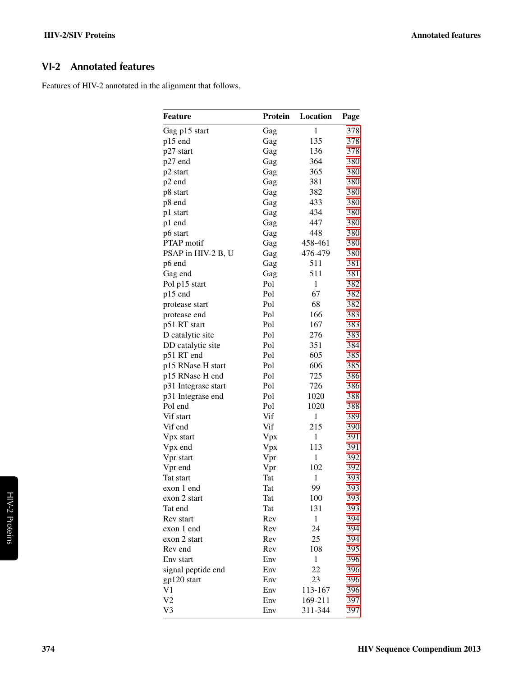# <span id="page-1-0"></span>VI-2 Annotated features

Features of HIV-2 annotated in the alignment that follows.

| <b>Feature</b>                 | Protein | Location     | Page |
|--------------------------------|---------|--------------|------|
| Gag p15 start                  | Gag     | $\mathbf{1}$ | 378  |
| p15 end                        | Gag     | 135          | 378  |
| p27 start                      | Gag     | 136          | 378  |
| p27 end                        | Gag     | 364          | 380  |
| p2 start                       | Gag     | 365          | 380  |
| p2 end                         | Gag     | 381          | 380  |
| p8 start                       | Gag     | 382          | 380  |
| p8 end                         | Gag     | 433          | 380  |
| p1 start                       | Gag     | 434          | 380  |
| p1 end                         | Gag     | 447          | 380  |
| p6 start                       | Gag     | 448          | 380  |
| <b>PTAP</b> motif              | Gag     | 458-461      | 380  |
| PSAP in HIV-2 B, U             | Gag     | 476-479      | 380  |
| p6 end                         | Gag     | 511          | 381  |
| Gag end                        | Gag     | 511          | 381  |
| Pol p15 start                  | Pol     | $\mathbf{1}$ | 382  |
| p15 end                        | Pol     | 67           | 382  |
|                                | Pol     | 68           | 382  |
| protease start<br>protease end | Pol     | 166          | 383  |
| p51 RT start                   | Pol     | 167          | 383  |
|                                |         |              |      |
| D catalytic site               | Pol     | 276          | 383  |
| DD catalytic site              | Pol     | 351          | 384  |
| p51 RT end                     | Pol     | 605          | 385  |
| p15 RNase H start              | Pol     | 606          | 385  |
| p15 RNase H end                | Pol     | 725          | 386  |
| p31 Integrase start            | Pol     | 726          | 386  |
| p31 Integrase end              | Pol     | 1020         | 388  |
| Pol end                        | Pol     | 1020         | 388  |
| Vif start                      | Vif     | 1            | 389  |
| Vif end                        | Vif     | 215          | 390  |
| Vpx start                      | Vpx     | $\mathbf{1}$ | 391  |
| Vpx end                        | Vpx     | 113          | 391  |
| Vpr start                      | Vpr     | 1            | 392  |
| Vpr end                        | Vpr     | 102          | 392  |
| Tat start                      | Tat     | $\mathbf{1}$ | 393  |
| exon 1 end                     | Tat     | 99           | 393  |
| exon 2 start                   | Tat     | 100          | 393  |
| Tat end                        | Tat     | 131          | 393  |
| Rev start                      | Rev     | 1            | 394  |
| exon 1 end                     | Rev     | 24           | 394  |
| exon 2 start                   | Rev     | 25           | 394  |
| Rev end                        | Rev     | 108          | 395  |
| Env start                      | Env     | 1            | 396  |
| signal peptide end             | Env     | 22           | 396  |
| gp120 start                    | Env     | 23           | 396  |
| V1                             | Env     | 113-167      | 396  |
| V <sub>2</sub>                 | Env     | 169-211      | 397  |
| V3                             | Env     | 311-344      | 397  |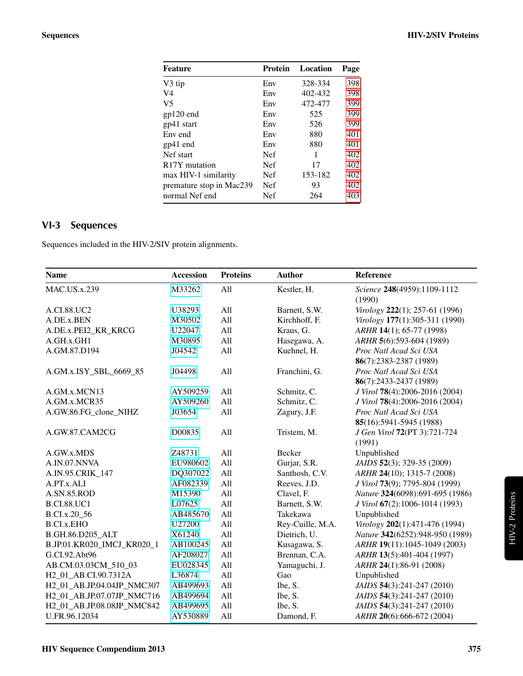| <b>Feature</b>             | Protein    | Location | Page |
|----------------------------|------------|----------|------|
| V3 tip                     | Env        | 328-334  | 398  |
| V4                         | Env        | 402-432  | 398  |
| V <sub>5</sub>             | Env        | 472-477  | 399  |
| gp120 end                  | Env        | 525      | 399  |
| gp41 start                 | Env        | 526      | 399  |
| Env end                    | Env        | 880      | 401  |
| gp41 end                   | Env        | 880      | 401  |
| Nef start                  | <b>Nef</b> | 1        | 402  |
| R <sub>17</sub> Y mutation | <b>Nef</b> | 17       | 402  |
| max HIV-1 similarity       | <b>Nef</b> | 153-182  | 402  |
| premature stop in Mac239   | <b>Nef</b> | 93       | 402  |
| normal Nef end             | Nef        | 264      | 403  |
|                            |            |          |      |

# <span id="page-2-0"></span>VI-3 Sequences

Sequences included in the HIV-2/SIV protein alignments.

| <b>Name</b>                       | <b>Accession</b> | <b>Proteins</b> | <b>Author</b>    | Reference                       |
|-----------------------------------|------------------|-----------------|------------------|---------------------------------|
| <b>MAC.US.x.239</b>               | M33262           | All             | Kestler, H.      | Science 248(4959):1109-1112     |
|                                   |                  |                 |                  | (1990)                          |
| A.CI.88.UC2                       | U38293           | All             | Barnett, S.W.    | Virology 222(1); 257-61 (1996)  |
| A.DE.x.BEN                        | M30502           | All             | Kirchhoff, F.    | Virology 177(1):305-311 (1990)  |
| A.DE.x.PEI2_KR_KRCG               | U22047           | All             | Kraus, G.        | ARHR 14(1); 65-77 (1998)        |
| A.GH.x.GH1                        | M30895           | All             | Hasegawa, A.     | ARHR 5(6):593-604 (1989)        |
| A.GM.87.D194                      | J04542           | All             | Kuehnel, H.      | Proc Natl Acad Sci USA          |
|                                   |                  |                 |                  | 86(7):2383-2387 (1989)          |
| A.GM.x.ISY_SBL_6669_85            | J04498           | All             | Franchini, G.    | Proc Natl Acad Sci USA          |
|                                   |                  |                 |                  | 86(7):2433-2437 (1989)          |
| A.GM.x.MCN13                      | AY509259         | All             | Schmitz, C.      | J Virol 78(4):2006-2016 (2004)  |
| A.GM.x.MCR35                      | AY509260         | All             | Schmitz, C.      | J Virol 78(4):2006-2016 (2004)  |
| A.GW.86.FG_clone_NIHZ             | J03654           | All             | Zagury, J.F.     | Proc Natl Acad Sci USA          |
|                                   |                  |                 |                  | 85(16):5941-5945 (1988)         |
| A.GW.87.CAM2CG                    | D00835           | All             | Tristem, M.      | J Gen Virol 72(PT 3):721-724    |
|                                   |                  |                 |                  | (1991)                          |
| A.GW.x.MDS                        | Z48731           | All             | Becker           | Unpublished                     |
| A.IN.07.NNVA                      | EU980602         | All             | Gurjar, S.R.     | JAIDS 52(3); 329-35 (2009)      |
| A.IN.95.CRIK_147                  | DQ307022         | All             | Santhosh, C.V.   | ARHR 24(10); 1315-7 (2008)      |
| A.PT.x.ALI                        | AF082339         | All             | Reeves, J.D.     | J Virol 73(9); 7795-804 (1999)  |
| A.SN.85.ROD                       | M15390           | All             | Clavel, F.       | Nature 324(6098):691-695 (1986) |
| <b>B.CI.88.UC1</b>                | L07625           | All             | Barnett, S.W.    | J Virol 67(2):1006-1014 (1993)  |
| B.CI.x.20_56                      | AB485670         | All             | Takekawa         | Unpublished                     |
| <b>B.CI.x.EHO</b>                 | U27200           | All             | Rey-Cuille, M.A. | Virology 202(1):471-476 (1994)  |
| B.GH.86.D205_ALT                  | X61240           | All             | Dietrich, U.     | Nature 342(6252):948-950 (1989) |
| B.JP.01.KR020_IMCJ_KR020_1        | AB100245         | All             | Kusagawa, S.     | ARHR 19(11):1045-1049 (2003)    |
| G.CI.92.Abt96                     | AF208027         | All             | Brennan, C.A.    | ARHR 13(5):401-404 (1997)       |
| AB.CM.03.03CM_510_03              | EU028345         | All             | Yamaguchi, J.    | ARHR 24(1):86-91 (2008)         |
| H <sub>2_01_AB</sub> .CI.90.7312A | L36874           | All             | Gao              | Unpublished                     |
| H2_01_AB.JP.04.04JP_NMC307        | AB499693         | All             | Ibe, S.          | JAIDS 54(3):241-247 (2010)      |
| H2_01_AB.JP.07.07JP_NMC716        | AB499694         | All             | Ibe, S.          | JAIDS 54(3):241-247 (2010)      |
| H2_01_AB.JP.08.08JP_NMC842        | AB499695         | All             | Ibe, S.          | JAIDS 54(3):241-247 (2010)      |
| U.FR.96.12034                     | AY530889         | All             | Damond, F.       | ARHR 20(6):666-672 (2004)       |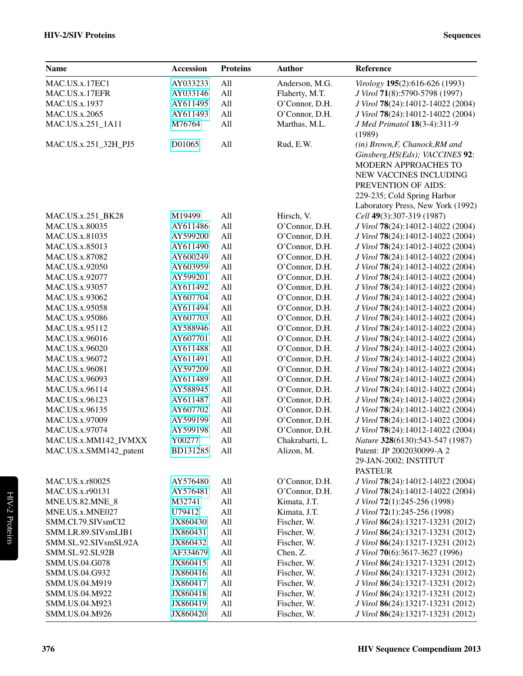## HIV-2/SIV Proteins Sequences

| <b>Name</b>            | <b>Accession</b> | <b>Proteins</b> | <b>Author</b>   | Reference                                                                                                                                                                                                                    |
|------------------------|------------------|-----------------|-----------------|------------------------------------------------------------------------------------------------------------------------------------------------------------------------------------------------------------------------------|
| MAC.US.x.17EC1         | AY033233         | All             | Anderson, M.G.  | Virology 195(2):616-626 (1993)                                                                                                                                                                                               |
| MAC.US.x.17EFR         | AY033146         | All             | Flaherty, M.T.  | J Virol 71(8):5790-5798 (1997)                                                                                                                                                                                               |
| <b>MAC.US.x.1937</b>   | AY611495         | All             | O'Connor, D.H.  | J Virol 78(24):14012-14022 (2004)                                                                                                                                                                                            |
| MAC.US.x.2065          | AY611493         | All             | O'Connor, D.H.  | J Virol 78(24):14012-14022 (2004)                                                                                                                                                                                            |
| MAC.US.x.251_1A11      | M76764           | All             | Marthas, M.L.   | J Med Primatol 18(3-4):311-9                                                                                                                                                                                                 |
|                        |                  |                 |                 | (1989)                                                                                                                                                                                                                       |
| MAC.US.x.251_32H_PJ5   | D01065           | All             | Rud, E.W.       | (in) Brown, F, Chanock, RM and<br>Ginsberg, HS(Eds); VACCINES 92:<br><b>MODERN APPROACHES TO</b><br><b>NEW VACCINES INCLUDING</b><br>PREVENTION OF AIDS:<br>229-235; Cold Spring Harbor<br>Laboratory Press, New York (1992) |
| MAC.US.x.251_BK28      | M19499           | All             | Hirsch, V.      | Cell 49(3):307-319 (1987)                                                                                                                                                                                                    |
| MAC.US.x.80035         | AY611486         | All             | O'Connor, D.H.  | J Virol 78(24):14012-14022 (2004)                                                                                                                                                                                            |
| MAC.US.x.81035         | AY599200         | All             | O'Connor, D.H.  | J Virol 78(24):14012-14022 (2004)                                                                                                                                                                                            |
| MAC.US.x.85013         | AY611490         | All             | O'Connor, D.H.  | J Virol 78(24):14012-14022 (2004)                                                                                                                                                                                            |
| MAC.US.x.87082         | AY600249         | All             | O'Connor, D.H.  | J Virol 78(24):14012-14022 (2004)                                                                                                                                                                                            |
| MAC.US.x.92050         | AY603959         | All             | O'Connor, D.H.  | J Virol 78(24):14012-14022 (2004)                                                                                                                                                                                            |
| MAC.US.x.92077         | AY599201         | All             | O'Connor, D.H.  | J Virol 78(24):14012-14022 (2004)                                                                                                                                                                                            |
| MAC.US.x.93057         | AY611492         | All             | O'Connor, D.H.  | J Virol 78(24):14012-14022 (2004)                                                                                                                                                                                            |
| MAC.US.x.93062         | AY607704         | All             | O'Connor, D.H.  | J Virol 78(24):14012-14022 (2004)                                                                                                                                                                                            |
| MAC.US.x.95058         | AY611494         | All             | O'Connor, D.H.  | J Virol 78(24):14012-14022 (2004)                                                                                                                                                                                            |
| MAC.US.x.95086         | AY607703         | All             | O'Connor, D.H.  | J Virol 78(24):14012-14022 (2004)                                                                                                                                                                                            |
| MAC.US.x.95112         | AY588946         | All             | O'Connor, D.H.  | J Virol 78(24):14012-14022 (2004)                                                                                                                                                                                            |
| MAC.US.x.96016         | AY607701         | All             | O'Connor, D.H.  | J Virol 78(24):14012-14022 (2004)                                                                                                                                                                                            |
| MAC.US.x.96020         | AY611488         | All             | O'Connor, D.H.  | J Virol 78(24):14012-14022 (2004)                                                                                                                                                                                            |
| MAC.US.x.96072         | AY611491         | All             | O'Connor, D.H.  | J Virol 78(24):14012-14022 (2004)                                                                                                                                                                                            |
| MAC.US.x.96081         | AY597209         | All             | O'Connor, D.H.  | J Virol 78(24):14012-14022 (2004)                                                                                                                                                                                            |
| MAC.US.x.96093         | AY611489         | All             | O'Connor, D.H.  | J Virol 78(24):14012-14022 (2004)                                                                                                                                                                                            |
| MAC.US.x.96114         | AY588945         | All             | O'Connor, D.H.  | J Virol 78(24):14012-14022 (2004)                                                                                                                                                                                            |
| MAC.US.x.96123         | AY611487         | All             | O'Connor, D.H.  | J Virol 78(24):14012-14022 (2004)                                                                                                                                                                                            |
| MAC.US.x.96135         | AY607702         | All             | O'Connor, D.H.  | J Virol 78(24):14012-14022 (2004)                                                                                                                                                                                            |
| MAC.US.x.97009         | AY599199         | All             | O'Connor, D.H.  | J Virol 78(24):14012-14022 (2004)                                                                                                                                                                                            |
| MAC.US.x.97074         | AY599198         | All             | O'Connor, D.H.  | J Virol 78(24):14012-14022 (2004)                                                                                                                                                                                            |
| MAC.US.x.MM142_IVMXX   | Y00277           | All             | Chakrabarti, L. | Nature 328(6130):543-547 (1987)                                                                                                                                                                                              |
| MAC.US.x.SMM142_patent | BD131285         | All             | Alizon, M.      | Patent: JP 2002030099-A 2<br>29-JAN-2002; INSTITUT<br><b>PASTEUR</b>                                                                                                                                                         |
| MAC.US.x.r80025        | AY576480         | All             | O'Connor, D.H.  | J Virol 78(24):14012-14022 (2004)                                                                                                                                                                                            |
| MAC.US.x.r90131        | AY576481         | All             | O'Connor, D.H.  | J Virol 78(24):14012-14022 (2004)                                                                                                                                                                                            |
| MNE.US.82.MNE_8        | M32741           | All             | Kimata, J.T.    | J Virol 72(1):245-256 (1998)                                                                                                                                                                                                 |
| MNE.US.x.MNE027        | U79412           | All             | Kimata, J.T.    | J Virol 72(1):245-256 (1998)                                                                                                                                                                                                 |
| SMM.CI.79.SIVsmCI2     | JX860430         | All             | Fischer, W.     | J Virol 86(24):13217-13231 (2012)                                                                                                                                                                                            |
| SMM.LR.89.SIVsmLIB1    | JX860431         | All             | Fischer, W.     | J Virol 86(24):13217-13231 (2012)                                                                                                                                                                                            |
| SMM.SL.92.SIVsmSL92A   | JX860432         | All             | Fischer, W.     | J Virol 86(24):13217-13231 (2012)                                                                                                                                                                                            |
| SMM.SL.92.SL92B        | AF334679         | All             | Chen, Z.        | J Virol 70(6):3617-3627 (1996)                                                                                                                                                                                               |
| SMM.US.04.G078         | JX860415         | All             | Fischer, W.     | J Virol 86(24):13217-13231 (2012)                                                                                                                                                                                            |
| SMM.US.04.G932         | JX860416         | All             | Fischer, W.     | J Virol 86(24):13217-13231 (2012)                                                                                                                                                                                            |
| SMM.US.04.M919         | JX860417         | All             | Fischer, W.     | J Virol 86(24):13217-13231 (2012)                                                                                                                                                                                            |
| SMM.US.04.M922         | JX860418         | All             | Fischer, W.     | J Virol 86(24):13217-13231 (2012)                                                                                                                                                                                            |
| SMM.US.04.M923         | JX860419         | All             | Fischer, W.     | J Virol 86(24):13217-13231 (2012)                                                                                                                                                                                            |
| SMM.US.04.M926         | JX860420         | All             | Fischer, W.     | J Virol 86(24):13217-13231 (2012)                                                                                                                                                                                            |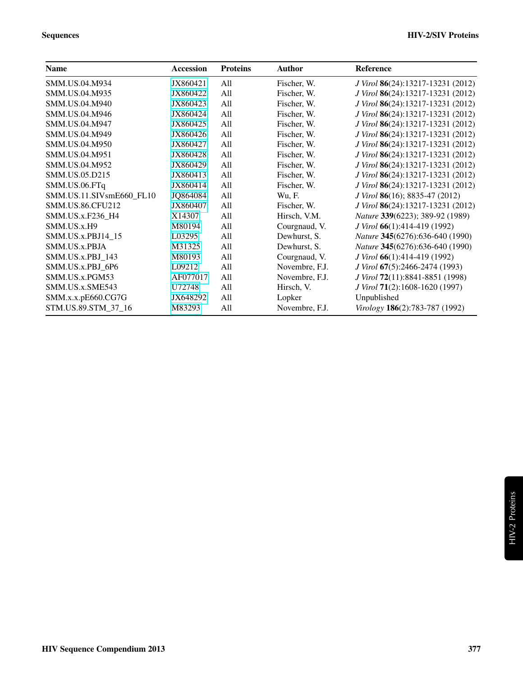| <b>Name</b>              | <b>Accession</b> | <b>Proteins</b> | <b>Author</b>  | Reference                         |
|--------------------------|------------------|-----------------|----------------|-----------------------------------|
| SMM.US.04.M934           | JX860421         | All             | Fischer, W.    | J Virol 86(24):13217-13231 (2012) |
| SMM.US.04.M935           | JX860422         | All             | Fischer, W.    | J Virol 86(24):13217-13231 (2012) |
| <b>SMM.US.04.M940</b>    | JX860423         | All             | Fischer, W.    | J Virol 86(24):13217-13231 (2012) |
| SMM.US.04.M946           | JX860424         | All             | Fischer, W.    | J Virol 86(24):13217-13231 (2012) |
| SMM.US.04.M947           | JX860425         | All             | Fischer, W.    | J Virol 86(24):13217-13231 (2012) |
| SMM.US.04.M949           | JX860426         | All             | Fischer, W.    | J Virol 86(24):13217-13231 (2012) |
| SMM.US.04.M950           | JX860427         | All             | Fischer, W.    | J Virol 86(24):13217-13231 (2012) |
| SMM.US.04.M951           | JX860428         | All             | Fischer, W.    | J Virol 86(24):13217-13231 (2012) |
| SMM.US.04.M952           | JX860429         | All             | Fischer, W.    | J Virol 86(24):13217-13231 (2012) |
| SMM.US.05.D215           | JX860413         | All             | Fischer, W.    | J Virol 86(24):13217-13231 (2012) |
| SMM.US.06.FTq            | JX860414         | All             | Fischer, W.    | J Virol 86(24):13217-13231 (2012) |
| SMM.US.11.SIVsmE660_FL10 | JQ864084         | All             | Wu, F.         | J Virol 86(16); 8835-47 (2012)    |
| <b>SMM.US.86.CFU212</b>  | JX860407         | All             | Fischer, W.    | J Virol 86(24):13217-13231 (2012) |
| SMM.US.x.F236 H4         | X14307           | All             | Hirsch, V.M.   | Nature 339(6223); 389-92 (1989)   |
| SMM.US.x.H9              | M80194           | All             | Courgnaud, V.  | J Virol 66(1):414-419 (1992)      |
| SMM.US.x.PBJ14 15        | L03295           | All             | Dewhurst, S.   | Nature 345(6276):636-640 (1990)   |
| SMM.US.x.PBJA            | M31325           | All             | Dewhurst, S.   | Nature 345(6276):636-640 (1990)   |
| SMM.US.x.PBJ 143         | M80193           | All             | Courgnaud, V.  | J Virol 66(1):414-419 (1992)      |
| SMM.US.x.PBJ 6P6         | L09212           | All             | Novembre, F.J. | J Virol 67(5):2466-2474 (1993)    |
| SMM.US.x.PGM53           | AF077017         | All             | Novembre, F.J. | J Virol 72(11):8841-8851 (1998)   |
| SMM.US.x.SME543          | U72748           | All             | Hirsch, V.     | J Virol 71(2):1608-1620 (1997)    |
| SMM.x.x.pE660.CG7G       | JX648292         | All             | Lopker         | Unpublished                       |
| STM.US.89.STM_37_16      | M83293           | All             | Novembre, F.J. | Virology 186(2):783-787 (1992)    |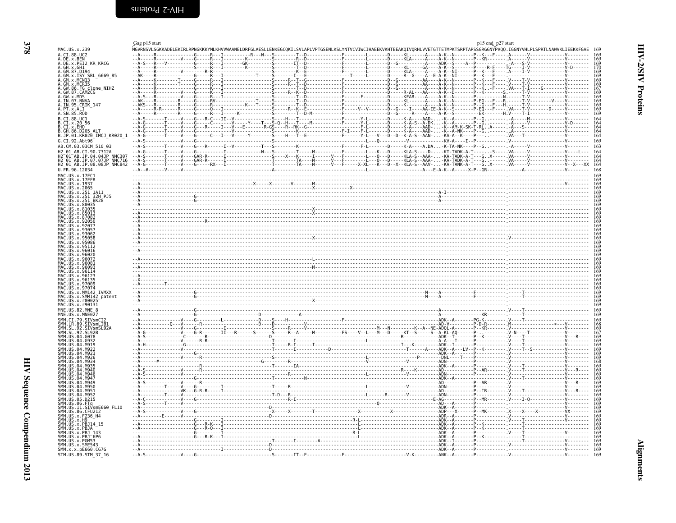<span id="page-5-2"></span><span id="page-5-1"></span><span id="page-5-0"></span>

| MAC.US.x.239                                                                                                                                                                       | Gag p15 start<br>MGVRNSVLSGKKADELEKIRLRPNGKKKYMLKHVVWAANELDRFGLAESLLENKEGCOKILSVLAPLVPTGSENLKSLYNTVCVIWCIHAEEKVKHTEEAKOIVORHLVVETGTTETMPKTSRPTAPSSGRGGNYPVOO.IGGNYVHLPLSPRTLNAWVKLIEEKKFGAE 169                                                                                                                                                                                                                                                                                                  | p15 end_p27 start |
|------------------------------------------------------------------------------------------------------------------------------------------------------------------------------------|--------------------------------------------------------------------------------------------------------------------------------------------------------------------------------------------------------------------------------------------------------------------------------------------------------------------------------------------------------------------------------------------------------------------------------------------------------------------------------------------------|-------------------|
| A.CI.88.UC2<br>A.DE.x.BEN                                                                                                                                                          |                                                                                                                                                                                                                                                                                                                                                                                                                                                                                                  |                   |
| A.DE.x.PEI2_KR_KRCG                                                                                                                                                                |                                                                                                                                                                                                                                                                                                                                                                                                                                                                                                  |                   |
| A. GH. x. FELL - M.<br>A. GH. x. GH1<br>A. GM. x. ISY<br>A. GM. x. ISY<br>A. GM. x. MCN13<br>A. GM. x. MCR35<br>A. GW. 86. FG clone_NIHZ<br>A. GW. 87. CAM2CG<br>A. GW. 87. CAM2CG |                                                                                                                                                                                                                                                                                                                                                                                                                                                                                                  |                   |
|                                                                                                                                                                                    |                                                                                                                                                                                                                                                                                                                                                                                                                                                                                                  |                   |
|                                                                                                                                                                                    |                                                                                                                                                                                                                                                                                                                                                                                                                                                                                                  |                   |
| A.GW.X.MDS<br>A.IN.07.NNVA                                                                                                                                                         |                                                                                                                                                                                                                                                                                                                                                                                                                                                                                                  |                   |
| A.IN.95.CRIK_147<br>A.PT.x.ALI<br>A.SN.85.ROD                                                                                                                                      |                                                                                                                                                                                                                                                                                                                                                                                                                                                                                                  |                   |
| B.CI.88.UC1<br>B.CI.x.20 56                                                                                                                                                        |                                                                                                                                                                                                                                                                                                                                                                                                                                                                                                  |                   |
| B.CI.x.EHO<br>B.GH.86.D205 ALT                                                                                                                                                     |                                                                                                                                                                                                                                                                                                                                                                                                                                                                                                  |                   |
| B.JP.01.KR020 IMCJ KR020 1<br>G.CI.92.Abt96                                                                                                                                        | $\begin{minipage}[t]{.35\textwidth}\begin{minipage}[t]{0.99\textwidth}\begin{minipage}[t]{0.99\textwidth}\begin{minipage}[t]{0.99\textwidth}\begin{minipage}[t]{0.99\textwidth}\begin{minipage}[t]{0.99\textwidth}\begin{minipage}[t]{0.99\textwidth}\begin{minipage}[t]{0.99\textwidth}\begin{minipage}[t]{0.99\textwidth}\begin{minipage}[t]{0.99\textwidth}\begin{minipage}[t]{0.99\textwidth}\begin{minipage}[t]{0.99\textwidth}\begin{minipage}[t]{0.99\textwidth}\begin{minipage}[t]{0.99$ |                   |
| AB.CM.03.03CM 510 03                                                                                                                                                               |                                                                                                                                                                                                                                                                                                                                                                                                                                                                                                  |                   |
| AB.CI.90.7312A<br>H2 01<br>-AB.JP.04.04JP NMC307<br>-AB.JP.07.07JP NMC716                                                                                                          | $-4.6$<br>$-6.4$<br>$-6.4$<br>$-6.4$<br>$-6.4$<br>$-6.4$<br>$-6.4$<br>$-6.4$<br>$-6.4$<br>$-6.4$<br>$-6.4$<br>$-6.4$<br>$-6.4$<br>$-6.4$<br>$-6.4$<br>$-6.4$<br>$-6.4$<br>$-6.4$<br>$-6.4$<br>$-6.4$<br>$-6.4$<br>$-6.4$<br>$-6.4$<br>$-6.4$<br>$-6.4$<br>$-6.4$<br>$-6.4$<br>$-6.4$                                                                                                                                                                                                             |                   |
| H2 <sup>-01-AB.JP.08.08JP-NMC842</sup>                                                                                                                                             |                                                                                                                                                                                                                                                                                                                                                                                                                                                                                                  |                   |
| U.FR.96.12034                                                                                                                                                                      |                                                                                                                                                                                                                                                                                                                                                                                                                                                                                                  |                   |
| MAC.US.x.17EC1<br>MAC.US.x.17EFR<br>.US.x.1937                                                                                                                                     |                                                                                                                                                                                                                                                                                                                                                                                                                                                                                                  |                   |
| .US.x.2065<br>MAC.US.x.251_1A11                                                                                                                                                    |                                                                                                                                                                                                                                                                                                                                                                                                                                                                                                  |                   |
| MAC.US.x.251 32H PJ5<br>MAC.US.x.251 <sup>-</sup> BK28                                                                                                                             |                                                                                                                                                                                                                                                                                                                                                                                                                                                                                                  |                   |
| US.x.80035<br>.US.x.81035                                                                                                                                                          |                                                                                                                                                                                                                                                                                                                                                                                                                                                                                                  |                   |
| US.x.85013<br>US.x.87082                                                                                                                                                           |                                                                                                                                                                                                                                                                                                                                                                                                                                                                                                  |                   |
| .x.92050<br>US.x.9207<br>US.x.9305                                                                                                                                                 |                                                                                                                                                                                                                                                                                                                                                                                                                                                                                                  |                   |
| IIS x 9306                                                                                                                                                                         |                                                                                                                                                                                                                                                                                                                                                                                                                                                                                                  |                   |
| US.x.95086                                                                                                                                                                         |                                                                                                                                                                                                                                                                                                                                                                                                                                                                                                  |                   |
| MAC.US.x.96016<br>US.x.96020                                                                                                                                                       |                                                                                                                                                                                                                                                                                                                                                                                                                                                                                                  |                   |
| MAC.US.x.96072<br>MAC US x 96081                                                                                                                                                   |                                                                                                                                                                                                                                                                                                                                                                                                                                                                                                  |                   |
| MAC.US.x.96093<br>US.x.96114                                                                                                                                                       |                                                                                                                                                                                                                                                                                                                                                                                                                                                                                                  |                   |
| MAC.US.x.96123<br>MAC.US.x.96135                                                                                                                                                   |                                                                                                                                                                                                                                                                                                                                                                                                                                                                                                  |                   |
| MAC.US.x.97009<br>MAC.US.x.97074<br>US.x.MM142 IVMXX                                                                                                                               |                                                                                                                                                                                                                                                                                                                                                                                                                                                                                                  |                   |
| US.x.SMM142_patent<br>JS.x.r8002                                                                                                                                                   |                                                                                                                                                                                                                                                                                                                                                                                                                                                                                                  |                   |
| MAC.US.x.r90131<br>MNE.US.82.MNE 8                                                                                                                                                 |                                                                                                                                                                                                                                                                                                                                                                                                                                                                                                  |                   |
| MNE.US.x.MNE027<br>SMM.CI.79.SIVsmCI2                                                                                                                                              |                                                                                                                                                                                                                                                                                                                                                                                                                                                                                                  |                   |
| LR.89.SIVSMLIB1<br>SL.92.SIVSMSL92A                                                                                                                                                |                                                                                                                                                                                                                                                                                                                                                                                                                                                                                                  |                   |
| SMM. SL. 92. SL92B<br>SMM.US.04.G078<br>.04.6078                                                                                                                                   |                                                                                                                                                                                                                                                                                                                                                                                                                                                                                                  |                   |
| SMM.US.04.G932<br>SMM.US.04.M919                                                                                                                                                   |                                                                                                                                                                                                                                                                                                                                                                                                                                                                                                  |                   |
| SMM IIS<br>.04.0922<br>SMM.US<br>04.M923                                                                                                                                           |                                                                                                                                                                                                                                                                                                                                                                                                                                                                                                  |                   |
| <b>SMM 11S</b><br>04 M926<br>SMM IIS<br>04 M934                                                                                                                                    |                                                                                                                                                                                                                                                                                                                                                                                                                                                                                                  |                   |
| <b>SMM 11S</b><br>.04.M935<br>SMM.US<br>.04.M940                                                                                                                                   |                                                                                                                                                                                                                                                                                                                                                                                                                                                                                                  |                   |
| SMM.US<br>SMM.US<br>.04.M946<br>$.04.$ M947<br>$.04.$ M949                                                                                                                         |                                                                                                                                                                                                                                                                                                                                                                                                                                                                                                  |                   |
| SMM.US<br>SMM.US<br>$.04.$ M950<br>04 M951                                                                                                                                         |                                                                                                                                                                                                                                                                                                                                                                                                                                                                                                  |                   |
| SMM.US<br>04 M953<br>.05.0215                                                                                                                                                      |                                                                                                                                                                                                                                                                                                                                                                                                                                                                                                  |                   |
| .06. FTa<br>SMM.US.11.SIVsmE660 FL10                                                                                                                                               |                                                                                                                                                                                                                                                                                                                                                                                                                                                                                                  |                   |
| SMM.US.86.CFU212<br>SMM.US.x.F236 H4                                                                                                                                               |                                                                                                                                                                                                                                                                                                                                                                                                                                                                                                  |                   |
| $SMM. \, \overline{US}$ . $\times$ . $\overline{H9}$<br>SMM.US.x.PBJ14 15                                                                                                          |                                                                                                                                                                                                                                                                                                                                                                                                                                                                                                  |                   |
| SMM.US.x.PBJA<br>SMM.US.x.PBJ 143                                                                                                                                                  |                                                                                                                                                                                                                                                                                                                                                                                                                                                                                                  |                   |
| SMM.US.x.PBJ 6P6<br>SMM.US.x.PGM53                                                                                                                                                 |                                                                                                                                                                                                                                                                                                                                                                                                                                                                                                  |                   |
| SMM.US.x.SME543<br>SMM.x.x.pE660.CG7G                                                                                                                                              |                                                                                                                                                                                                                                                                                                                                                                                                                                                                                                  |                   |
| STM.US.89.STM 37 16                                                                                                                                                                |                                                                                                                                                                                                                                                                                                                                                                                                                                                                                                  |                   |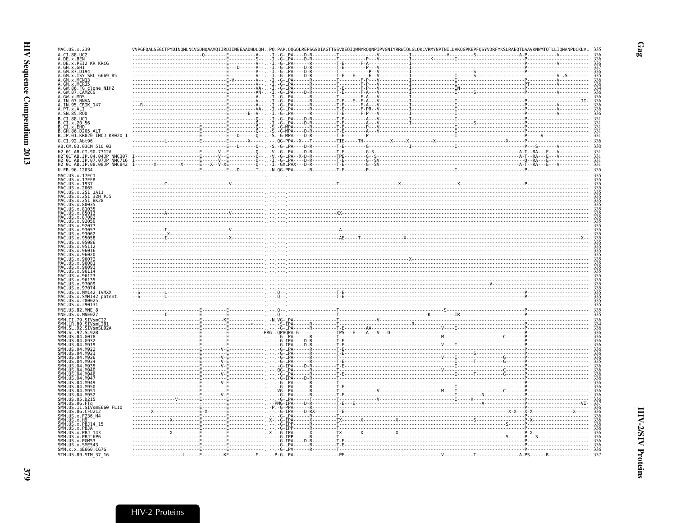| MAC.US.x.239                                               |                                     |                                                                                                                                                                                                                                                          |  |
|------------------------------------------------------------|-------------------------------------|----------------------------------------------------------------------------------------------------------------------------------------------------------------------------------------------------------------------------------------------------------|--|
| A.CI.88.UC2                                                |                                     | ME. M. R. (2018)<br>A. D. R. (2019)<br>A. D. R. (2019)<br>A. D. R. (2019)<br>A. D. R. (2019)<br>A. D. R. (2019)<br>A. D. R. (2019)<br>A. D. R. (2019)<br>A. D. R. (2019)<br>A. D. R. (2019)<br>A. D. R. (2019)<br>A. D. R. (2019)<br>A. D. R. (2019)<br> |  |
|                                                            |                                     |                                                                                                                                                                                                                                                          |  |
|                                                            |                                     |                                                                                                                                                                                                                                                          |  |
|                                                            |                                     |                                                                                                                                                                                                                                                          |  |
|                                                            |                                     |                                                                                                                                                                                                                                                          |  |
|                                                            |                                     |                                                                                                                                                                                                                                                          |  |
|                                                            |                                     |                                                                                                                                                                                                                                                          |  |
|                                                            |                                     |                                                                                                                                                                                                                                                          |  |
|                                                            |                                     |                                                                                                                                                                                                                                                          |  |
|                                                            |                                     |                                                                                                                                                                                                                                                          |  |
|                                                            |                                     |                                                                                                                                                                                                                                                          |  |
|                                                            |                                     |                                                                                                                                                                                                                                                          |  |
|                                                            |                                     |                                                                                                                                                                                                                                                          |  |
|                                                            |                                     |                                                                                                                                                                                                                                                          |  |
|                                                            |                                     |                                                                                                                                                                                                                                                          |  |
|                                                            |                                     |                                                                                                                                                                                                                                                          |  |
|                                                            |                                     |                                                                                                                                                                                                                                                          |  |
|                                                            |                                     |                                                                                                                                                                                                                                                          |  |
|                                                            |                                     |                                                                                                                                                                                                                                                          |  |
| MAC.US.x.17EC1                                             |                                     |                                                                                                                                                                                                                                                          |  |
| MAC.US.x.17EER<br>MAC. US. x. 1937                         |                                     |                                                                                                                                                                                                                                                          |  |
| MAC. US. x. 2065                                           |                                     |                                                                                                                                                                                                                                                          |  |
| MAC.US.x.251_1A11<br>MAC.<br>US.x.251 <sup>-</sup> 32H PJ5 |                                     |                                                                                                                                                                                                                                                          |  |
| MAC US x 251 BK28                                          |                                     |                                                                                                                                                                                                                                                          |  |
| МАС<br>US.x.80035<br><b>US</b><br>.x.81035                 |                                     |                                                                                                                                                                                                                                                          |  |
| MAC<br>MAC<br>.x.85013                                     |                                     | $\frac{1}{2}$                                                                                                                                                                                                                                            |  |
| MAC.<br>.us<br>87082                                       |                                     |                                                                                                                                                                                                                                                          |  |
|                                                            |                                     |                                                                                                                                                                                                                                                          |  |
|                                                            |                                     | $\frac{1}{2}$                                                                                                                                                                                                                                            |  |
|                                                            |                                     |                                                                                                                                                                                                                                                          |  |
|                                                            |                                     |                                                                                                                                                                                                                                                          |  |
|                                                            |                                     |                                                                                                                                                                                                                                                          |  |
|                                                            |                                     |                                                                                                                                                                                                                                                          |  |
|                                                            |                                     |                                                                                                                                                                                                                                                          |  |
|                                                            |                                     |                                                                                                                                                                                                                                                          |  |
|                                                            |                                     |                                                                                                                                                                                                                                                          |  |
|                                                            |                                     |                                                                                                                                                                                                                                                          |  |
| US.x.MM142 IVMXX                                           |                                     |                                                                                                                                                                                                                                                          |  |
| MAC.US.x.SMM142_patent                                     |                                     |                                                                                                                                                                                                                                                          |  |
| MAC.US.x.r8002                                             |                                     |                                                                                                                                                                                                                                                          |  |
| MAC.US.x.r90131<br>MNE.US.82.MNE                           |                                     | $\frac{1}{2}$                                                                                                                                                                                                                                            |  |
| MNE.US.x.MNE027                                            |                                     |                                                                                                                                                                                                                                                          |  |
| SMM.CI.79.SIVsmCI2                                         |                                     |                                                                                                                                                                                                                                                          |  |
| SMM.LR.89.SIVsmLIB1<br>SMM. SL<br>.92.SIVsmSL92A           |                                     |                                                                                                                                                                                                                                                          |  |
| SMM.<br>. SL                                               |                                     |                                                                                                                                                                                                                                                          |  |
|                                                            |                                     |                                                                                                                                                                                                                                                          |  |
|                                                            |                                     |                                                                                                                                                                                                                                                          |  |
|                                                            |                                     |                                                                                                                                                                                                                                                          |  |
|                                                            |                                     |                                                                                                                                                                                                                                                          |  |
|                                                            |                                     |                                                                                                                                                                                                                                                          |  |
|                                                            |                                     |                                                                                                                                                                                                                                                          |  |
|                                                            |                                     |                                                                                                                                                                                                                                                          |  |
|                                                            |                                     |                                                                                                                                                                                                                                                          |  |
|                                                            |                                     |                                                                                                                                                                                                                                                          |  |
|                                                            |                                     |                                                                                                                                                                                                                                                          |  |
|                                                            |                                     |                                                                                                                                                                                                                                                          |  |
| SIVsmE660 FL10                                             |                                     |                                                                                                                                                                                                                                                          |  |
|                                                            |                                     |                                                                                                                                                                                                                                                          |  |
|                                                            |                                     |                                                                                                                                                                                                                                                          |  |
|                                                            |                                     |                                                                                                                                                                                                                                                          |  |
| SMM.US.x.PBJ 143<br>SMM.US.x.PBJ <sup>-</sup> 6P6          |                                     |                                                                                                                                                                                                                                                          |  |
| SMM.US.x.PGM53                                             |                                     |                                                                                                                                                                                                                                                          |  |
| SMM.US.x.SME543<br>SMM.x.x.pE660.CG7G                      | $-G-LPV$                            |                                                                                                                                                                                                                                                          |  |
| STM.US.89.STM 37 16                                        | -----KE------------------- P-G-LPA- |                                                                                                                                                                                                                                                          |  |
|                                                            |                                     |                                                                                                                                                                                                                                                          |  |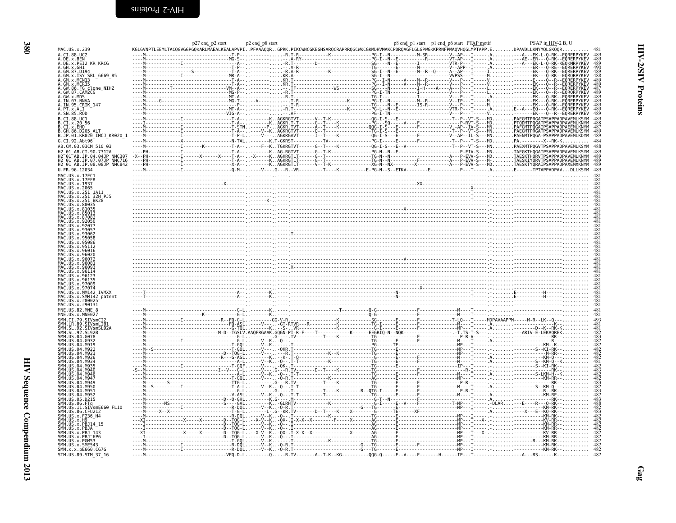<span id="page-7-0"></span>

|                                                                               | $p27$ end $p2$ start | p2 end_p8 start |  | p8 end p1 start p1 end p6 start PTAP motif | PSAP in HIV-2 B, U |
|-------------------------------------------------------------------------------|----------------------|-----------------|--|--------------------------------------------|--------------------|
| MAC.US.x.239                                                                  |                      |                 |  |                                            |                    |
| .CI.88.UC2                                                                    |                      |                 |  |                                            |                    |
|                                                                               |                      |                 |  |                                            |                    |
| .DE.x.PEI2 KR KRCG<br>GH.x.GH1                                                |                      |                 |  |                                            |                    |
| 4.GM.87.D194                                                                  |                      |                 |  |                                            |                    |
| GM.x.ISY SBL 6669 85                                                          |                      |                 |  |                                            |                    |
| GM.x.MCN13<br>GM.x.MCN13<br>GM.x.MCR35<br>GW.86.FG clone_NIHZ<br>GW.87.CAM2CG |                      |                 |  |                                            |                    |
|                                                                               |                      |                 |  |                                            |                    |
|                                                                               |                      |                 |  |                                            |                    |
| .GW.x.MDS                                                                     |                      |                 |  |                                            |                    |
| <br>A.IN.07.NNVA<br>A.IN.95.CRIK 147                                          |                      |                 |  |                                            |                    |
|                                                                               |                      |                 |  |                                            |                    |
|                                                                               |                      |                 |  |                                            |                    |
| B.CI.88.UC1                                                                   |                      |                 |  |                                            |                    |
| B.CT.x.20 56                                                                  |                      |                 |  |                                            |                    |
|                                                                               |                      |                 |  |                                            |                    |
| B.GH.86.D205 ALT                                                              |                      |                 |  |                                            |                    |
| B.JP.01.KR020_IMCJ_KR020_1                                                    |                      |                 |  |                                            |                    |
| G.CI.92.Abt96                                                                 |                      |                 |  |                                            |                    |
| AB.CM.03.03CM 510 03                                                          |                      |                 |  |                                            |                    |
|                                                                               |                      |                 |  |                                            |                    |
|                                                                               |                      |                 |  |                                            |                    |
| H2 <sup>-</sup> 01 <sup>-</sup> AB.JP.08.08JP <sup>-</sup> NMC842             |                      |                 |  |                                            |                    |
|                                                                               |                      |                 |  |                                            |                    |
|                                                                               |                      |                 |  |                                            |                    |
|                                                                               |                      |                 |  |                                            |                    |
|                                                                               |                      |                 |  |                                            |                    |
|                                                                               |                      |                 |  |                                            |                    |
| 251 <sup>-</sup> 32H PJ5                                                      |                      |                 |  |                                            |                    |
|                                                                               |                      |                 |  |                                            |                    |
|                                                                               |                      |                 |  |                                            |                    |
|                                                                               |                      |                 |  |                                            |                    |
|                                                                               |                      |                 |  |                                            |                    |
|                                                                               |                      |                 |  |                                            |                    |
|                                                                               |                      |                 |  |                                            |                    |
|                                                                               |                      |                 |  |                                            |                    |
|                                                                               |                      |                 |  |                                            |                    |
|                                                                               |                      |                 |  |                                            |                    |
|                                                                               |                      |                 |  |                                            |                    |
|                                                                               |                      |                 |  |                                            |                    |
|                                                                               |                      |                 |  |                                            |                    |
|                                                                               |                      |                 |  |                                            |                    |
|                                                                               |                      |                 |  |                                            |                    |
|                                                                               |                      |                 |  |                                            |                    |
|                                                                               |                      |                 |  |                                            |                    |
|                                                                               |                      |                 |  |                                            |                    |
|                                                                               |                      |                 |  |                                            |                    |
|                                                                               |                      |                 |  |                                            |                    |
|                                                                               |                      |                 |  |                                            |                    |
| SMM142 patent                                                                 |                      |                 |  |                                            |                    |
|                                                                               |                      |                 |  |                                            |                    |
|                                                                               |                      |                 |  |                                            |                    |
|                                                                               |                      |                 |  |                                            |                    |
|                                                                               |                      |                 |  |                                            |                    |
|                                                                               |                      |                 |  |                                            |                    |
|                                                                               |                      |                 |  |                                            |                    |
|                                                                               |                      |                 |  |                                            |                    |
|                                                                               |                      |                 |  |                                            |                    |
|                                                                               |                      |                 |  |                                            |                    |
|                                                                               |                      |                 |  |                                            |                    |
|                                                                               |                      |                 |  |                                            |                    |
|                                                                               |                      |                 |  |                                            |                    |
|                                                                               |                      |                 |  |                                            |                    |
|                                                                               |                      |                 |  |                                            |                    |
|                                                                               |                      |                 |  |                                            |                    |
|                                                                               |                      |                 |  |                                            |                    |
|                                                                               |                      |                 |  |                                            |                    |
|                                                                               |                      |                 |  |                                            |                    |
|                                                                               |                      |                 |  |                                            |                    |
|                                                                               |                      |                 |  |                                            |                    |
|                                                                               |                      |                 |  |                                            |                    |
| SIVsmE660 FL10<br>S.86.CFU212                                                 |                      |                 |  |                                            |                    |
|                                                                               |                      |                 |  |                                            |                    |
|                                                                               |                      |                 |  |                                            |                    |
|                                                                               |                      |                 |  |                                            |                    |
|                                                                               |                      |                 |  |                                            |                    |
|                                                                               |                      |                 |  |                                            |                    |
|                                                                               |                      |                 |  |                                            |                    |
| MM.US.x.SME543                                                                |                      |                 |  |                                            |                    |
| SMM.x.x.pE660.CG7G<br>STM.US.89.STM 37 16                                     |                      |                 |  |                                            |                    |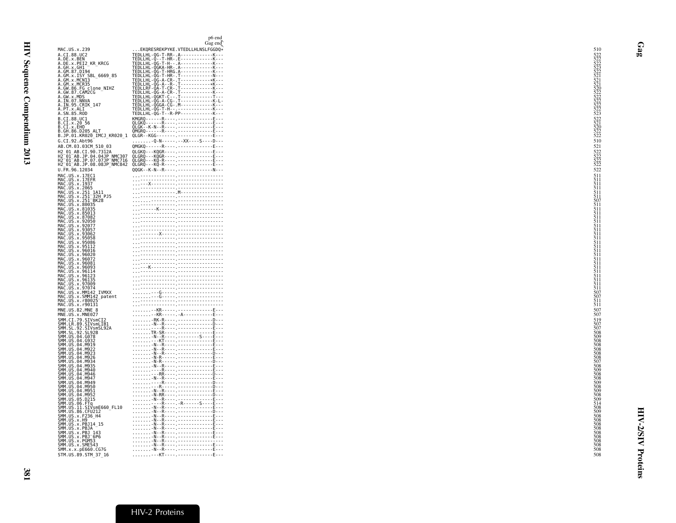<span id="page-8-0"></span>

|                                                                                                                                                               | p6 end<br>Gag end                                                                                                                                                                                                                                                                                                                                                   |  |
|---------------------------------------------------------------------------------------------------------------------------------------------------------------|---------------------------------------------------------------------------------------------------------------------------------------------------------------------------------------------------------------------------------------------------------------------------------------------------------------------------------------------------------------------|--|
| MAC.US.x.239                                                                                                                                                  | EKQRESREKPYKE. VTEDLLHLNSLFGGDQ*                                                                                                                                                                                                                                                                                                                                    |  |
| A.CI.88.UC2                                                                                                                                                   |                                                                                                                                                                                                                                                                                                                                                                     |  |
| A.DE.x.BEN<br>A.DE.x.PEI2_KR_KRCG                                                                                                                             |                                                                                                                                                                                                                                                                                                                                                                     |  |
| A.GH.X.GH1 -<br>A.GM.87.D194                                                                                                                                  |                                                                                                                                                                                                                                                                                                                                                                     |  |
|                                                                                                                                                               |                                                                                                                                                                                                                                                                                                                                                                     |  |
| A.GM.x.MCR35<br><br>A.GW.86.FG clone_NIHZ<br>A.GW.87.CAM2CG                                                                                                   |                                                                                                                                                                                                                                                                                                                                                                     |  |
|                                                                                                                                                               |                                                                                                                                                                                                                                                                                                                                                                     |  |
| A.GW.x.MDS<br>A.GW.x.MDS<br>A.IN.07.NNVA<br>A.IN.95.CRIK_147<br>A.PT.x.ALI_                                                                                   |                                                                                                                                                                                                                                                                                                                                                                     |  |
|                                                                                                                                                               |                                                                                                                                                                                                                                                                                                                                                                     |  |
| A.SN.85.ROD<br>B.CI.88.UC1                                                                                                                                    |                                                                                                                                                                                                                                                                                                                                                                     |  |
| B.CI.x.20 56<br>B.CI.x.EHO                                                                                                                                    |                                                                                                                                                                                                                                                                                                                                                                     |  |
| <b>B.GH.86.D205 ALT</b>                                                                                                                                       |                                                                                                                                                                                                                                                                                                                                                                     |  |
| B.JP.01.KR020 IMCJ KR020 1<br>G.CI.92.Abt96                                                                                                                   | . - Q - N - - - - - . - - XX - - - - S - - - - D - - -                                                                                                                                                                                                                                                                                                              |  |
| AB.CM.03.03CM 510 03                                                                                                                                          | QMGKQ------R----.--------------E---                                                                                                                                                                                                                                                                                                                                 |  |
| н2 01 AB.CI.90.7312A<br>H2 01 AB.CI.90.7312A<br>H2 01 AB.JP.04.04JP NMC307<br>H2 01 AB.JP.07.07JP NMC716<br>H2 01 AB.JP.08.08JP NMC842                        |                                                                                                                                                                                                                                                                                                                                                                     |  |
|                                                                                                                                                               |                                                                                                                                                                                                                                                                                                                                                                     |  |
| U.FR.96.12034                                                                                                                                                 |                                                                                                                                                                                                                                                                                                                                                                     |  |
| MAC.US.x.17EC1                                                                                                                                                |                                                                                                                                                                                                                                                                                                                                                                     |  |
| MAC.US.x.17EFR<br>MAC.US.x.1937                                                                                                                               |                                                                                                                                                                                                                                                                                                                                                                     |  |
| MAC.US.x.2065<br>MAC.US.x.251_1A11                                                                                                                            |                                                                                                                                                                                                                                                                                                                                                                     |  |
|                                                                                                                                                               |                                                                                                                                                                                                                                                                                                                                                                     |  |
| MAC.US.x.231 DM<br>MAC.US.x.80035<br>MAC.US.x.81035<br>MAC.US.x.87082<br>MAC.US.x.92050<br>MAC.US.x.92057<br>MAC.US.x.93057                                   |                                                                                                                                                                                                                                                                                                                                                                     |  |
|                                                                                                                                                               |                                                                                                                                                                                                                                                                                                                                                                     |  |
|                                                                                                                                                               |                                                                                                                                                                                                                                                                                                                                                                     |  |
|                                                                                                                                                               |                                                                                                                                                                                                                                                                                                                                                                     |  |
|                                                                                                                                                               |                                                                                                                                                                                                                                                                                                                                                                     |  |
| MAC.US.X.93057<br>MAC.US.x.93062<br>MAC.US.x.95058<br>MAC.US.x.95086                                                                                          |                                                                                                                                                                                                                                                                                                                                                                     |  |
| MAC.US.x.95112<br>MAC.US.x.96016                                                                                                                              |                                                                                                                                                                                                                                                                                                                                                                     |  |
| MAC.US.x.96020<br>MAC.US.x.96072                                                                                                                              |                                                                                                                                                                                                                                                                                                                                                                     |  |
| MAC.US.x.9602<br>MAC.US.x.96091<br>MAC.US.x.96093<br>MAC.US.x.96123<br>MAC.US.x.96123<br>MAC.US.x.96125                                                       |                                                                                                                                                                                                                                                                                                                                                                     |  |
|                                                                                                                                                               |                                                                                                                                                                                                                                                                                                                                                                     |  |
|                                                                                                                                                               |                                                                                                                                                                                                                                                                                                                                                                     |  |
| MAČ.ŬŠ.x.97009<br>MAC.US.x.97074                                                                                                                              |                                                                                                                                                                                                                                                                                                                                                                     |  |
| MAC.US.x.MMI42 IVMXX<br>MAC.US.x.SMM142 patent                                                                                                                |                                                                                                                                                                                                                                                                                                                                                                     |  |
| MAC.US.x.r80025<br>MAC.US.x.r80025                                                                                                                            | $\begin{picture}(10,10) \put(0,0){\vector(1,0){100}} \put(10,0){\vector(1,0){100}} \put(10,0){\vector(1,0){100}} \put(10,0){\vector(1,0){100}} \put(10,0){\vector(1,0){100}} \put(10,0){\vector(1,0){100}} \put(10,0){\vector(1,0){100}} \put(10,0){\vector(1,0){100}} \put(10,0){\vector(1,0){100}} \put(10,0){\vector(1,0){100}} \put(10,0){\vector(1,0){100}} \$ |  |
| MNE.US.82.MNE_8                                                                                                                                               |                                                                                                                                                                                                                                                                                                                                                                     |  |
| MNE.US.x.MNE027                                                                                                                                               |                                                                                                                                                                                                                                                                                                                                                                     |  |
| <b>WINCE 2008 STVSMCT2<br/>SMM.CE.39.SIVSMLIB1<br/>SMM.SL.92.SIVSMSL92A<br/>SMM.SL.92.SL92B<br/>SMM.SL.94.SG78</b>                                            |                                                                                                                                                                                                                                                                                                                                                                     |  |
|                                                                                                                                                               |                                                                                                                                                                                                                                                                                                                                                                     |  |
| SMM. SL. 92. SL92<br>SMM. US. 04. G078<br>SMM. US. 04. G932<br>SMM. US. 04. M919                                                                              |                                                                                                                                                                                                                                                                                                                                                                     |  |
|                                                                                                                                                               |                                                                                                                                                                                                                                                                                                                                                                     |  |
| SMM.US.04.M922<br>SMM.US.04.M922<br>SMM.US.04.M926                                                                                                            |                                                                                                                                                                                                                                                                                                                                                                     |  |
| SMM.US.04.M934                                                                                                                                                |                                                                                                                                                                                                                                                                                                                                                                     |  |
| SMM.US.04.M935                                                                                                                                                |                                                                                                                                                                                                                                                                                                                                                                     |  |
|                                                                                                                                                               |                                                                                                                                                                                                                                                                                                                                                                     |  |
| SMM. US. 04. M935<br>SMM. US. 04. M940<br>SMM. US. 04. M946<br>SMM. US. 04. M947<br>SMM. US. 04. M950<br>SMM. US. 04. M951<br>SMM. US. 04. M952               |                                                                                                                                                                                                                                                                                                                                                                     |  |
|                                                                                                                                                               |                                                                                                                                                                                                                                                                                                                                                                     |  |
| SMM. UŠ. 04. M952                                                                                                                                             |                                                                                                                                                                                                                                                                                                                                                                     |  |
|                                                                                                                                                               |                                                                                                                                                                                                                                                                                                                                                                     |  |
|                                                                                                                                                               |                                                                                                                                                                                                                                                                                                                                                                     |  |
| SMM.US.04.M952<br>SMM.US.05.D215<br>SMM.US.06.FTq<br>SMM.US.11.SIVSmE660_FL10<br>SMM.US.36.CFU212<br>SMM.US.x.H9<br>SMM.US.x.H9<br>SMM.US.x.H9<br>SMM.US.x.H9 |                                                                                                                                                                                                                                                                                                                                                                     |  |
| SMM.US.x.PBJA                                                                                                                                                 |                                                                                                                                                                                                                                                                                                                                                                     |  |
|                                                                                                                                                               |                                                                                                                                                                                                                                                                                                                                                                     |  |
| SMM . US . x . PBJ .<br>143<br>SMM . US . x . PBJ . 143<br>SMM . US . x . PGM53<br>SMM . US . x . SME543<br>SMM . x . x . pE660 . CG7G                        |                                                                                                                                                                                                                                                                                                                                                                     |  |
|                                                                                                                                                               |                                                                                                                                                                                                                                                                                                                                                                     |  |
| STM.US.89.STM_37_16                                                                                                                                           | --KT----.-------------E---                                                                                                                                                                                                                                                                                                                                          |  |
|                                                                                                                                                               |                                                                                                                                                                                                                                                                                                                                                                     |  |

# HIV-2 Proteins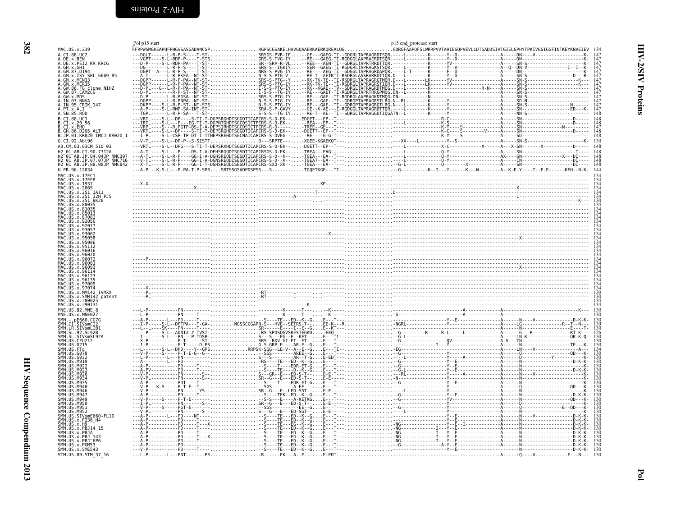<span id="page-9-1"></span><span id="page-9-0"></span>

|                                                                                                                                                                                                                                                                                                                                                                                                                                      | Pol p15 start |                                                                                                                                                                                                                                                                                                                                                                                                                                                                                                                 | p15 end protease start |  |
|--------------------------------------------------------------------------------------------------------------------------------------------------------------------------------------------------------------------------------------------------------------------------------------------------------------------------------------------------------------------------------------------------------------------------------------|---------------|-----------------------------------------------------------------------------------------------------------------------------------------------------------------------------------------------------------------------------------------------------------------------------------------------------------------------------------------------------------------------------------------------------------------------------------------------------------------------------------------------------------------|------------------------|--|
| MAC.US.x.239                                                                                                                                                                                                                                                                                                                                                                                                                         |               | FFRPWSMGKEAPQFPHGSSASGADANCSPRGPSCGSAKELHAVGQAAERKAERKQREALQGGDRGFÄAPQFSLWRRPVVTAHIEGQPVEVLLDTGADDSIVTGIELGPHYTPKIVGGIGGFINTKEYKNVEIEV 134<br>$\begin{tabular}{@{}c@{\textbf{F}}{FPRP+GNP+GROGGADR} \textbf{FPRP+GSPGGADR} \textbf{FPRP+GSPGCDR} \textbf{FPRP+GSPGCDR} \textbf{FPRP+GSPGCDR} \textbf{FPRP+GSPGCDR} \textbf{FPRP+GSPGCDR} \textbf{FPRP+GSPGCDR} \textbf{FPRP+GSPGCDR} \textbf{FPRP+GSPGCDR} \textbf{FPRP+GSPGCDR} \textbf{FPRP+GSPGCDR} \textbf{FPRP+GSPGCDR} \textbf{FPRP+GSPGCDR} \textbf{FPR$ |                        |  |
| A.CI.88.UC2<br>A.DE.x.BEN                                                                                                                                                                                                                                                                                                                                                                                                            |               |                                                                                                                                                                                                                                                                                                                                                                                                                                                                                                                 |                        |  |
| A.DE.X.PEI2 KR KRCG                                                                                                                                                                                                                                                                                                                                                                                                                  |               |                                                                                                                                                                                                                                                                                                                                                                                                                                                                                                                 |                        |  |
| A.GH.x.GH1<br>A.GM.87.D194                                                                                                                                                                                                                                                                                                                                                                                                           |               |                                                                                                                                                                                                                                                                                                                                                                                                                                                                                                                 |                        |  |
| A.GM.x.ISY SBL 6669 85                                                                                                                                                                                                                                                                                                                                                                                                               |               |                                                                                                                                                                                                                                                                                                                                                                                                                                                                                                                 |                        |  |
| A.GM.X.MCN13                                                                                                                                                                                                                                                                                                                                                                                                                         |               |                                                                                                                                                                                                                                                                                                                                                                                                                                                                                                                 |                        |  |
| A.GM.x.MCR35                                                                                                                                                                                                                                                                                                                                                                                                                         |               |                                                                                                                                                                                                                                                                                                                                                                                                                                                                                                                 |                        |  |
| A.GW.86.FG clone_NIHZ<br>A.GW.87.CAM2CG                                                                                                                                                                                                                                                                                                                                                                                              |               |                                                                                                                                                                                                                                                                                                                                                                                                                                                                                                                 |                        |  |
| A.GW.x.MDS                                                                                                                                                                                                                                                                                                                                                                                                                           |               |                                                                                                                                                                                                                                                                                                                                                                                                                                                                                                                 |                        |  |
| A.IN.07.NNVA<br>A.IN.95.CRIK 147                                                                                                                                                                                                                                                                                                                                                                                                     |               |                                                                                                                                                                                                                                                                                                                                                                                                                                                                                                                 |                        |  |
| A.PT.x.ALT                                                                                                                                                                                                                                                                                                                                                                                                                           |               |                                                                                                                                                                                                                                                                                                                                                                                                                                                                                                                 |                        |  |
| A.SN.85.ROD                                                                                                                                                                                                                                                                                                                                                                                                                          |               |                                                                                                                                                                                                                                                                                                                                                                                                                                                                                                                 |                        |  |
| B.CI.88.UC1<br>.CI.x.20 56                                                                                                                                                                                                                                                                                                                                                                                                           |               |                                                                                                                                                                                                                                                                                                                                                                                                                                                                                                                 |                        |  |
| .CI.x.EHO                                                                                                                                                                                                                                                                                                                                                                                                                            |               |                                                                                                                                                                                                                                                                                                                                                                                                                                                                                                                 |                        |  |
| .GH.86.D205 ALT                                                                                                                                                                                                                                                                                                                                                                                                                      |               |                                                                                                                                                                                                                                                                                                                                                                                                                                                                                                                 |                        |  |
| B.JP.01.KR020_IMCJ_KR020_1                                                                                                                                                                                                                                                                                                                                                                                                           |               |                                                                                                                                                                                                                                                                                                                                                                                                                                                                                                                 |                        |  |
| G.CI.92.Abt96                                                                                                                                                                                                                                                                                                                                                                                                                        |               |                                                                                                                                                                                                                                                                                                                                                                                                                                                                                                                 |                        |  |
| AB.CM.03.03CM 510 03                                                                                                                                                                                                                                                                                                                                                                                                                 |               |                                                                                                                                                                                                                                                                                                                                                                                                                                                                                                                 |                        |  |
| H2 01 AB.CI.90.7312A                                                                                                                                                                                                                                                                                                                                                                                                                 |               |                                                                                                                                                                                                                                                                                                                                                                                                                                                                                                                 |                        |  |
| H2-01-AB.JP.04.04JP<br>H2-01-AB.JP.04.04JP NMC307<br>H2-01-AB.JP.07.07JP NMC716<br>H2_01_AB.JP.08.08JP_NMC842                                                                                                                                                                                                                                                                                                                        |               |                                                                                                                                                                                                                                                                                                                                                                                                                                                                                                                 |                        |  |
|                                                                                                                                                                                                                                                                                                                                                                                                                                      |               |                                                                                                                                                                                                                                                                                                                                                                                                                                                                                                                 |                        |  |
| U.FR.96.12034                                                                                                                                                                                                                                                                                                                                                                                                                        |               |                                                                                                                                                                                                                                                                                                                                                                                                                                                                                                                 |                        |  |
| MAC.US.x.17EC1<br>MAC.US.x.17EFR                                                                                                                                                                                                                                                                                                                                                                                                     |               |                                                                                                                                                                                                                                                                                                                                                                                                                                                                                                                 |                        |  |
|                                                                                                                                                                                                                                                                                                                                                                                                                                      |               |                                                                                                                                                                                                                                                                                                                                                                                                                                                                                                                 |                        |  |
| MAC. US. x. 1937<br>MAC. US. x. 2065                                                                                                                                                                                                                                                                                                                                                                                                 |               |                                                                                                                                                                                                                                                                                                                                                                                                                                                                                                                 |                        |  |
| MAC.US.x.251 1A11                                                                                                                                                                                                                                                                                                                                                                                                                    |               |                                                                                                                                                                                                                                                                                                                                                                                                                                                                                                                 |                        |  |
| MAC.US.x.251-32H PJ5<br>MAC.US.x.251-BK28                                                                                                                                                                                                                                                                                                                                                                                            |               |                                                                                                                                                                                                                                                                                                                                                                                                                                                                                                                 |                        |  |
| MAC.US.x.80035                                                                                                                                                                                                                                                                                                                                                                                                                       |               |                                                                                                                                                                                                                                                                                                                                                                                                                                                                                                                 |                        |  |
| MAC.US.x.81035                                                                                                                                                                                                                                                                                                                                                                                                                       |               |                                                                                                                                                                                                                                                                                                                                                                                                                                                                                                                 |                        |  |
| MAC.US.x.87082                                                                                                                                                                                                                                                                                                                                                                                                                       |               |                                                                                                                                                                                                                                                                                                                                                                                                                                                                                                                 |                        |  |
|                                                                                                                                                                                                                                                                                                                                                                                                                                      |               |                                                                                                                                                                                                                                                                                                                                                                                                                                                                                                                 |                        |  |
|                                                                                                                                                                                                                                                                                                                                                                                                                                      |               |                                                                                                                                                                                                                                                                                                                                                                                                                                                                                                                 |                        |  |
|                                                                                                                                                                                                                                                                                                                                                                                                                                      |               |                                                                                                                                                                                                                                                                                                                                                                                                                                                                                                                 |                        |  |
|                                                                                                                                                                                                                                                                                                                                                                                                                                      |               |                                                                                                                                                                                                                                                                                                                                                                                                                                                                                                                 |                        |  |
|                                                                                                                                                                                                                                                                                                                                                                                                                                      |               |                                                                                                                                                                                                                                                                                                                                                                                                                                                                                                                 |                        |  |
|                                                                                                                                                                                                                                                                                                                                                                                                                                      |               |                                                                                                                                                                                                                                                                                                                                                                                                                                                                                                                 |                        |  |
|                                                                                                                                                                                                                                                                                                                                                                                                                                      |               |                                                                                                                                                                                                                                                                                                                                                                                                                                                                                                                 |                        |  |
|                                                                                                                                                                                                                                                                                                                                                                                                                                      |               |                                                                                                                                                                                                                                                                                                                                                                                                                                                                                                                 |                        |  |
|                                                                                                                                                                                                                                                                                                                                                                                                                                      |               |                                                                                                                                                                                                                                                                                                                                                                                                                                                                                                                 |                        |  |
|                                                                                                                                                                                                                                                                                                                                                                                                                                      |               |                                                                                                                                                                                                                                                                                                                                                                                                                                                                                                                 |                        |  |
|                                                                                                                                                                                                                                                                                                                                                                                                                                      |               |                                                                                                                                                                                                                                                                                                                                                                                                                                                                                                                 |                        |  |
|                                                                                                                                                                                                                                                                                                                                                                                                                                      |               |                                                                                                                                                                                                                                                                                                                                                                                                                                                                                                                 |                        |  |
|                                                                                                                                                                                                                                                                                                                                                                                                                                      |               |                                                                                                                                                                                                                                                                                                                                                                                                                                                                                                                 |                        |  |
|                                                                                                                                                                                                                                                                                                                                                                                                                                      |               |                                                                                                                                                                                                                                                                                                                                                                                                                                                                                                                 |                        |  |
| US.x.MM142 IVMXX                                                                                                                                                                                                                                                                                                                                                                                                                     |               |                                                                                                                                                                                                                                                                                                                                                                                                                                                                                                                 |                        |  |
|                                                                                                                                                                                                                                                                                                                                                                                                                                      |               |                                                                                                                                                                                                                                                                                                                                                                                                                                                                                                                 |                        |  |
| .US.x.r8002                                                                                                                                                                                                                                                                                                                                                                                                                          |               |                                                                                                                                                                                                                                                                                                                                                                                                                                                                                                                 |                        |  |
|                                                                                                                                                                                                                                                                                                                                                                                                                                      |               |                                                                                                                                                                                                                                                                                                                                                                                                                                                                                                                 |                        |  |
|                                                                                                                                                                                                                                                                                                                                                                                                                                      |               |                                                                                                                                                                                                                                                                                                                                                                                                                                                                                                                 |                        |  |
|                                                                                                                                                                                                                                                                                                                                                                                                                                      |               |                                                                                                                                                                                                                                                                                                                                                                                                                                                                                                                 |                        |  |
|                                                                                                                                                                                                                                                                                                                                                                                                                                      |               |                                                                                                                                                                                                                                                                                                                                                                                                                                                                                                                 |                        |  |
|                                                                                                                                                                                                                                                                                                                                                                                                                                      |               |                                                                                                                                                                                                                                                                                                                                                                                                                                                                                                                 |                        |  |
| .SIVsmSL92A                                                                                                                                                                                                                                                                                                                                                                                                                          |               |                                                                                                                                                                                                                                                                                                                                                                                                                                                                                                                 |                        |  |
|                                                                                                                                                                                                                                                                                                                                                                                                                                      |               |                                                                                                                                                                                                                                                                                                                                                                                                                                                                                                                 |                        |  |
|                                                                                                                                                                                                                                                                                                                                                                                                                                      |               |                                                                                                                                                                                                                                                                                                                                                                                                                                                                                                                 |                        |  |
|                                                                                                                                                                                                                                                                                                                                                                                                                                      |               |                                                                                                                                                                                                                                                                                                                                                                                                                                                                                                                 |                        |  |
| MQ19                                                                                                                                                                                                                                                                                                                                                                                                                                 |               |                                                                                                                                                                                                                                                                                                                                                                                                                                                                                                                 |                        |  |
|                                                                                                                                                                                                                                                                                                                                                                                                                                      |               |                                                                                                                                                                                                                                                                                                                                                                                                                                                                                                                 |                        |  |
|                                                                                                                                                                                                                                                                                                                                                                                                                                      |               |                                                                                                                                                                                                                                                                                                                                                                                                                                                                                                                 |                        |  |
|                                                                                                                                                                                                                                                                                                                                                                                                                                      |               |                                                                                                                                                                                                                                                                                                                                                                                                                                                                                                                 |                        |  |
|                                                                                                                                                                                                                                                                                                                                                                                                                                      |               |                                                                                                                                                                                                                                                                                                                                                                                                                                                                                                                 |                        |  |
|                                                                                                                                                                                                                                                                                                                                                                                                                                      |               |                                                                                                                                                                                                                                                                                                                                                                                                                                                                                                                 |                        |  |
| MA7                                                                                                                                                                                                                                                                                                                                                                                                                                  |               |                                                                                                                                                                                                                                                                                                                                                                                                                                                                                                                 |                        |  |
|                                                                                                                                                                                                                                                                                                                                                                                                                                      |               |                                                                                                                                                                                                                                                                                                                                                                                                                                                                                                                 |                        |  |
| M950                                                                                                                                                                                                                                                                                                                                                                                                                                 |               |                                                                                                                                                                                                                                                                                                                                                                                                                                                                                                                 |                        |  |
| . M951                                                                                                                                                                                                                                                                                                                                                                                                                               |               |                                                                                                                                                                                                                                                                                                                                                                                                                                                                                                                 |                        |  |
|                                                                                                                                                                                                                                                                                                                                                                                                                                      |               |                                                                                                                                                                                                                                                                                                                                                                                                                                                                                                                 |                        |  |
|                                                                                                                                                                                                                                                                                                                                                                                                                                      |               |                                                                                                                                                                                                                                                                                                                                                                                                                                                                                                                 |                        |  |
|                                                                                                                                                                                                                                                                                                                                                                                                                                      |               |                                                                                                                                                                                                                                                                                                                                                                                                                                                                                                                 |                        |  |
|                                                                                                                                                                                                                                                                                                                                                                                                                                      |               |                                                                                                                                                                                                                                                                                                                                                                                                                                                                                                                 |                        |  |
|                                                                                                                                                                                                                                                                                                                                                                                                                                      |               |                                                                                                                                                                                                                                                                                                                                                                                                                                                                                                                 |                        |  |
| MAC.US.x.SMM142 patent<br>MAC.US.x.r90131<br>MNE.US.82.MNE 8<br>MNE.US.x.MNE027<br>SMM. - . pE660.CG7G<br>SMM.CI.SIVsmCI2<br>SMM.LR.SIVsmLIB1<br>SMM. LF. 31 SHUDDE<br>SMM. SL. 92. SL92B<br>SMM. US. CFU212<br>SMM. US. D215<br>SMM.US.PTg<br>SMM.US.FTg<br>SMM.US.G07<br>ŠMM.ŪS.SIVsmE660-FL10<br>SMM. US. x. F236 H4<br>SMM.US.x.H9<br>SMM. US. x. PBJ14 15<br>SMM.US.x.PBJA<br>SMM.US.x.PBJ 143<br>SMM.US.x.PBJ <sup>-</sup> 6P6 |               |                                                                                                                                                                                                                                                                                                                                                                                                                                                                                                                 |                        |  |
| SMM.US.x.PGM53<br>SMM.US.x.SME543                                                                                                                                                                                                                                                                                                                                                                                                    |               |                                                                                                                                                                                                                                                                                                                                                                                                                                                                                                                 |                        |  |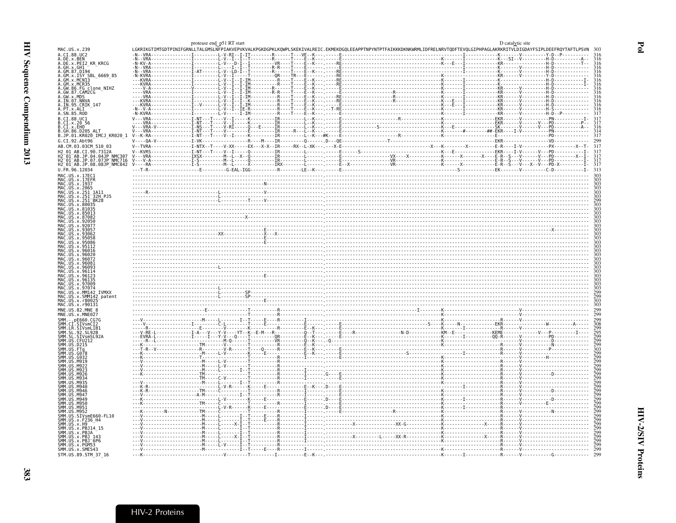<span id="page-10-0"></span>

|                                                                                                                                                                                                                                                                                                                                | protease end p51 RT start |  |  |                                                                                                                                                                                                                                   |  | D catalytic site |  |
|--------------------------------------------------------------------------------------------------------------------------------------------------------------------------------------------------------------------------------------------------------------------------------------------------------------------------------|---------------------------|--|--|-----------------------------------------------------------------------------------------------------------------------------------------------------------------------------------------------------------------------------------|--|------------------|--|
| MAC.US.x.239<br>A.CI.88.UC2                                                                                                                                                                                                                                                                                                    |                           |  |  | LGKRIKGTIMTGDTPINIFGRNLLTALGMSLNFPIAKVEPVKVALKPGKDGPKLKQWPLSKEKIVALREIC.EKMEKDGQLEEAPPTNPYNTPTFAIKKKDKWKRMLIDFRELNRVTQDFTEVQLGIPHPAGLAKRKRITVLDIGDAYFSIPLDEEFRQYTAFTLPSVN 303<br>-N--VRA---------------[-------L-V-RI--I-IT------ |  |                  |  |
| A.DE.x.BEN                                                                                                                                                                                                                                                                                                                     |                           |  |  |                                                                                                                                                                                                                                   |  |                  |  |
| A.DE.x.PEI2 KR KRCG<br>A.GH.x.GH1                                                                                                                                                                                                                                                                                              |                           |  |  |                                                                                                                                                                                                                                   |  |                  |  |
| A.GM.87.D194                                                                                                                                                                                                                                                                                                                   |                           |  |  |                                                                                                                                                                                                                                   |  |                  |  |
| .GM.x.ISY_SBL_6669_85                                                                                                                                                                                                                                                                                                          |                           |  |  |                                                                                                                                                                                                                                   |  |                  |  |
| A.GM.x.MCN13<br>A.GM.x.MCR35                                                                                                                                                                                                                                                                                                   |                           |  |  |                                                                                                                                                                                                                                   |  |                  |  |
| A.GW.86.FG<br>C.GW.86.FG<br>C.GW.87.CAM2CG<br>A.GW.X.MDS<br>A.IN.97.NNVA<br>A.IN.95.CRIK_147<br>A.FT.X.ALI<br>A.SN.85.ROD                                                                                                                                                                                                      |                           |  |  |                                                                                                                                                                                                                                   |  |                  |  |
|                                                                                                                                                                                                                                                                                                                                |                           |  |  |                                                                                                                                                                                                                                   |  |                  |  |
|                                                                                                                                                                                                                                                                                                                                |                           |  |  |                                                                                                                                                                                                                                   |  |                  |  |
|                                                                                                                                                                                                                                                                                                                                |                           |  |  |                                                                                                                                                                                                                                   |  |                  |  |
|                                                                                                                                                                                                                                                                                                                                |                           |  |  |                                                                                                                                                                                                                                   |  |                  |  |
| B.CI.88.UC1                                                                                                                                                                                                                                                                                                                    |                           |  |  |                                                                                                                                                                                                                                   |  |                  |  |
| B.CI.x.20 56<br>B.CI.x.20 56<br>B.CI.x.EHO<br>B.JP.01.KR020_IMCJ_KR020_1                                                                                                                                                                                                                                                       |                           |  |  |                                                                                                                                                                                                                                   |  |                  |  |
|                                                                                                                                                                                                                                                                                                                                |                           |  |  |                                                                                                                                                                                                                                   |  |                  |  |
|                                                                                                                                                                                                                                                                                                                                |                           |  |  |                                                                                                                                                                                                                                   |  |                  |  |
| G.CI.92.Abt96                                                                                                                                                                                                                                                                                                                  |                           |  |  |                                                                                                                                                                                                                                   |  |                  |  |
| AB.CM.03.03CM 510 03                                                                                                                                                                                                                                                                                                           |                           |  |  |                                                                                                                                                                                                                                   |  |                  |  |
|                                                                                                                                                                                                                                                                                                                                |                           |  |  |                                                                                                                                                                                                                                   |  |                  |  |
| -01 AB.JP.04.04JP NMC307<br>-01 AB.JP.07.07JP NMC716                                                                                                                                                                                                                                                                           |                           |  |  |                                                                                                                                                                                                                                   |  |                  |  |
| H2_01_AB.JP.08.08JP_NMC842                                                                                                                                                                                                                                                                                                     |                           |  |  |                                                                                                                                                                                                                                   |  |                  |  |
| U.FR.96.12034                                                                                                                                                                                                                                                                                                                  |                           |  |  |                                                                                                                                                                                                                                   |  |                  |  |
| MAC.US.x.17EC1                                                                                                                                                                                                                                                                                                                 |                           |  |  |                                                                                                                                                                                                                                   |  |                  |  |
| MAC.US.x.17EFR                                                                                                                                                                                                                                                                                                                 |                           |  |  |                                                                                                                                                                                                                                   |  |                  |  |
| MAC.US.x.1937                                                                                                                                                                                                                                                                                                                  |                           |  |  |                                                                                                                                                                                                                                   |  |                  |  |
| MAC.US.x.2065<br>MAC.US.x.251_1A11                                                                                                                                                                                                                                                                                             |                           |  |  |                                                                                                                                                                                                                                   |  |                  |  |
| 32H PJ5<br>US. x. 251                                                                                                                                                                                                                                                                                                          |                           |  |  |                                                                                                                                                                                                                                   |  |                  |  |
| US.x.251                                                                                                                                                                                                                                                                                                                       |                           |  |  |                                                                                                                                                                                                                                   |  |                  |  |
|                                                                                                                                                                                                                                                                                                                                |                           |  |  |                                                                                                                                                                                                                                   |  |                  |  |
|                                                                                                                                                                                                                                                                                                                                |                           |  |  |                                                                                                                                                                                                                                   |  |                  |  |
|                                                                                                                                                                                                                                                                                                                                |                           |  |  |                                                                                                                                                                                                                                   |  |                  |  |
|                                                                                                                                                                                                                                                                                                                                |                           |  |  |                                                                                                                                                                                                                                   |  |                  |  |
| $115 \times 9305$                                                                                                                                                                                                                                                                                                              |                           |  |  |                                                                                                                                                                                                                                   |  |                  |  |
|                                                                                                                                                                                                                                                                                                                                |                           |  |  |                                                                                                                                                                                                                                   |  |                  |  |
|                                                                                                                                                                                                                                                                                                                                |                           |  |  |                                                                                                                                                                                                                                   |  |                  |  |
|                                                                                                                                                                                                                                                                                                                                |                           |  |  |                                                                                                                                                                                                                                   |  |                  |  |
|                                                                                                                                                                                                                                                                                                                                |                           |  |  |                                                                                                                                                                                                                                   |  |                  |  |
|                                                                                                                                                                                                                                                                                                                                |                           |  |  |                                                                                                                                                                                                                                   |  |                  |  |
|                                                                                                                                                                                                                                                                                                                                |                           |  |  |                                                                                                                                                                                                                                   |  |                  |  |
|                                                                                                                                                                                                                                                                                                                                |                           |  |  |                                                                                                                                                                                                                                   |  |                  |  |
|                                                                                                                                                                                                                                                                                                                                |                           |  |  |                                                                                                                                                                                                                                   |  |                  |  |
|                                                                                                                                                                                                                                                                                                                                |                           |  |  |                                                                                                                                                                                                                                   |  |                  |  |
|                                                                                                                                                                                                                                                                                                                                |                           |  |  |                                                                                                                                                                                                                                   |  |                  |  |
| MAC.US.x.9707                                                                                                                                                                                                                                                                                                                  |                           |  |  |                                                                                                                                                                                                                                   |  |                  |  |
|                                                                                                                                                                                                                                                                                                                                |                           |  |  |                                                                                                                                                                                                                                   |  |                  |  |
|                                                                                                                                                                                                                                                                                                                                |                           |  |  |                                                                                                                                                                                                                                   |  |                  |  |
|                                                                                                                                                                                                                                                                                                                                |                           |  |  |                                                                                                                                                                                                                                   |  |                  |  |
|                                                                                                                                                                                                                                                                                                                                |                           |  |  |                                                                                                                                                                                                                                   |  |                  |  |
|                                                                                                                                                                                                                                                                                                                                |                           |  |  |                                                                                                                                                                                                                                   |  |                  |  |
|                                                                                                                                                                                                                                                                                                                                |                           |  |  |                                                                                                                                                                                                                                   |  |                  |  |
|                                                                                                                                                                                                                                                                                                                                |                           |  |  |                                                                                                                                                                                                                                   |  |                  |  |
|                                                                                                                                                                                                                                                                                                                                |                           |  |  |                                                                                                                                                                                                                                   |  |                  |  |
|                                                                                                                                                                                                                                                                                                                                |                           |  |  |                                                                                                                                                                                                                                   |  |                  |  |
|                                                                                                                                                                                                                                                                                                                                |                           |  |  |                                                                                                                                                                                                                                   |  |                  |  |
|                                                                                                                                                                                                                                                                                                                                |                           |  |  |                                                                                                                                                                                                                                   |  |                  |  |
|                                                                                                                                                                                                                                                                                                                                |                           |  |  |                                                                                                                                                                                                                                   |  |                  |  |
|                                                                                                                                                                                                                                                                                                                                |                           |  |  |                                                                                                                                                                                                                                   |  |                  |  |
|                                                                                                                                                                                                                                                                                                                                |                           |  |  |                                                                                                                                                                                                                                   |  |                  |  |
|                                                                                                                                                                                                                                                                                                                                |                           |  |  |                                                                                                                                                                                                                                   |  |                  |  |
|                                                                                                                                                                                                                                                                                                                                |                           |  |  |                                                                                                                                                                                                                                   |  |                  |  |
|                                                                                                                                                                                                                                                                                                                                |                           |  |  |                                                                                                                                                                                                                                   |  |                  |  |
|                                                                                                                                                                                                                                                                                                                                |                           |  |  |                                                                                                                                                                                                                                   |  |                  |  |
|                                                                                                                                                                                                                                                                                                                                |                           |  |  |                                                                                                                                                                                                                                   |  |                  |  |
|                                                                                                                                                                                                                                                                                                                                |                           |  |  |                                                                                                                                                                                                                                   |  |                  |  |
|                                                                                                                                                                                                                                                                                                                                |                           |  |  |                                                                                                                                                                                                                                   |  |                  |  |
|                                                                                                                                                                                                                                                                                                                                |                           |  |  |                                                                                                                                                                                                                                   |  |                  |  |
|                                                                                                                                                                                                                                                                                                                                |                           |  |  |                                                                                                                                                                                                                                   |  |                  |  |
|                                                                                                                                                                                                                                                                                                                                |                           |  |  |                                                                                                                                                                                                                                   |  |                  |  |
|                                                                                                                                                                                                                                                                                                                                |                           |  |  |                                                                                                                                                                                                                                   |  |                  |  |
|                                                                                                                                                                                                                                                                                                                                |                           |  |  |                                                                                                                                                                                                                                   |  |                  |  |
| MAC.US.x.MM142 IVMXX<br>MAC.US.x.SMM142 patent<br>MAC.US.x.r80025<br>MAC.US.x.r90131<br>MNE.US.82.MNE 8<br>MNE.US.x.MNE027<br>SMM.LR.SIVsmLIB1<br>SMM.US.M940<br>SMM.US.M946<br>SMM.US.M947<br>SMM.US.M949<br>.US.M950<br>ŠMM. UŠ. M951<br>ŠMM. ŪŠ. M952<br>SMM. UŠ. SIVSME660 - FL10<br>SMM. US. x. F236_H4<br>SMM. US. x. H9 |                           |  |  |                                                                                                                                                                                                                                   |  |                  |  |
| SMM. US. x.<br>SMM. US. x. . PBJ14 - 15<br>SMM. US. x. . PBJA -<br>SMM. US. x. . PBJ - 143<br>SMM. US. x. . PBJ - 6P6<br>SMM.US.x.PGM53<br>SMM. US. x. SME543                                                                                                                                                                  |                           |  |  |                                                                                                                                                                                                                                   |  |                  |  |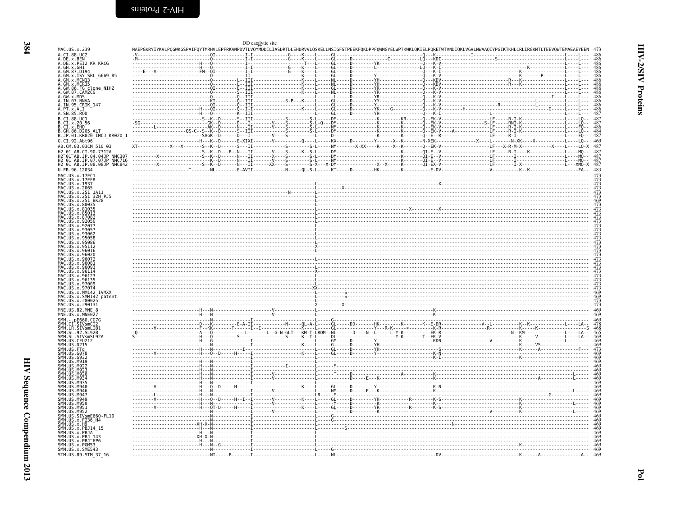<span id="page-11-0"></span>

| MAC.US.x.239                                                                                                                                                                                                                                                                                                                                                                                                                                                                                                                                                                                                                                       |  | DD catalytic site |  |  | NAEPGKRYIYKVLPQGWKGSPAIFQYTMRHVLEPFRKANPDVTLVQYMDDILIASDRTDLEHDRVVLQSKELLNSIGFSTPEEKFQKDPPFQWMGYELWPTKWKLQKIELPQRETWTVNDIQKLVGVLNWAAQIYPGIKTKHLCRLIRGKMTLTEEVQWTEMAEAEYEEN                                                                                                                                                                                                                                                                                                                       |  |
|----------------------------------------------------------------------------------------------------------------------------------------------------------------------------------------------------------------------------------------------------------------------------------------------------------------------------------------------------------------------------------------------------------------------------------------------------------------------------------------------------------------------------------------------------------------------------------------------------------------------------------------------------|--|-------------------|--|--|--------------------------------------------------------------------------------------------------------------------------------------------------------------------------------------------------------------------------------------------------------------------------------------------------------------------------------------------------------------------------------------------------------------------------------------------------------------------------------------------------|--|
| A.CI.88.UC2                                                                                                                                                                                                                                                                                                                                                                                                                                                                                                                                                                                                                                        |  |                   |  |  |                                                                                                                                                                                                                                                                                                                                                                                                                                                                                                  |  |
| A.DE.x.BEN<br>A.DE.x.PEI2 KR KRCG                                                                                                                                                                                                                                                                                                                                                                                                                                                                                                                                                                                                                  |  |                   |  |  |                                                                                                                                                                                                                                                                                                                                                                                                                                                                                                  |  |
| A.GH.x.GH1                                                                                                                                                                                                                                                                                                                                                                                                                                                                                                                                                                                                                                         |  |                   |  |  |                                                                                                                                                                                                                                                                                                                                                                                                                                                                                                  |  |
| A.GM.87.D194                                                                                                                                                                                                                                                                                                                                                                                                                                                                                                                                                                                                                                       |  |                   |  |  |                                                                                                                                                                                                                                                                                                                                                                                                                                                                                                  |  |
| A.GM.x.ISY SBL 6669 85<br>A.GM.x.MCN13                                                                                                                                                                                                                                                                                                                                                                                                                                                                                                                                                                                                             |  |                   |  |  |                                                                                                                                                                                                                                                                                                                                                                                                                                                                                                  |  |
| A.GM.x.MCR35                                                                                                                                                                                                                                                                                                                                                                                                                                                                                                                                                                                                                                       |  |                   |  |  |                                                                                                                                                                                                                                                                                                                                                                                                                                                                                                  |  |
| A.GW.86.FG clone_NIHZ<br>A.GW.87.CAM2CG                                                                                                                                                                                                                                                                                                                                                                                                                                                                                                                                                                                                            |  |                   |  |  |                                                                                                                                                                                                                                                                                                                                                                                                                                                                                                  |  |
|                                                                                                                                                                                                                                                                                                                                                                                                                                                                                                                                                                                                                                                    |  |                   |  |  |                                                                                                                                                                                                                                                                                                                                                                                                                                                                                                  |  |
|                                                                                                                                                                                                                                                                                                                                                                                                                                                                                                                                                                                                                                                    |  |                   |  |  |                                                                                                                                                                                                                                                                                                                                                                                                                                                                                                  |  |
| A. GW. x . MDS<br>A. TN. 07. NNVA<br>A. IN. 95. CRIK_147<br>A. PT. x. ALI<br>A. SN. 85. ROD                                                                                                                                                                                                                                                                                                                                                                                                                                                                                                                                                        |  |                   |  |  |                                                                                                                                                                                                                                                                                                                                                                                                                                                                                                  |  |
|                                                                                                                                                                                                                                                                                                                                                                                                                                                                                                                                                                                                                                                    |  |                   |  |  |                                                                                                                                                                                                                                                                                                                                                                                                                                                                                                  |  |
|                                                                                                                                                                                                                                                                                                                                                                                                                                                                                                                                                                                                                                                    |  |                   |  |  |                                                                                                                                                                                                                                                                                                                                                                                                                                                                                                  |  |
| B.CI.88.UC1                                                                                                                                                                                                                                                                                                                                                                                                                                                                                                                                                                                                                                        |  |                   |  |  |                                                                                                                                                                                                                                                                                                                                                                                                                                                                                                  |  |
| B.CI.x.20 56<br>B.CI.x.EHO                                                                                                                                                                                                                                                                                                                                                                                                                                                                                                                                                                                                                         |  |                   |  |  |                                                                                                                                                                                                                                                                                                                                                                                                                                                                                                  |  |
| B.GH.86.D205 ALT                                                                                                                                                                                                                                                                                                                                                                                                                                                                                                                                                                                                                                   |  |                   |  |  |                                                                                                                                                                                                                                                                                                                                                                                                                                                                                                  |  |
| B.JP.01.KR020_IMCJ_KR020_1                                                                                                                                                                                                                                                                                                                                                                                                                                                                                                                                                                                                                         |  |                   |  |  |                                                                                                                                                                                                                                                                                                                                                                                                                                                                                                  |  |
| G.CI.92.Abt96                                                                                                                                                                                                                                                                                                                                                                                                                                                                                                                                                                                                                                      |  |                   |  |  |                                                                                                                                                                                                                                                                                                                                                                                                                                                                                                  |  |
| AB.CM.03.03CM 510 03                                                                                                                                                                                                                                                                                                                                                                                                                                                                                                                                                                                                                               |  |                   |  |  |                                                                                                                                                                                                                                                                                                                                                                                                                                                                                                  |  |
| H2 01 AB.CI.90.7312A                                                                                                                                                                                                                                                                                                                                                                                                                                                                                                                                                                                                                               |  |                   |  |  |                                                                                                                                                                                                                                                                                                                                                                                                                                                                                                  |  |
| H2-01-AB.JP.04.04JP-NMC307<br>H2-01-AB.JP.07.07JP-NMC716<br>H2_01_AB.JP.08.08JP_NMC842                                                                                                                                                                                                                                                                                                                                                                                                                                                                                                                                                             |  |                   |  |  |                                                                                                                                                                                                                                                                                                                                                                                                                                                                                                  |  |
|                                                                                                                                                                                                                                                                                                                                                                                                                                                                                                                                                                                                                                                    |  |                   |  |  |                                                                                                                                                                                                                                                                                                                                                                                                                                                                                                  |  |
| U.FR.96.12034                                                                                                                                                                                                                                                                                                                                                                                                                                                                                                                                                                                                                                      |  |                   |  |  |                                                                                                                                                                                                                                                                                                                                                                                                                                                                                                  |  |
| MAC.US.x.17EC1                                                                                                                                                                                                                                                                                                                                                                                                                                                                                                                                                                                                                                     |  |                   |  |  | $\begin{minipage}[t]{.000\textwidth} {\begin{minipage}[t]{0.00\textwidth} {\begin{minipage}[t]{0.00\textwidth} {\begin{minipage}[t]{0.00\textwidth} {\begin{minipage}[t]{0.00\textwidth} {\begin{minipage}[t]{0.00\textwidth} {\begin{minipage}[t]{0.00\textwidth} {\begin{minipage}[t]{0.00\textwidth} {\begin{minipage}[t]{0.00\textwidth} {\begin{minipage}[t]{0.00\textwidth} {\begin{minipage}[t]{0.00\textwidth} {\begin{minipage}[t]{0.00\textwidth} {\begin{minipage}[t]{0.00\textwidth$ |  |
|                                                                                                                                                                                                                                                                                                                                                                                                                                                                                                                                                                                                                                                    |  |                   |  |  |                                                                                                                                                                                                                                                                                                                                                                                                                                                                                                  |  |
| MAC.US.x.17EFR<br>MAC.US.x.1937                                                                                                                                                                                                                                                                                                                                                                                                                                                                                                                                                                                                                    |  |                   |  |  |                                                                                                                                                                                                                                                                                                                                                                                                                                                                                                  |  |
| MAC.US.X.2065<br>MAC.US.x.2065                                                                                                                                                                                                                                                                                                                                                                                                                                                                                                                                                                                                                     |  |                   |  |  |                                                                                                                                                                                                                                                                                                                                                                                                                                                                                                  |  |
| MAC.US.x.251 <sup>-</sup> 32H PJ5                                                                                                                                                                                                                                                                                                                                                                                                                                                                                                                                                                                                                  |  |                   |  |  |                                                                                                                                                                                                                                                                                                                                                                                                                                                                                                  |  |
| MAC. US. x. 251                                                                                                                                                                                                                                                                                                                                                                                                                                                                                                                                                                                                                                    |  |                   |  |  |                                                                                                                                                                                                                                                                                                                                                                                                                                                                                                  |  |
| MAC.US.x.80035                                                                                                                                                                                                                                                                                                                                                                                                                                                                                                                                                                                                                                     |  |                   |  |  |                                                                                                                                                                                                                                                                                                                                                                                                                                                                                                  |  |
|                                                                                                                                                                                                                                                                                                                                                                                                                                                                                                                                                                                                                                                    |  |                   |  |  |                                                                                                                                                                                                                                                                                                                                                                                                                                                                                                  |  |
|                                                                                                                                                                                                                                                                                                                                                                                                                                                                                                                                                                                                                                                    |  |                   |  |  |                                                                                                                                                                                                                                                                                                                                                                                                                                                                                                  |  |
|                                                                                                                                                                                                                                                                                                                                                                                                                                                                                                                                                                                                                                                    |  |                   |  |  |                                                                                                                                                                                                                                                                                                                                                                                                                                                                                                  |  |
|                                                                                                                                                                                                                                                                                                                                                                                                                                                                                                                                                                                                                                                    |  |                   |  |  |                                                                                                                                                                                                                                                                                                                                                                                                                                                                                                  |  |
|                                                                                                                                                                                                                                                                                                                                                                                                                                                                                                                                                                                                                                                    |  |                   |  |  |                                                                                                                                                                                                                                                                                                                                                                                                                                                                                                  |  |
|                                                                                                                                                                                                                                                                                                                                                                                                                                                                                                                                                                                                                                                    |  |                   |  |  |                                                                                                                                                                                                                                                                                                                                                                                                                                                                                                  |  |
|                                                                                                                                                                                                                                                                                                                                                                                                                                                                                                                                                                                                                                                    |  |                   |  |  |                                                                                                                                                                                                                                                                                                                                                                                                                                                                                                  |  |
|                                                                                                                                                                                                                                                                                                                                                                                                                                                                                                                                                                                                                                                    |  |                   |  |  |                                                                                                                                                                                                                                                                                                                                                                                                                                                                                                  |  |
|                                                                                                                                                                                                                                                                                                                                                                                                                                                                                                                                                                                                                                                    |  |                   |  |  |                                                                                                                                                                                                                                                                                                                                                                                                                                                                                                  |  |
|                                                                                                                                                                                                                                                                                                                                                                                                                                                                                                                                                                                                                                                    |  |                   |  |  |                                                                                                                                                                                                                                                                                                                                                                                                                                                                                                  |  |
|                                                                                                                                                                                                                                                                                                                                                                                                                                                                                                                                                                                                                                                    |  |                   |  |  |                                                                                                                                                                                                                                                                                                                                                                                                                                                                                                  |  |
|                                                                                                                                                                                                                                                                                                                                                                                                                                                                                                                                                                                                                                                    |  |                   |  |  |                                                                                                                                                                                                                                                                                                                                                                                                                                                                                                  |  |
|                                                                                                                                                                                                                                                                                                                                                                                                                                                                                                                                                                                                                                                    |  |                   |  |  |                                                                                                                                                                                                                                                                                                                                                                                                                                                                                                  |  |
|                                                                                                                                                                                                                                                                                                                                                                                                                                                                                                                                                                                                                                                    |  |                   |  |  | $\frac{1}{\sqrt{2}}$                                                                                                                                                                                                                                                                                                                                                                                                                                                                             |  |
|                                                                                                                                                                                                                                                                                                                                                                                                                                                                                                                                                                                                                                                    |  |                   |  |  |                                                                                                                                                                                                                                                                                                                                                                                                                                                                                                  |  |
|                                                                                                                                                                                                                                                                                                                                                                                                                                                                                                                                                                                                                                                    |  |                   |  |  |                                                                                                                                                                                                                                                                                                                                                                                                                                                                                                  |  |
|                                                                                                                                                                                                                                                                                                                                                                                                                                                                                                                                                                                                                                                    |  |                   |  |  |                                                                                                                                                                                                                                                                                                                                                                                                                                                                                                  |  |
|                                                                                                                                                                                                                                                                                                                                                                                                                                                                                                                                                                                                                                                    |  |                   |  |  |                                                                                                                                                                                                                                                                                                                                                                                                                                                                                                  |  |
|                                                                                                                                                                                                                                                                                                                                                                                                                                                                                                                                                                                                                                                    |  |                   |  |  |                                                                                                                                                                                                                                                                                                                                                                                                                                                                                                  |  |
|                                                                                                                                                                                                                                                                                                                                                                                                                                                                                                                                                                                                                                                    |  |                   |  |  |                                                                                                                                                                                                                                                                                                                                                                                                                                                                                                  |  |
|                                                                                                                                                                                                                                                                                                                                                                                                                                                                                                                                                                                                                                                    |  |                   |  |  |                                                                                                                                                                                                                                                                                                                                                                                                                                                                                                  |  |
|                                                                                                                                                                                                                                                                                                                                                                                                                                                                                                                                                                                                                                                    |  |                   |  |  |                                                                                                                                                                                                                                                                                                                                                                                                                                                                                                  |  |
|                                                                                                                                                                                                                                                                                                                                                                                                                                                                                                                                                                                                                                                    |  |                   |  |  |                                                                                                                                                                                                                                                                                                                                                                                                                                                                                                  |  |
|                                                                                                                                                                                                                                                                                                                                                                                                                                                                                                                                                                                                                                                    |  |                   |  |  |                                                                                                                                                                                                                                                                                                                                                                                                                                                                                                  |  |
|                                                                                                                                                                                                                                                                                                                                                                                                                                                                                                                                                                                                                                                    |  |                   |  |  |                                                                                                                                                                                                                                                                                                                                                                                                                                                                                                  |  |
|                                                                                                                                                                                                                                                                                                                                                                                                                                                                                                                                                                                                                                                    |  |                   |  |  |                                                                                                                                                                                                                                                                                                                                                                                                                                                                                                  |  |
|                                                                                                                                                                                                                                                                                                                                                                                                                                                                                                                                                                                                                                                    |  |                   |  |  |                                                                                                                                                                                                                                                                                                                                                                                                                                                                                                  |  |
|                                                                                                                                                                                                                                                                                                                                                                                                                                                                                                                                                                                                                                                    |  |                   |  |  |                                                                                                                                                                                                                                                                                                                                                                                                                                                                                                  |  |
|                                                                                                                                                                                                                                                                                                                                                                                                                                                                                                                                                                                                                                                    |  |                   |  |  |                                                                                                                                                                                                                                                                                                                                                                                                                                                                                                  |  |
|                                                                                                                                                                                                                                                                                                                                                                                                                                                                                                                                                                                                                                                    |  |                   |  |  |                                                                                                                                                                                                                                                                                                                                                                                                                                                                                                  |  |
|                                                                                                                                                                                                                                                                                                                                                                                                                                                                                                                                                                                                                                                    |  |                   |  |  |                                                                                                                                                                                                                                                                                                                                                                                                                                                                                                  |  |
|                                                                                                                                                                                                                                                                                                                                                                                                                                                                                                                                                                                                                                                    |  |                   |  |  |                                                                                                                                                                                                                                                                                                                                                                                                                                                                                                  |  |
|                                                                                                                                                                                                                                                                                                                                                                                                                                                                                                                                                                                                                                                    |  |                   |  |  |                                                                                                                                                                                                                                                                                                                                                                                                                                                                                                  |  |
|                                                                                                                                                                                                                                                                                                                                                                                                                                                                                                                                                                                                                                                    |  |                   |  |  |                                                                                                                                                                                                                                                                                                                                                                                                                                                                                                  |  |
|                                                                                                                                                                                                                                                                                                                                                                                                                                                                                                                                                                                                                                                    |  |                   |  |  |                                                                                                                                                                                                                                                                                                                                                                                                                                                                                                  |  |
|                                                                                                                                                                                                                                                                                                                                                                                                                                                                                                                                                                                                                                                    |  |                   |  |  |                                                                                                                                                                                                                                                                                                                                                                                                                                                                                                  |  |
|                                                                                                                                                                                                                                                                                                                                                                                                                                                                                                                                                                                                                                                    |  |                   |  |  |                                                                                                                                                                                                                                                                                                                                                                                                                                                                                                  |  |
|                                                                                                                                                                                                                                                                                                                                                                                                                                                                                                                                                                                                                                                    |  |                   |  |  |                                                                                                                                                                                                                                                                                                                                                                                                                                                                                                  |  |
|                                                                                                                                                                                                                                                                                                                                                                                                                                                                                                                                                                                                                                                    |  |                   |  |  |                                                                                                                                                                                                                                                                                                                                                                                                                                                                                                  |  |
|                                                                                                                                                                                                                                                                                                                                                                                                                                                                                                                                                                                                                                                    |  |                   |  |  |                                                                                                                                                                                                                                                                                                                                                                                                                                                                                                  |  |
|                                                                                                                                                                                                                                                                                                                                                                                                                                                                                                                                                                                                                                                    |  |                   |  |  |                                                                                                                                                                                                                                                                                                                                                                                                                                                                                                  |  |
|                                                                                                                                                                                                                                                                                                                                                                                                                                                                                                                                                                                                                                                    |  |                   |  |  |                                                                                                                                                                                                                                                                                                                                                                                                                                                                                                  |  |
|                                                                                                                                                                                                                                                                                                                                                                                                                                                                                                                                                                                                                                                    |  |                   |  |  |                                                                                                                                                                                                                                                                                                                                                                                                                                                                                                  |  |
|                                                                                                                                                                                                                                                                                                                                                                                                                                                                                                                                                                                                                                                    |  |                   |  |  |                                                                                                                                                                                                                                                                                                                                                                                                                                                                                                  |  |
| MAC.US.x.96093<br>MAC.US.x.97009<br>U.S. x. 9707<br>MAC.US.x.MM142 IVMXX<br>MAC.US.x.SMM142 patent<br>MAC.US.x.r80025<br>MAC.US.x.r90131<br>MNE.US.82.MNE 8<br>MNE.US.x.MNE027<br>SMM. - . pE660.CG7G<br>SMM. - .pE660.CG7G<br>SMM.CI.SIVsmCI2<br>SMM.CI.SIVsmLIB1<br>SMM.SL.92.SL92B<br>SMM.SL.SIVsmSI92.<br>SMM.US.CFU212<br>SMM.US.DE1212<br>.<br>SIVsmSL92A<br>SMM. US. FTG<br>SMM. US. FTG<br>SMM. US. G07<br>SMM. US. G93<br>SMM. US. M91<br>SMM. US. M92<br>MQ34<br><b>MQ3</b><br>M946<br>M946<br>M947<br>M94C<br>M956<br>SMM.US.M951<br>SMM.US.M952<br>SMM.US.SIVsmE660-FL10<br>SMM. US. x. F236_H4<br>SMM. US. x. H9<br>SMM.US.x.PBJ14 15 |  |                   |  |  |                                                                                                                                                                                                                                                                                                                                                                                                                                                                                                  |  |
|                                                                                                                                                                                                                                                                                                                                                                                                                                                                                                                                                                                                                                                    |  |                   |  |  |                                                                                                                                                                                                                                                                                                                                                                                                                                                                                                  |  |
| SMM.US.x.PBJ4<br>SMM.US.x.PBJ4<br>SMM.US.x.PBJ 143<br>SMM.US.x.PBJ 6P6<br>SMM.US.x.PGM53                                                                                                                                                                                                                                                                                                                                                                                                                                                                                                                                                           |  |                   |  |  |                                                                                                                                                                                                                                                                                                                                                                                                                                                                                                  |  |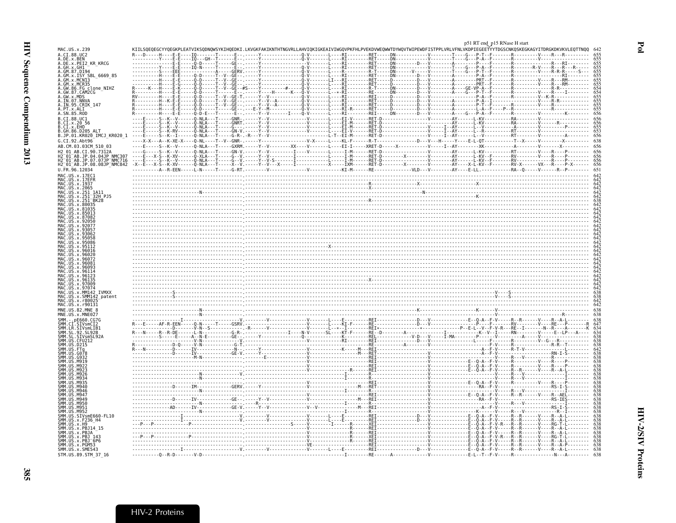<span id="page-12-0"></span>

| KIILSQEQEGCYYQEGKPLEATVIKSQDNQWSYKIHQEDKI.LKVGKFAKIKNTHTNGVRLLAHVIQKIGKEAIVIWGQVPKFHLPVEKDVWEQWWTDYWQVTWIPEWDFISTPPLVRLVFNLVKDPIEGEETYYTDGSCNKQSKEGKAGYITDRGKDKVKVLEQTTNQQ<br>MAC.US.x.239<br>A.CI.88.UC2<br>A.DE.x.PEI2 KR KRCG<br>A.GH.x.GH1<br>A.GM.87.D194<br>A.GM.x.ISY SBL 6669 85<br>GM.x.MCNI3<br>A.GM.x.MCR35<br>A.GW.86.FG clone NIHZ<br>A.GW.87.CĀMŽČĞ<br>A.GW.x.MDS<br>A.IN.07.NNVA<br>A.IN.95.CRIK_147<br>A.PT.x.ALI<br>A.SN.85.ROD<br>B.CI.88.UC1<br>B.CI.x.20 56<br>B.CI.x.EHO<br>B.GH.86.D205 ALT<br>B.JP.01.KR020 IMCJ KR020 1<br>G.CI.92.Abt96<br>$x_1 = \frac{1}{2}, \frac{1}{2}, \frac{1}{2}, \frac{1}{2}, \frac{1}{2}, \frac{1}{2}, \frac{1}{2}, \frac{1}{2}, \frac{1}{2}, \frac{1}{2}, \frac{1}{2}, \frac{1}{2}, \frac{1}{2}, \frac{1}{2}, \frac{1}{2}, \frac{1}{2}, \frac{1}{2}, \frac{1}{2}, \frac{1}{2}, \frac{1}{2}, \frac{1}{2}, \frac{1}{2}, \frac{1}{2}, \frac{1}{2}, \frac{1}{2}, \frac{1}{2}, \frac{1}{2}, \frac{1}{2}, \frac{1}{2}, \frac{1}{2}, \frac{1}{2$<br>AB.CM.03.03CM 510 03<br>AB.CI.90.7312A<br>H2-01-AB.JP.04.04JP NMC307<br>H2-01-AB.JP.07.07JP NMC716<br>H2_01_AB.JP.08.08JP_NMC842<br>U.FR.96.12034<br>MAC.US.x.17EC1<br>MAC.US.x.17EFR<br>MAC.US.x.1937<br>MAC.US.x.2065<br>MAC.US.x.251_1A11<br>MAC.US.x.251 <sup>-</sup> 32H PJ5<br>US.x.80035<br>. U.S. x . 97009<br>. U.S. x . 9707<br>MAC.US.x.MM142 IVMXX<br>MAC.US.x.SMM142 patent<br>MAC.US.x.r80025<br>MAC.US.x.r90131<br>MNF US 82 MNF 8<br>MNE.US.x.MNE027<br>nFA60.0676<br>SMM.CI.SIVsmCI2<br>SMM.LR.SIVsmLIB1<br>SMM. SL. 92. SL92B<br>.STVsmSL92A<br>M946<br><b>SMM</b><br>M <sub>94</sub><br>ŠMM.US<br>M949<br><b>SMM IIS</b><br>M950<br>SMM.US.M951<br>SMM.US.M952<br>SMM.US.SIVsmE660-FL10<br>SMM.US.x.F236_H4<br>SMM.US.x.H9<br>SMM.US.x.PBJ14_15<br>SMM.US.x.PBJA<br>SMM.US.x.PBJ 143<br>SMM.US.x.PBJ <sup>-</sup> 6P6<br>SMM.US.x.PGM53<br>SMM.US.x.SME543 |                     |  |  | p51 RT end_p15 RNase H start |  |
|-------------------------------------------------------------------------------------------------------------------------------------------------------------------------------------------------------------------------------------------------------------------------------------------------------------------------------------------------------------------------------------------------------------------------------------------------------------------------------------------------------------------------------------------------------------------------------------------------------------------------------------------------------------------------------------------------------------------------------------------------------------------------------------------------------------------------------------------------------------------------------------------------------------------------------------------------------------------------------------------------------------------------------------------------------------------------------------------------------------------------------------------------------------------------------------------------------------------------------------------------------------------------------------------------------------------------------------------------------------------------------------------------------------------------------------------------------------------------------------------------------------------------------------------------------------------------------------------------------------------------------------------------------------------------------------------------------------------------------------------------------------------------------------------------------------------------------------------------------------------------------|---------------------|--|--|------------------------------|--|
|                                                                                                                                                                                                                                                                                                                                                                                                                                                                                                                                                                                                                                                                                                                                                                                                                                                                                                                                                                                                                                                                                                                                                                                                                                                                                                                                                                                                                                                                                                                                                                                                                                                                                                                                                                                                                                                                               |                     |  |  |                              |  |
|                                                                                                                                                                                                                                                                                                                                                                                                                                                                                                                                                                                                                                                                                                                                                                                                                                                                                                                                                                                                                                                                                                                                                                                                                                                                                                                                                                                                                                                                                                                                                                                                                                                                                                                                                                                                                                                                               | A.DE.x.BEN          |  |  |                              |  |
|                                                                                                                                                                                                                                                                                                                                                                                                                                                                                                                                                                                                                                                                                                                                                                                                                                                                                                                                                                                                                                                                                                                                                                                                                                                                                                                                                                                                                                                                                                                                                                                                                                                                                                                                                                                                                                                                               |                     |  |  |                              |  |
|                                                                                                                                                                                                                                                                                                                                                                                                                                                                                                                                                                                                                                                                                                                                                                                                                                                                                                                                                                                                                                                                                                                                                                                                                                                                                                                                                                                                                                                                                                                                                                                                                                                                                                                                                                                                                                                                               |                     |  |  |                              |  |
|                                                                                                                                                                                                                                                                                                                                                                                                                                                                                                                                                                                                                                                                                                                                                                                                                                                                                                                                                                                                                                                                                                                                                                                                                                                                                                                                                                                                                                                                                                                                                                                                                                                                                                                                                                                                                                                                               |                     |  |  |                              |  |
|                                                                                                                                                                                                                                                                                                                                                                                                                                                                                                                                                                                                                                                                                                                                                                                                                                                                                                                                                                                                                                                                                                                                                                                                                                                                                                                                                                                                                                                                                                                                                                                                                                                                                                                                                                                                                                                                               |                     |  |  |                              |  |
|                                                                                                                                                                                                                                                                                                                                                                                                                                                                                                                                                                                                                                                                                                                                                                                                                                                                                                                                                                                                                                                                                                                                                                                                                                                                                                                                                                                                                                                                                                                                                                                                                                                                                                                                                                                                                                                                               |                     |  |  |                              |  |
|                                                                                                                                                                                                                                                                                                                                                                                                                                                                                                                                                                                                                                                                                                                                                                                                                                                                                                                                                                                                                                                                                                                                                                                                                                                                                                                                                                                                                                                                                                                                                                                                                                                                                                                                                                                                                                                                               |                     |  |  |                              |  |
|                                                                                                                                                                                                                                                                                                                                                                                                                                                                                                                                                                                                                                                                                                                                                                                                                                                                                                                                                                                                                                                                                                                                                                                                                                                                                                                                                                                                                                                                                                                                                                                                                                                                                                                                                                                                                                                                               |                     |  |  |                              |  |
|                                                                                                                                                                                                                                                                                                                                                                                                                                                                                                                                                                                                                                                                                                                                                                                                                                                                                                                                                                                                                                                                                                                                                                                                                                                                                                                                                                                                                                                                                                                                                                                                                                                                                                                                                                                                                                                                               |                     |  |  |                              |  |
|                                                                                                                                                                                                                                                                                                                                                                                                                                                                                                                                                                                                                                                                                                                                                                                                                                                                                                                                                                                                                                                                                                                                                                                                                                                                                                                                                                                                                                                                                                                                                                                                                                                                                                                                                                                                                                                                               |                     |  |  |                              |  |
|                                                                                                                                                                                                                                                                                                                                                                                                                                                                                                                                                                                                                                                                                                                                                                                                                                                                                                                                                                                                                                                                                                                                                                                                                                                                                                                                                                                                                                                                                                                                                                                                                                                                                                                                                                                                                                                                               |                     |  |  |                              |  |
|                                                                                                                                                                                                                                                                                                                                                                                                                                                                                                                                                                                                                                                                                                                                                                                                                                                                                                                                                                                                                                                                                                                                                                                                                                                                                                                                                                                                                                                                                                                                                                                                                                                                                                                                                                                                                                                                               |                     |  |  |                              |  |
|                                                                                                                                                                                                                                                                                                                                                                                                                                                                                                                                                                                                                                                                                                                                                                                                                                                                                                                                                                                                                                                                                                                                                                                                                                                                                                                                                                                                                                                                                                                                                                                                                                                                                                                                                                                                                                                                               |                     |  |  |                              |  |
|                                                                                                                                                                                                                                                                                                                                                                                                                                                                                                                                                                                                                                                                                                                                                                                                                                                                                                                                                                                                                                                                                                                                                                                                                                                                                                                                                                                                                                                                                                                                                                                                                                                                                                                                                                                                                                                                               |                     |  |  |                              |  |
|                                                                                                                                                                                                                                                                                                                                                                                                                                                                                                                                                                                                                                                                                                                                                                                                                                                                                                                                                                                                                                                                                                                                                                                                                                                                                                                                                                                                                                                                                                                                                                                                                                                                                                                                                                                                                                                                               |                     |  |  |                              |  |
|                                                                                                                                                                                                                                                                                                                                                                                                                                                                                                                                                                                                                                                                                                                                                                                                                                                                                                                                                                                                                                                                                                                                                                                                                                                                                                                                                                                                                                                                                                                                                                                                                                                                                                                                                                                                                                                                               |                     |  |  |                              |  |
|                                                                                                                                                                                                                                                                                                                                                                                                                                                                                                                                                                                                                                                                                                                                                                                                                                                                                                                                                                                                                                                                                                                                                                                                                                                                                                                                                                                                                                                                                                                                                                                                                                                                                                                                                                                                                                                                               |                     |  |  |                              |  |
|                                                                                                                                                                                                                                                                                                                                                                                                                                                                                                                                                                                                                                                                                                                                                                                                                                                                                                                                                                                                                                                                                                                                                                                                                                                                                                                                                                                                                                                                                                                                                                                                                                                                                                                                                                                                                                                                               |                     |  |  |                              |  |
|                                                                                                                                                                                                                                                                                                                                                                                                                                                                                                                                                                                                                                                                                                                                                                                                                                                                                                                                                                                                                                                                                                                                                                                                                                                                                                                                                                                                                                                                                                                                                                                                                                                                                                                                                                                                                                                                               |                     |  |  |                              |  |
|                                                                                                                                                                                                                                                                                                                                                                                                                                                                                                                                                                                                                                                                                                                                                                                                                                                                                                                                                                                                                                                                                                                                                                                                                                                                                                                                                                                                                                                                                                                                                                                                                                                                                                                                                                                                                                                                               |                     |  |  |                              |  |
|                                                                                                                                                                                                                                                                                                                                                                                                                                                                                                                                                                                                                                                                                                                                                                                                                                                                                                                                                                                                                                                                                                                                                                                                                                                                                                                                                                                                                                                                                                                                                                                                                                                                                                                                                                                                                                                                               |                     |  |  |                              |  |
|                                                                                                                                                                                                                                                                                                                                                                                                                                                                                                                                                                                                                                                                                                                                                                                                                                                                                                                                                                                                                                                                                                                                                                                                                                                                                                                                                                                                                                                                                                                                                                                                                                                                                                                                                                                                                                                                               |                     |  |  |                              |  |
|                                                                                                                                                                                                                                                                                                                                                                                                                                                                                                                                                                                                                                                                                                                                                                                                                                                                                                                                                                                                                                                                                                                                                                                                                                                                                                                                                                                                                                                                                                                                                                                                                                                                                                                                                                                                                                                                               |                     |  |  |                              |  |
|                                                                                                                                                                                                                                                                                                                                                                                                                                                                                                                                                                                                                                                                                                                                                                                                                                                                                                                                                                                                                                                                                                                                                                                                                                                                                                                                                                                                                                                                                                                                                                                                                                                                                                                                                                                                                                                                               |                     |  |  |                              |  |
|                                                                                                                                                                                                                                                                                                                                                                                                                                                                                                                                                                                                                                                                                                                                                                                                                                                                                                                                                                                                                                                                                                                                                                                                                                                                                                                                                                                                                                                                                                                                                                                                                                                                                                                                                                                                                                                                               |                     |  |  |                              |  |
|                                                                                                                                                                                                                                                                                                                                                                                                                                                                                                                                                                                                                                                                                                                                                                                                                                                                                                                                                                                                                                                                                                                                                                                                                                                                                                                                                                                                                                                                                                                                                                                                                                                                                                                                                                                                                                                                               |                     |  |  |                              |  |
|                                                                                                                                                                                                                                                                                                                                                                                                                                                                                                                                                                                                                                                                                                                                                                                                                                                                                                                                                                                                                                                                                                                                                                                                                                                                                                                                                                                                                                                                                                                                                                                                                                                                                                                                                                                                                                                                               |                     |  |  |                              |  |
|                                                                                                                                                                                                                                                                                                                                                                                                                                                                                                                                                                                                                                                                                                                                                                                                                                                                                                                                                                                                                                                                                                                                                                                                                                                                                                                                                                                                                                                                                                                                                                                                                                                                                                                                                                                                                                                                               |                     |  |  |                              |  |
|                                                                                                                                                                                                                                                                                                                                                                                                                                                                                                                                                                                                                                                                                                                                                                                                                                                                                                                                                                                                                                                                                                                                                                                                                                                                                                                                                                                                                                                                                                                                                                                                                                                                                                                                                                                                                                                                               |                     |  |  |                              |  |
|                                                                                                                                                                                                                                                                                                                                                                                                                                                                                                                                                                                                                                                                                                                                                                                                                                                                                                                                                                                                                                                                                                                                                                                                                                                                                                                                                                                                                                                                                                                                                                                                                                                                                                                                                                                                                                                                               |                     |  |  |                              |  |
|                                                                                                                                                                                                                                                                                                                                                                                                                                                                                                                                                                                                                                                                                                                                                                                                                                                                                                                                                                                                                                                                                                                                                                                                                                                                                                                                                                                                                                                                                                                                                                                                                                                                                                                                                                                                                                                                               |                     |  |  |                              |  |
|                                                                                                                                                                                                                                                                                                                                                                                                                                                                                                                                                                                                                                                                                                                                                                                                                                                                                                                                                                                                                                                                                                                                                                                                                                                                                                                                                                                                                                                                                                                                                                                                                                                                                                                                                                                                                                                                               |                     |  |  |                              |  |
|                                                                                                                                                                                                                                                                                                                                                                                                                                                                                                                                                                                                                                                                                                                                                                                                                                                                                                                                                                                                                                                                                                                                                                                                                                                                                                                                                                                                                                                                                                                                                                                                                                                                                                                                                                                                                                                                               |                     |  |  |                              |  |
|                                                                                                                                                                                                                                                                                                                                                                                                                                                                                                                                                                                                                                                                                                                                                                                                                                                                                                                                                                                                                                                                                                                                                                                                                                                                                                                                                                                                                                                                                                                                                                                                                                                                                                                                                                                                                                                                               |                     |  |  |                              |  |
|                                                                                                                                                                                                                                                                                                                                                                                                                                                                                                                                                                                                                                                                                                                                                                                                                                                                                                                                                                                                                                                                                                                                                                                                                                                                                                                                                                                                                                                                                                                                                                                                                                                                                                                                                                                                                                                                               |                     |  |  |                              |  |
|                                                                                                                                                                                                                                                                                                                                                                                                                                                                                                                                                                                                                                                                                                                                                                                                                                                                                                                                                                                                                                                                                                                                                                                                                                                                                                                                                                                                                                                                                                                                                                                                                                                                                                                                                                                                                                                                               |                     |  |  |                              |  |
|                                                                                                                                                                                                                                                                                                                                                                                                                                                                                                                                                                                                                                                                                                                                                                                                                                                                                                                                                                                                                                                                                                                                                                                                                                                                                                                                                                                                                                                                                                                                                                                                                                                                                                                                                                                                                                                                               |                     |  |  |                              |  |
|                                                                                                                                                                                                                                                                                                                                                                                                                                                                                                                                                                                                                                                                                                                                                                                                                                                                                                                                                                                                                                                                                                                                                                                                                                                                                                                                                                                                                                                                                                                                                                                                                                                                                                                                                                                                                                                                               |                     |  |  |                              |  |
|                                                                                                                                                                                                                                                                                                                                                                                                                                                                                                                                                                                                                                                                                                                                                                                                                                                                                                                                                                                                                                                                                                                                                                                                                                                                                                                                                                                                                                                                                                                                                                                                                                                                                                                                                                                                                                                                               |                     |  |  |                              |  |
|                                                                                                                                                                                                                                                                                                                                                                                                                                                                                                                                                                                                                                                                                                                                                                                                                                                                                                                                                                                                                                                                                                                                                                                                                                                                                                                                                                                                                                                                                                                                                                                                                                                                                                                                                                                                                                                                               |                     |  |  |                              |  |
|                                                                                                                                                                                                                                                                                                                                                                                                                                                                                                                                                                                                                                                                                                                                                                                                                                                                                                                                                                                                                                                                                                                                                                                                                                                                                                                                                                                                                                                                                                                                                                                                                                                                                                                                                                                                                                                                               |                     |  |  |                              |  |
|                                                                                                                                                                                                                                                                                                                                                                                                                                                                                                                                                                                                                                                                                                                                                                                                                                                                                                                                                                                                                                                                                                                                                                                                                                                                                                                                                                                                                                                                                                                                                                                                                                                                                                                                                                                                                                                                               |                     |  |  |                              |  |
|                                                                                                                                                                                                                                                                                                                                                                                                                                                                                                                                                                                                                                                                                                                                                                                                                                                                                                                                                                                                                                                                                                                                                                                                                                                                                                                                                                                                                                                                                                                                                                                                                                                                                                                                                                                                                                                                               |                     |  |  |                              |  |
|                                                                                                                                                                                                                                                                                                                                                                                                                                                                                                                                                                                                                                                                                                                                                                                                                                                                                                                                                                                                                                                                                                                                                                                                                                                                                                                                                                                                                                                                                                                                                                                                                                                                                                                                                                                                                                                                               |                     |  |  |                              |  |
|                                                                                                                                                                                                                                                                                                                                                                                                                                                                                                                                                                                                                                                                                                                                                                                                                                                                                                                                                                                                                                                                                                                                                                                                                                                                                                                                                                                                                                                                                                                                                                                                                                                                                                                                                                                                                                                                               |                     |  |  |                              |  |
|                                                                                                                                                                                                                                                                                                                                                                                                                                                                                                                                                                                                                                                                                                                                                                                                                                                                                                                                                                                                                                                                                                                                                                                                                                                                                                                                                                                                                                                                                                                                                                                                                                                                                                                                                                                                                                                                               |                     |  |  |                              |  |
|                                                                                                                                                                                                                                                                                                                                                                                                                                                                                                                                                                                                                                                                                                                                                                                                                                                                                                                                                                                                                                                                                                                                                                                                                                                                                                                                                                                                                                                                                                                                                                                                                                                                                                                                                                                                                                                                               | STM.US.89.STM 37 16 |  |  |                              |  |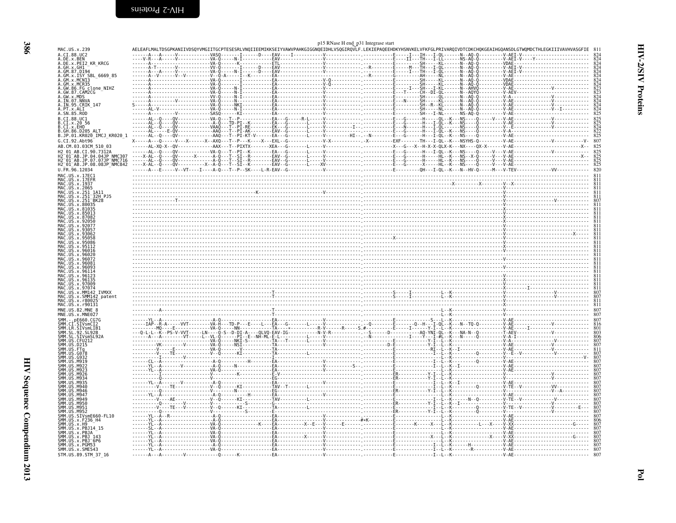<span id="page-13-0"></span>

|                                                                                       |                                                                                                                                                                                | p15 RNase H end_p31 Integrase start |  |                      |
|---------------------------------------------------------------------------------------|--------------------------------------------------------------------------------------------------------------------------------------------------------------------------------|-------------------------------------|--|----------------------|
| MAC.US.x.239<br>A.CI.88.UC2                                                           | AELEAFLMALTDSGPKANIIVDSQYVMGIITGCPTESESRLVNQIIEEMIKKSEIYVAWVPAHKGIGGNQEIDHLVSQGIRQVLF.LEKIEPAQEEHDKYHSNVKELVFKFGLPRIVARQIVDTCDKCHQKGEAIHGQANSDLGTWQMDCTHLEGKIIIVAVHVASGFIE 811 |                                     |  |                      |
| A.DE.x.BEN<br>A.DE.x.PEI2 KR KRCG                                                     |                                                                                                                                                                                |                                     |  |                      |
| A.GH.x.GH1<br>A.GM.87.D194                                                            |                                                                                                                                                                                |                                     |  |                      |
| A.GM.x.ISY SBL 6669 85<br>A.GM.x.MCNI3                                                |                                                                                                                                                                                |                                     |  |                      |
| A.GM.x.MCR35                                                                          |                                                                                                                                                                                |                                     |  |                      |
| A.GW.86.FG clone_NIHZ<br>A.GW.87.CAM2CG                                               |                                                                                                                                                                                |                                     |  |                      |
| A.GW.x.MDS<br>A.IN.07.NNVA                                                            |                                                                                                                                                                                |                                     |  |                      |
| A.IN.95.CRIK_147<br>A.PT.x.ALI                                                        |                                                                                                                                                                                |                                     |  |                      |
| A.SN.85.ROD<br>B.CI.88.UC1                                                            |                                                                                                                                                                                |                                     |  |                      |
| B.CI.x.20.56<br>B.CI.X.EHO                                                            |                                                                                                                                                                                |                                     |  |                      |
| B.GH.86.D205 ALT<br>B.JP.01.KR020_IMCJ_KR020_1                                        |                                                                                                                                                                                |                                     |  |                      |
| G.CI.92.Abt96                                                                         |                                                                                                                                                                                |                                     |  |                      |
| AB.CM.03.03CM 510 03                                                                  |                                                                                                                                                                                |                                     |  |                      |
| H2 01 AB.CI.90.7312A<br>H2-01-AB.JP.04.04JP NMC307<br>H2-01-AB.JP.07.07JP NMC716      |                                                                                                                                                                                |                                     |  |                      |
| H2 <sup>-01-AB.JP.08.08JP-NMC842</sup>                                                |                                                                                                                                                                                |                                     |  |                      |
| U.FR.96.12034<br>MAC.US.x.17EC1                                                       |                                                                                                                                                                                |                                     |  | 811                  |
| MAC.US.x.17EFR                                                                        |                                                                                                                                                                                |                                     |  | $811$<br>$811$       |
| MAC.US.x.1937<br>MAC.US.x.2065<br>MAC.US.x.251_1A11                                   |                                                                                                                                                                                |                                     |  | $\frac{811}{811}$    |
| MAC.US.x.251 <sup>-</sup> 32H PJ5                                                     |                                                                                                                                                                                |                                     |  | 811                  |
| US.x.251<br>.US.x.80035                                                               |                                                                                                                                                                                |                                     |  |                      |
| US.x.81035                                                                            |                                                                                                                                                                                |                                     |  |                      |
|                                                                                       |                                                                                                                                                                                |                                     |  |                      |
|                                                                                       |                                                                                                                                                                                |                                     |  |                      |
|                                                                                       |                                                                                                                                                                                |                                     |  |                      |
|                                                                                       |                                                                                                                                                                                |                                     |  |                      |
|                                                                                       |                                                                                                                                                                                |                                     |  |                      |
|                                                                                       |                                                                                                                                                                                |                                     |  |                      |
| MAC.US.x.96114                                                                        |                                                                                                                                                                                |                                     |  |                      |
|                                                                                       |                                                                                                                                                                                |                                     |  |                      |
| MAC.US.x.96135<br>MAC.US.x.97009                                                      | $\overbrace{\mathbf{1}_{\text{max}}$                                                                                                                                           |                                     |  |                      |
| MAC.US.x.9707<br>MAC.US.x.MM142 IVMXX                                                 |                                                                                                                                                                                |                                     |  | 807                  |
| US.x.SMM142 patent<br>MAC.US.x.r80025                                                 |                                                                                                                                                                                |                                     |  | 807<br>811           |
| MAC.US.x.r90131<br>MNE.US.82.MNE 8                                                    |                                                                                                                                                                                |                                     |  | 811<br>807           |
| MNE.US.x.MNE027                                                                       |                                                                                                                                                                                |                                     |  | 807<br>807           |
| $-$ . pE660. CG7G<br>SMM.CT                                                           |                                                                                                                                                                                |                                     |  | 816                  |
| SMM.CI.SIVSMCI2<br>SMM.LR.SIVSMLIB1<br>SMM.SL.92.SL92B                                |                                                                                                                                                                                |                                     |  | $\frac{801}{803}$    |
| SMM. ŠĻ. ŠIVSMSL92A<br>SMM.US.CFU212                                                  |                                                                                                                                                                                |                                     |  | 806                  |
| SMM.US.D215                                                                           |                                                                                                                                                                                |                                     |  | 807<br>$\frac{8}{1}$ |
|                                                                                       |                                                                                                                                                                                |                                     |  | $\frac{807}{807}$    |
|                                                                                       |                                                                                                                                                                                |                                     |  |                      |
|                                                                                       |                                                                                                                                                                                |                                     |  |                      |
|                                                                                       |                                                                                                                                                                                |                                     |  |                      |
|                                                                                       |                                                                                                                                                                                |                                     |  |                      |
|                                                                                       |                                                                                                                                                                                |                                     |  |                      |
| M951                                                                                  |                                                                                                                                                                                |                                     |  | 807<br>807           |
| SMM IIS<br>SMM.US.SIVsmE660-FL10                                                      |                                                                                                                                                                                |                                     |  | 807<br>807           |
| SMM.US.x.F236_H4<br>SMM.US.x.H9                                                       |                                                                                                                                                                                |                                     |  | 806<br>807           |
| SMM.US.x.PBJ14_15                                                                     |                                                                                                                                                                                |                                     |  | 807                  |
| SMM.US.x.PBJA                                                                         |                                                                                                                                                                                |                                     |  | $\frac{807}{807}$    |
| SINN. US. X. PBJ<br>SMM. US. x. PBJ 143<br>SMM. US. x. PBJ 6P6<br>SMM. US. x. PGME542 |                                                                                                                                                                                |                                     |  | 807                  |
| SMM. US. x. SME543<br>STM.US.89.STM 37 16                                             |                                                                                                                                                                                |                                     |  |                      |
|                                                                                       |                                                                                                                                                                                |                                     |  |                      |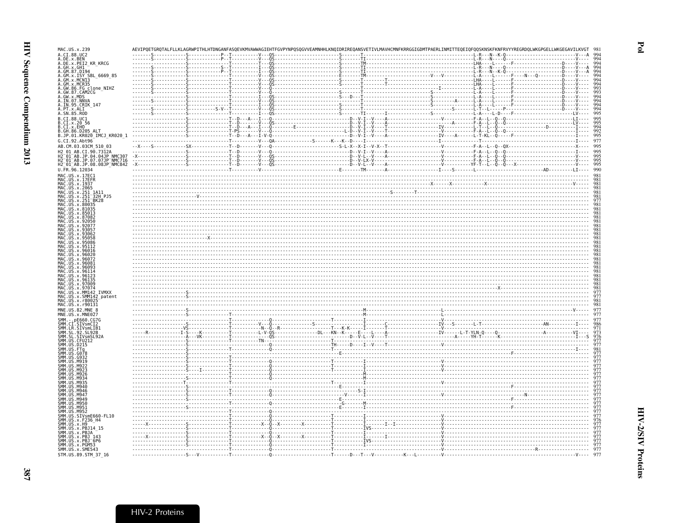| MAC.US.x.239                                                                              |                                                                                                                                                                                                                                                                 |  |  | AEVIPQETGRQTALFLLKLAGRWPITHLHTDNGANFASQEVKMVAWWAGIEHTFGVPYNPQSQGVVEAMNHHLKNQIDRIREQANSVETIVLMAVHCMNFKRRGGIGDMTPAERLINMITTEQEIQFQQSKNSKFKNFRVYYREGRDQLWKGPGELLWKGEGAVILKVGT |  |  |  |
|-------------------------------------------------------------------------------------------|-----------------------------------------------------------------------------------------------------------------------------------------------------------------------------------------------------------------------------------------------------------------|--|--|----------------------------------------------------------------------------------------------------------------------------------------------------------------------------|--|--|--|
| A.CI.88.UC2<br>A.DE.x.BEN                                                                 |                                                                                                                                                                                                                                                                 |  |  |                                                                                                                                                                            |  |  |  |
|                                                                                           | .DE.x.PEI2_KR_KRCG                                                                                                                                                                                                                                              |  |  |                                                                                                                                                                            |  |  |  |
| .GH.x.GH1<br>.GM.87.D194                                                                  |                                                                                                                                                                                                                                                                 |  |  |                                                                                                                                                                            |  |  |  |
|                                                                                           | .GM.x.ISY SBL_6669_85                                                                                                                                                                                                                                           |  |  |                                                                                                                                                                            |  |  |  |
| .GM.x.MCN13<br>GM.x.MCR35                                                                 |                                                                                                                                                                                                                                                                 |  |  |                                                                                                                                                                            |  |  |  |
|                                                                                           |                                                                                                                                                                                                                                                                 |  |  |                                                                                                                                                                            |  |  |  |
|                                                                                           | .GW.86.FG_clone_NIHZ<br>.GW.87.CAM2CG                                                                                                                                                                                                                           |  |  |                                                                                                                                                                            |  |  |  |
| .GW.x.MDS<br>.GW.x.MDS<br>.IN.07.NNVA                                                     |                                                                                                                                                                                                                                                                 |  |  |                                                                                                                                                                            |  |  |  |
|                                                                                           | A.IN.95.CRIK_147<br>A.PT.x.ALI                                                                                                                                                                                                                                  |  |  |                                                                                                                                                                            |  |  |  |
| .SN.85.ROD                                                                                |                                                                                                                                                                                                                                                                 |  |  |                                                                                                                                                                            |  |  |  |
| .CI.88.UC1                                                                                |                                                                                                                                                                                                                                                                 |  |  |                                                                                                                                                                            |  |  |  |
|                                                                                           | ci.so.:00 56<br>ci.x.20 56<br>ci.x.EHO<br>GH.86.D205 ALT                                                                                                                                                                                                        |  |  |                                                                                                                                                                            |  |  |  |
|                                                                                           |                                                                                                                                                                                                                                                                 |  |  |                                                                                                                                                                            |  |  |  |
|                                                                                           | B.JP.01.KR020 IMCJ KR020 1                                                                                                                                                                                                                                      |  |  |                                                                                                                                                                            |  |  |  |
| G.CI.92.Abt96                                                                             |                                                                                                                                                                                                                                                                 |  |  |                                                                                                                                                                            |  |  |  |
|                                                                                           | AB.CM.03.03CM_510_03                                                                                                                                                                                                                                            |  |  |                                                                                                                                                                            |  |  |  |
|                                                                                           | H2 01 AB.CI.90.7312A                                                                                                                                                                                                                                            |  |  |                                                                                                                                                                            |  |  |  |
|                                                                                           | H2 01 AB.JP.04.04JP NMC307                                                                                                                                                                                                                                      |  |  |                                                                                                                                                                            |  |  |  |
|                                                                                           | H2-01-AB.JP.07.07JP-NMC716<br>H2-01-AB.JP.07.07JP-NMC716                                                                                                                                                                                                        |  |  |                                                                                                                                                                            |  |  |  |
| U.FR.96.12034                                                                             |                                                                                                                                                                                                                                                                 |  |  |                                                                                                                                                                            |  |  |  |
| MAC.US.x.17EC1                                                                            |                                                                                                                                                                                                                                                                 |  |  |                                                                                                                                                                            |  |  |  |
|                                                                                           |                                                                                                                                                                                                                                                                 |  |  |                                                                                                                                                                            |  |  |  |
|                                                                                           | MAC. US . x. 17EC1<br>MAC. US . x. 17EFR<br>MAC. US . x. 1955<br>MAC. US . x. 2965<br>MAC. US . x. 251–311<br>MAC. US . x. 251–3828<br>MAC. US . x. 80035<br>MAC. US . x. 80035<br>MAC. US . x. 850035<br>MAC. US . x. 850035<br>MAC. US . x. 850035<br>MAC. US |  |  |                                                                                                                                                                            |  |  |  |
|                                                                                           |                                                                                                                                                                                                                                                                 |  |  |                                                                                                                                                                            |  |  |  |
|                                                                                           |                                                                                                                                                                                                                                                                 |  |  |                                                                                                                                                                            |  |  |  |
|                                                                                           |                                                                                                                                                                                                                                                                 |  |  |                                                                                                                                                                            |  |  |  |
|                                                                                           |                                                                                                                                                                                                                                                                 |  |  |                                                                                                                                                                            |  |  |  |
| MAC.US.x.87082                                                                            |                                                                                                                                                                                                                                                                 |  |  |                                                                                                                                                                            |  |  |  |
| MAC.US.x.92050<br>MAC.US.x.92077                                                          |                                                                                                                                                                                                                                                                 |  |  |                                                                                                                                                                            |  |  |  |
| MAC.US.x.9305                                                                             |                                                                                                                                                                                                                                                                 |  |  |                                                                                                                                                                            |  |  |  |
|                                                                                           |                                                                                                                                                                                                                                                                 |  |  |                                                                                                                                                                            |  |  |  |
| MAC.US.x.95058                                                                            |                                                                                                                                                                                                                                                                 |  |  |                                                                                                                                                                            |  |  |  |
| MAC.US.x.95086<br>MAC.US.x.95112                                                          |                                                                                                                                                                                                                                                                 |  |  |                                                                                                                                                                            |  |  |  |
|                                                                                           |                                                                                                                                                                                                                                                                 |  |  |                                                                                                                                                                            |  |  |  |
| MAC.US.x.96020<br>MAC.US.x.96072                                                          |                                                                                                                                                                                                                                                                 |  |  |                                                                                                                                                                            |  |  |  |
| MAC.US.x.96081                                                                            |                                                                                                                                                                                                                                                                 |  |  |                                                                                                                                                                            |  |  |  |
| MAC.US.x.96093                                                                            |                                                                                                                                                                                                                                                                 |  |  |                                                                                                                                                                            |  |  |  |
| MAC.US.x.96114<br>MAC.US.x.96123                                                          |                                                                                                                                                                                                                                                                 |  |  |                                                                                                                                                                            |  |  |  |
| MAC.US.x.96135                                                                            |                                                                                                                                                                                                                                                                 |  |  |                                                                                                                                                                            |  |  |  |
| MAC.US.x.97009<br>MAC.US.x.97074                                                          |                                                                                                                                                                                                                                                                 |  |  |                                                                                                                                                                            |  |  |  |
|                                                                                           | MAC.US.x.MM142 IVMXX<br>MAC.US.x.SMM142 patent                                                                                                                                                                                                                  |  |  |                                                                                                                                                                            |  |  |  |
| MAC.US.x.r80025                                                                           |                                                                                                                                                                                                                                                                 |  |  |                                                                                                                                                                            |  |  |  |
| MAC.US.x.r90131                                                                           |                                                                                                                                                                                                                                                                 |  |  |                                                                                                                                                                            |  |  |  |
| MNE.US.82.MNE 8                                                                           |                                                                                                                                                                                                                                                                 |  |  |                                                                                                                                                                            |  |  |  |
| MNE.US.x.MNE027                                                                           |                                                                                                                                                                                                                                                                 |  |  |                                                                                                                                                                            |  |  |  |
| SMM.                                                                                      |                                                                                                                                                                                                                                                                 |  |  |                                                                                                                                                                            |  |  |  |
|                                                                                           |                                                                                                                                                                                                                                                                 |  |  |                                                                                                                                                                            |  |  |  |
|                                                                                           | SMM. - .PEBOU.LG/G<br>SMM.CI.SIVSMLIB1<br>SMM.ER.SIVSMLIB1<br>SMM.SL.92.SL92B<br>SMM.US.CFU212<br>SMM.US.D215<br>SMM.US.D215<br>SMM.US.CR19                                                                                                                     |  |  |                                                                                                                                                                            |  |  |  |
|                                                                                           |                                                                                                                                                                                                                                                                 |  |  |                                                                                                                                                                            |  |  |  |
|                                                                                           |                                                                                                                                                                                                                                                                 |  |  |                                                                                                                                                                            |  |  |  |
| SMM.US.G078                                                                               |                                                                                                                                                                                                                                                                 |  |  |                                                                                                                                                                            |  |  |  |
| SMM.US.                                                                                   |                                                                                                                                                                                                                                                                 |  |  |                                                                                                                                                                            |  |  |  |
|                                                                                           |                                                                                                                                                                                                                                                                 |  |  |                                                                                                                                                                            |  |  |  |
| SMM.US.                                                                                   |                                                                                                                                                                                                                                                                 |  |  |                                                                                                                                                                            |  |  |  |
|                                                                                           |                                                                                                                                                                                                                                                                 |  |  |                                                                                                                                                                            |  |  |  |
| SMM.US.                                                                                   |                                                                                                                                                                                                                                                                 |  |  |                                                                                                                                                                            |  |  |  |
|                                                                                           |                                                                                                                                                                                                                                                                 |  |  |                                                                                                                                                                            |  |  |  |
| SMM.US.                                                                                   |                                                                                                                                                                                                                                                                 |  |  |                                                                                                                                                                            |  |  |  |
| SMM.US.M949                                                                               |                                                                                                                                                                                                                                                                 |  |  |                                                                                                                                                                            |  |  |  |
| SMM.US.M950                                                                               |                                                                                                                                                                                                                                                                 |  |  |                                                                                                                                                                            |  |  |  |
| SMM.US.M951<br>SMM.US.M952                                                                |                                                                                                                                                                                                                                                                 |  |  |                                                                                                                                                                            |  |  |  |
|                                                                                           | SMM.US.SIVsmE660-FL10                                                                                                                                                                                                                                           |  |  |                                                                                                                                                                            |  |  |  |
|                                                                                           |                                                                                                                                                                                                                                                                 |  |  |                                                                                                                                                                            |  |  |  |
|                                                                                           |                                                                                                                                                                                                                                                                 |  |  |                                                                                                                                                                            |  |  |  |
|                                                                                           |                                                                                                                                                                                                                                                                 |  |  |                                                                                                                                                                            |  |  |  |
|                                                                                           |                                                                                                                                                                                                                                                                 |  |  |                                                                                                                                                                            |  |  |  |
| SMM. US. x. F236_H4<br>SMM. US. x. F236_H4<br>SMM. US. x. PBJ14_15<br>SMM. US. x. PBJA___ |                                                                                                                                                                                                                                                                 |  |  |                                                                                                                                                                            |  |  |  |
|                                                                                           |                                                                                                                                                                                                                                                                 |  |  |                                                                                                                                                                            |  |  |  |
|                                                                                           | SHIH.U3.X.FBJA<br>SMM.US.x.PBJ 143<br>SMM.US.x.PBJ 6P6<br>SMM.US.x.PGM53<br>SMM.US.x.SME543<br>STM.US.89.STM_37_16                                                                                                                                              |  |  |                                                                                                                                                                            |  |  |  |

 $Pol$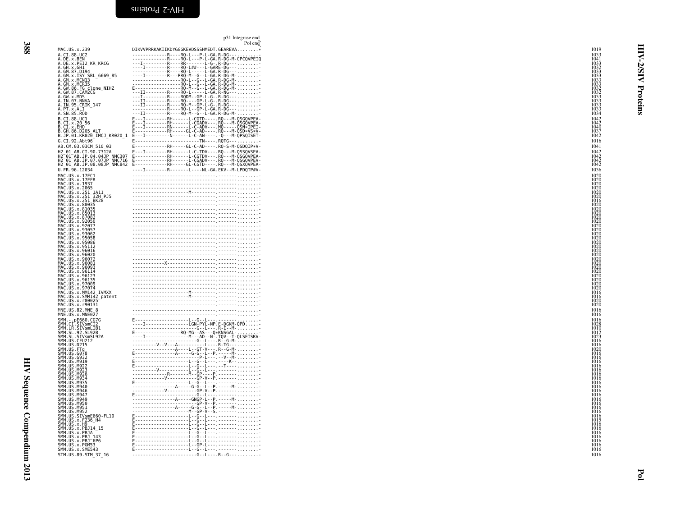<span id="page-15-0"></span>

|                                                                                                                                                                                                                         | p31 Integrase end<br>Pol end                                                                                                                                                                                                                                                                                                                                                                                                                               |
|-------------------------------------------------------------------------------------------------------------------------------------------------------------------------------------------------------------------------|------------------------------------------------------------------------------------------------------------------------------------------------------------------------------------------------------------------------------------------------------------------------------------------------------------------------------------------------------------------------------------------------------------------------------------------------------------|
| MAC.US.x.239                                                                                                                                                                                                            | DIKVVPRRKAKIIKDYGGGKEVDSSSHMEDT.GEAREVA*                                                                                                                                                                                                                                                                                                                                                                                                                   |
| A.CI.88.UC2<br>A.DE.x.BEN                                                                                                                                                                                               |                                                                                                                                                                                                                                                                                                                                                                                                                                                            |
| A.DE.x.PEI2 KR KRCG                                                                                                                                                                                                     |                                                                                                                                                                                                                                                                                                                                                                                                                                                            |
| 4.0E.x.FE12_hk_hktc<br>A.GH.x.GH1<br>A.GM.x.ISY_SBL_6669_85<br>A.GM.x.ISY_SBL_6669_85<br>A.GM.x.MCR35<br>A.GW.86.FG_clone_NIHZ<br>A.GW.86.FG_clone_NIHZ<br>A.GW.87_MDS                                                  |                                                                                                                                                                                                                                                                                                                                                                                                                                                            |
|                                                                                                                                                                                                                         |                                                                                                                                                                                                                                                                                                                                                                                                                                                            |
|                                                                                                                                                                                                                         |                                                                                                                                                                                                                                                                                                                                                                                                                                                            |
| A.GW.x.MDS                                                                                                                                                                                                              |                                                                                                                                                                                                                                                                                                                                                                                                                                                            |
| A.IN.07.NNVA<br>A.IN.07.NNVA<br>A.IN.95.CRIK_147                                                                                                                                                                        |                                                                                                                                                                                                                                                                                                                                                                                                                                                            |
| <br>A.PT.x.ALI<br>A.SN.85.ROD                                                                                                                                                                                           |                                                                                                                                                                                                                                                                                                                                                                                                                                                            |
|                                                                                                                                                                                                                         |                                                                                                                                                                                                                                                                                                                                                                                                                                                            |
|                                                                                                                                                                                                                         |                                                                                                                                                                                                                                                                                                                                                                                                                                                            |
|                                                                                                                                                                                                                         |                                                                                                                                                                                                                                                                                                                                                                                                                                                            |
| G.CI.92.Abt96                                                                                                                                                                                                           | E------------------------TN----.RQTG---                                                                                                                                                                                                                                                                                                                                                                                                                    |
| AB.CM.03.03CM 510 03                                                                                                                                                                                                    | E------------RH-----GL-C-AD----.RQ-S-M-QSDQIP*V-                                                                                                                                                                                                                                                                                                                                                                                                           |
|                                                                                                                                                                                                                         |                                                                                                                                                                                                                                                                                                                                                                                                                                                            |
|                                                                                                                                                                                                                         |                                                                                                                                                                                                                                                                                                                                                                                                                                                            |
|                                                                                                                                                                                                                         |                                                                                                                                                                                                                                                                                                                                                                                                                                                            |
| MAC.US.x.17EC1                                                                                                                                                                                                          |                                                                                                                                                                                                                                                                                                                                                                                                                                                            |
| MAC.US.x.17EFR<br>MAC.US.x.17EFR                                                                                                                                                                                        |                                                                                                                                                                                                                                                                                                                                                                                                                                                            |
| MAC.US.x.2065<br>MAC.US.x.251_1A11                                                                                                                                                                                      |                                                                                                                                                                                                                                                                                                                                                                                                                                                            |
|                                                                                                                                                                                                                         |                                                                                                                                                                                                                                                                                                                                                                                                                                                            |
| MAC.US.x.80035                                                                                                                                                                                                          |                                                                                                                                                                                                                                                                                                                                                                                                                                                            |
| MAC.US.x.80035<br>MAC.US.x.81035<br>MAC.US.x.85013<br>MAC.US.x.92050<br>MAC.US.x.92050<br>MAC.US.x.93057<br>MAC.US.x.93062                                                                                              |                                                                                                                                                                                                                                                                                                                                                                                                                                                            |
|                                                                                                                                                                                                                         |                                                                                                                                                                                                                                                                                                                                                                                                                                                            |
|                                                                                                                                                                                                                         |                                                                                                                                                                                                                                                                                                                                                                                                                                                            |
| MAC.US.x.93062<br>MAC.US.x.95058<br>MAC.US.x.95058                                                                                                                                                                      |                                                                                                                                                                                                                                                                                                                                                                                                                                                            |
| MAČ.ŬŠ.X.95086<br>MAC.US.x.95112                                                                                                                                                                                        |                                                                                                                                                                                                                                                                                                                                                                                                                                                            |
| MAC.ŬŠ.x.96016<br>MAC.US.x.96020                                                                                                                                                                                        |                                                                                                                                                                                                                                                                                                                                                                                                                                                            |
| MAC.US.x.96072<br>MAC.US.x.96072                                                                                                                                                                                        |                                                                                                                                                                                                                                                                                                                                                                                                                                                            |
| MAC.US.x.96093                                                                                                                                                                                                          |                                                                                                                                                                                                                                                                                                                                                                                                                                                            |
| MAC.US.x.9611<br>MAC.US.x.96123                                                                                                                                                                                         |                                                                                                                                                                                                                                                                                                                                                                                                                                                            |
| MAC.US.x.96135                                                                                                                                                                                                          |                                                                                                                                                                                                                                                                                                                                                                                                                                                            |
| MAC.US.x.97009<br>MAC.US.x.97074                                                                                                                                                                                        |                                                                                                                                                                                                                                                                                                                                                                                                                                                            |
| MAC.US.x.MM142 IVMXX<br>MAC.US.x.MM142 IVMXX<br>MAC.US.x.SMM035-patent                                                                                                                                                  |                                                                                                                                                                                                                                                                                                                                                                                                                                                            |
| MAC.US.x.r80025                                                                                                                                                                                                         |                                                                                                                                                                                                                                                                                                                                                                                                                                                            |
| MAC.US.x.r90131<br>MNE.US.82.MNE_8<br>MNE.US.x.MNE027                                                                                                                                                                   |                                                                                                                                                                                                                                                                                                                                                                                                                                                            |
|                                                                                                                                                                                                                         |                                                                                                                                                                                                                                                                                                                                                                                                                                                            |
|                                                                                                                                                                                                                         |                                                                                                                                                                                                                                                                                                                                                                                                                                                            |
| SMM. - .pE660.CG7G<br>SMM.CI.SIVsmCI2<br>SMM.LR.SIVsmLIB1<br>SMM.SL.92.SL92B<br>SMM.SL.SIVsmSL92A                                                                                                                       | $\begin{tabular}{ c c } \hline \multicolumn{3}{ c }{\hline \multicolumn{3}{ c }{\hline \multicolumn{3}{ c }{\hline \multicolumn{3}{ c }{\hline \multicolumn{3}{ c }{\hline \multicolumn{3}{ c }{\hline \multicolumn{3}{ c }{\hline \multicolumn{3}{ c }{\hline \multicolumn{3}{ c }{\hline \multicolumn{3}{ c }{\hline \multicolumn{3}{ c }{\hline \multicolumn{3}{ c }{\hline \multicolumn{3}{ c }{\hline \multicolumn{3}{ c }{\hline \multicolumn{3}{ c$ |
|                                                                                                                                                                                                                         |                                                                                                                                                                                                                                                                                                                                                                                                                                                            |
| SMM.US.CFU212<br>SMM.US.CFU212<br>SMM.US.PTg<br>SMM.US.FTg                                                                                                                                                              |                                                                                                                                                                                                                                                                                                                                                                                                                                                            |
|                                                                                                                                                                                                                         |                                                                                                                                                                                                                                                                                                                                                                                                                                                            |
|                                                                                                                                                                                                                         |                                                                                                                                                                                                                                                                                                                                                                                                                                                            |
| SMM . US . 0078<br>SMM . US . M919<br>SMM . US . M922<br>SMM . US . M923<br>SMM . US . M926<br>SMM . US . M926                                                                                                          |                                                                                                                                                                                                                                                                                                                                                                                                                                                            |
| SMM US M934                                                                                                                                                                                                             |                                                                                                                                                                                                                                                                                                                                                                                                                                                            |
| SMM. US . M935                                                                                                                                                                                                          |                                                                                                                                                                                                                                                                                                                                                                                                                                                            |
| SMM US M940<br>SMM.US.M946                                                                                                                                                                                              |                                                                                                                                                                                                                                                                                                                                                                                                                                                            |
| SMM.US.M947<br>SMM.US.M949                                                                                                                                                                                              |                                                                                                                                                                                                                                                                                                                                                                                                                                                            |
| SMM.US.M950                                                                                                                                                                                                             |                                                                                                                                                                                                                                                                                                                                                                                                                                                            |
| SMM.US.M951<br>SMM.US.M951<br>SMM.US.SIVsmE660-FL10                                                                                                                                                                     |                                                                                                                                                                                                                                                                                                                                                                                                                                                            |
| SMM.US.x.F236 H4                                                                                                                                                                                                        |                                                                                                                                                                                                                                                                                                                                                                                                                                                            |
| SMM . US . x . F 230 – H4<br>SMM . US . x . PB J14 – 15<br>SMM . US . x . PB J14 – 15<br>SMM . US . x . PB J143<br>SMM . US . x . PB J16 – 6<br>SMM . US . x . SME543<br>SMM . US . x . SME543<br>SMM . US . x . SME543 |                                                                                                                                                                                                                                                                                                                                                                                                                                                            |
|                                                                                                                                                                                                                         |                                                                                                                                                                                                                                                                                                                                                                                                                                                            |
|                                                                                                                                                                                                                         |                                                                                                                                                                                                                                                                                                                                                                                                                                                            |
|                                                                                                                                                                                                                         |                                                                                                                                                                                                                                                                                                                                                                                                                                                            |
| STM.US.89.STM 37 16                                                                                                                                                                                                     | -----------------------G--L----R--G---                                                                                                                                                                                                                                                                                                                                                                                                                     |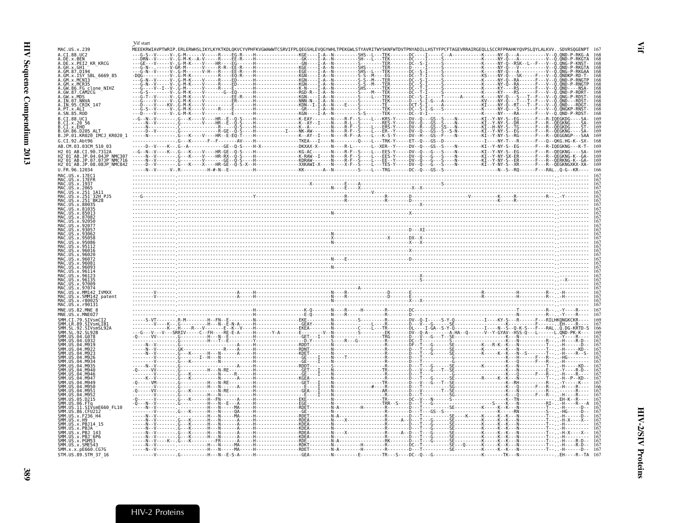<span id="page-16-1"></span><span id="page-16-0"></span>

|                                                                                                                      | Vif start |                                                                                                                                                                               |  |  |                                        |
|----------------------------------------------------------------------------------------------------------------------|-----------|-------------------------------------------------------------------------------------------------------------------------------------------------------------------------------|--|--|----------------------------------------|
| MAC.US.x.239<br>A.CI.88.UC2<br>A.DE.x.BEN                                                                            |           | .<br>MEEEKRWIAVPTWRIP.ERLERWHSLIKYLKYKTKDLQKVCYVPHFKVGWAWWTCSRVIFPLQEGSHLEVQGYWHLTPEKGWLSTYAVRITWYSKNFWTDVTPNYADILLHSTYFPCFTAGEVRRAIRGEQLLSCCRFPRAHKYQVPSLQYLALKVVSDVRSQGENPT |  |  |                                        |
| A.DĒ.X.PĒI2_KR_KRCG<br>A.GH.x.GH1<br>A.GM.87.D194                                                                    |           |                                                                                                                                                                               |  |  |                                        |
| GM.x.ISY SBL 6669 85<br>GM.x.MCN13                                                                                   |           |                                                                                                                                                                               |  |  |                                        |
| GM.x.MCR35                                                                                                           |           |                                                                                                                                                                               |  |  |                                        |
| GW.x.MDS<br>IN.07.NNVA                                                                                               |           |                                                                                                                                                                               |  |  |                                        |
| IN.95.CRIK 147<br>PT.x.ALI                                                                                           |           |                                                                                                                                                                               |  |  | 168                                    |
| A.SN.85.ROD<br>.CI.88.UC1                                                                                            |           |                                                                                                                                                                               |  |  | 169                                    |
| CI.x.2056<br>CI.X.EHO<br>.GH.86.D205 ALT                                                                             |           |                                                                                                                                                                               |  |  | 169<br>169<br>169                      |
| B.JP.01.KR020 IMCJ KR020 1<br>G.CI.92.Abt96                                                                          |           |                                                                                                                                                                               |  |  | 169<br>168                             |
| AB.CM.03.03CM 510 03<br>12 01 AB.CI.90.7312A                                                                         |           | ----DV--V---K--.G--A------------GE--Q-S----H-X-----------DKXAX-X-----N----R-L-----L--XER--Y-----DV--Q---GS--S----N---------KI--Y-NY-S--EG-----F---R-IQEGKNG---K-T-            |  |  |                                        |
| H2=01=AB.JP.04.04JP^NMC307<br>H2=01=AB.JP.07.07JP=NMC716<br>H2=01=AB.JP.08.08JP=NMC842<br>H2=01=AB.JP.08.08JP=NMC842 |           |                                                                                                                                                                               |  |  | 169<br>169<br>169                      |
| U.FR.96.12034                                                                                                        |           |                                                                                                                                                                               |  |  | 166                                    |
| MAC.US.x.17EC1<br>MAC.US.x.17EFR<br>MAC.US.x.1937                                                                    |           |                                                                                                                                                                               |  |  |                                        |
| MAC.US.x.251 1A11                                                                                                    |           |                                                                                                                                                                               |  |  |                                        |
| MAC.US.x.251 <sup>-</sup> 32H PJ5<br>MAC.US.x.251 <sup>-</sup> BK28                                                  |           |                                                                                                                                                                               |  |  |                                        |
|                                                                                                                      |           |                                                                                                                                                                               |  |  |                                        |
|                                                                                                                      |           |                                                                                                                                                                               |  |  |                                        |
|                                                                                                                      |           |                                                                                                                                                                               |  |  |                                        |
|                                                                                                                      |           |                                                                                                                                                                               |  |  |                                        |
|                                                                                                                      |           |                                                                                                                                                                               |  |  |                                        |
|                                                                                                                      |           |                                                                                                                                                                               |  |  |                                        |
|                                                                                                                      |           |                                                                                                                                                                               |  |  |                                        |
|                                                                                                                      |           |                                                                                                                                                                               |  |  | 167<br>167                             |
| x.97074.<br>MAC.US<br>.x.SMM142 patent                                                                               |           |                                                                                                                                                                               |  |  | 167<br>167<br>167<br>167<br>167        |
| x.080025<br>MAC.US.x.r90131                                                                                          |           |                                                                                                                                                                               |  |  |                                        |
| MNE.US.82.MNE 8<br>MNE.US.x.MNE027                                                                                   |           |                                                                                                                                                                               |  |  | 167<br>167                             |
| CT.79.STVsmCT2<br>.89.SIVsmLIB1<br>92.SIVsmSL92A                                                                     |           |                                                                                                                                                                               |  |  |                                        |
|                                                                                                                      |           |                                                                                                                                                                               |  |  | 167<br>166<br>169<br>167<br>167<br>167 |
|                                                                                                                      |           |                                                                                                                                                                               |  |  |                                        |
|                                                                                                                      |           |                                                                                                                                                                               |  |  |                                        |
|                                                                                                                      |           |                                                                                                                                                                               |  |  |                                        |
|                                                                                                                      |           |                                                                                                                                                                               |  |  |                                        |
|                                                                                                                      |           |                                                                                                                                                                               |  |  |                                        |
|                                                                                                                      |           |                                                                                                                                                                               |  |  |                                        |
| SIVsmE660 FL10                                                                                                       |           |                                                                                                                                                                               |  |  | 167                                    |
| US.x.F236 H4                                                                                                         |           |                                                                                                                                                                               |  |  | 167<br>167<br>167                      |
| . x . PB.14                                                                                                          |           |                                                                                                                                                                               |  |  | 167                                    |
| <b>SMM</b><br>.x.PBJ 143<br>SMM.US.x.PBJ <sup>-</sup> 6P6                                                            |           |                                                                                                                                                                               |  |  | 167                                    |
| .x.PGM53<br>SMM.US.x.SME543<br>SMM.x.x.pE660.CG7G                                                                    |           |                                                                                                                                                                               |  |  | 167<br>$\frac{167}{167}$               |
| STM.US.89.STM 37 16                                                                                                  |           |                                                                                                                                                                               |  |  | 167                                    |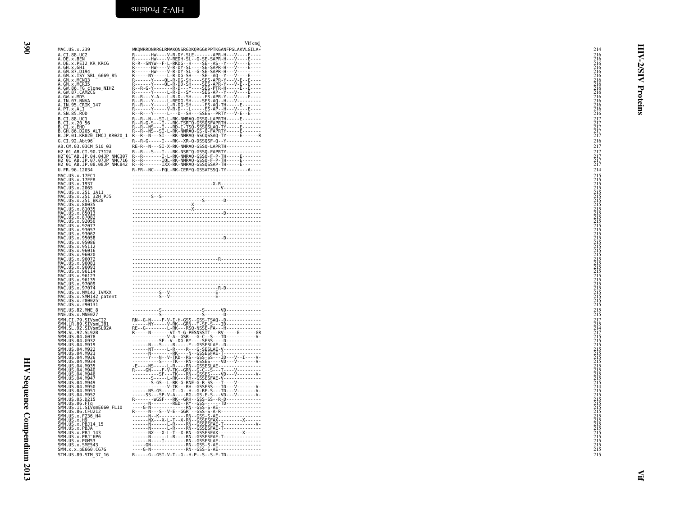<span id="page-17-0"></span>

| MAC.US.x.239                                                                                                                                                                                                                                                      | Vif end<br>WKQWRRDNRRGLRMAKQNSRGDKQRGGKPPTKGANFPGLAKVLGILA*                                                                                                                                                                                                                                                                                                             | 214                                                                          |               |
|-------------------------------------------------------------------------------------------------------------------------------------------------------------------------------------------------------------------------------------------------------------------|-------------------------------------------------------------------------------------------------------------------------------------------------------------------------------------------------------------------------------------------------------------------------------------------------------------------------------------------------------------------------|------------------------------------------------------------------------------|---------------|
| A.CI.88.UC2<br>A.DE.x.BEN<br>A.DE.x.PEI2_KR_KRCG                                                                                                                                                                                                                  |                                                                                                                                                                                                                                                                                                                                                                         |                                                                              |               |
|                                                                                                                                                                                                                                                                   |                                                                                                                                                                                                                                                                                                                                                                         |                                                                              |               |
|                                                                                                                                                                                                                                                                   |                                                                                                                                                                                                                                                                                                                                                                         |                                                                              | <b>AISI</b> Z |
|                                                                                                                                                                                                                                                                   |                                                                                                                                                                                                                                                                                                                                                                         |                                                                              |               |
| A.DE.X.PELZ_NK_NKCG<br>A.GH.X.GH1<br>A.GM.X.ISY<br>A.GM.X.ISY<br>A.GM.X.MCNI3<br>A.GM.X.MCR35<br>A.GW.86.FG<br>CLOR.COM.COMPICA<br>A.GW.87.CAM2CG                                                                                                                 |                                                                                                                                                                                                                                                                                                                                                                         |                                                                              |               |
| A.GW.x.MDS                                                                                                                                                                                                                                                        |                                                                                                                                                                                                                                                                                                                                                                         |                                                                              |               |
| A.IN.07.NNVA<br>A.IN.95.CRIK_147<br>A.PT.x.ALI__<br>A.SN.85.ROD                                                                                                                                                                                                   |                                                                                                                                                                                                                                                                                                                                                                         |                                                                              | Proteins      |
|                                                                                                                                                                                                                                                                   |                                                                                                                                                                                                                                                                                                                                                                         |                                                                              |               |
|                                                                                                                                                                                                                                                                   |                                                                                                                                                                                                                                                                                                                                                                         | $\begin{array}{c} 217 \\ 217 \\ 217 \\ 217 \\ 217 \\ 217 \\ 217 \end{array}$ |               |
|                                                                                                                                                                                                                                                                   |                                                                                                                                                                                                                                                                                                                                                                         |                                                                              |               |
| G.CI.92.Abt96<br>AB.CM.03.03CM 510 03                                                                                                                                                                                                                             | R--R-G-----I---RK--XR-Q-DSSQSF-Q--Y-------------<br>RE-R--N---SI-X-RK-NNRAQ-GSSQ-LAPRTH-------------                                                                                                                                                                                                                                                                    | 216<br>217                                                                   |               |
|                                                                                                                                                                                                                                                                   |                                                                                                                                                                                                                                                                                                                                                                         |                                                                              |               |
| H2 01 AB.CI.90.7312A<br>H2 01 AB.CI.90.7312A<br>H2 01 AB.JP.04.04JP NMC307<br>H2 01 AB.JP.07.07JP NMC716<br>H2 01 AB.JP.08.08JP NMC842                                                                                                                            |                                                                                                                                                                                                                                                                                                                                                                         | $\frac{217}{217}$<br>$\frac{217}{217}$                                       |               |
| U.FR.96.12034                                                                                                                                                                                                                                                     | R-FR--NC---FQL-RK-CERYQ-GSSATSSQ-TY--------A----                                                                                                                                                                                                                                                                                                                        | 214                                                                          |               |
| MAC.US.x.17EC1<br>MAC.US.x.17EFR<br>MAC.US.x.1937                                                                                                                                                                                                                 |                                                                                                                                                                                                                                                                                                                                                                         |                                                                              |               |
|                                                                                                                                                                                                                                                                   | $\frac{1}{5 \cdot 5}$                                                                                                                                                                                                                                                                                                                                                   |                                                                              |               |
| MAC.US.x.193<br>MAC.US.x.251_1A11<br>MAC.US.x.251_1A11<br>MAC.US.x.251_32H<br>MAC.US.x.251_BK28<br>MAC.US.x.81035<br>MAC.US.x.81033<br>MAC.US.x.81033<br>MAC.US.x.87082<br>MAC.US.x.87082<br>MAC.US.x.87082<br>32H PJ5                                            |                                                                                                                                                                                                                                                                                                                                                                         |                                                                              |               |
|                                                                                                                                                                                                                                                                   |                                                                                                                                                                                                                                                                                                                                                                         |                                                                              |               |
|                                                                                                                                                                                                                                                                   |                                                                                                                                                                                                                                                                                                                                                                         |                                                                              |               |
| MAC.US.x.92050<br>MAC.US.x.92050                                                                                                                                                                                                                                  | $\begin{picture}(100,100)(0,-0.5) \put(0,0){\vector(1,0){100}} \put(10,0){\vector(1,0){100}} \put(10,0){\vector(1,0){100}} \put(10,0){\vector(1,0){100}} \put(10,0){\vector(1,0){100}} \put(10,0){\vector(1,0){100}} \put(10,0){\vector(1,0){100}} \put(10,0){\vector(1,0){100}} \put(10,0){\vector(1,0){100}} \put(10,0){\vector(1,0){100}} \put(10,0){\vector(1$      |                                                                              |               |
| MAC.US.x.93057<br>MAC.US.x.93057<br>MAC.US.x.95058<br>MAC.US.x.95058                                                                                                                                                                                              |                                                                                                                                                                                                                                                                                                                                                                         |                                                                              |               |
|                                                                                                                                                                                                                                                                   |                                                                                                                                                                                                                                                                                                                                                                         |                                                                              |               |
| MAC.US.X.95086<br>MAC.US.x.95112<br>MAC.US.x.96016<br>MAC.US.x.96020<br>MAC.US.x.96093<br>MAC.US.x.96093<br>MAC.US.x.96093                                                                                                                                        |                                                                                                                                                                                                                                                                                                                                                                         |                                                                              |               |
|                                                                                                                                                                                                                                                                   |                                                                                                                                                                                                                                                                                                                                                                         |                                                                              |               |
|                                                                                                                                                                                                                                                                   |                                                                                                                                                                                                                                                                                                                                                                         |                                                                              |               |
|                                                                                                                                                                                                                                                                   |                                                                                                                                                                                                                                                                                                                                                                         |                                                                              |               |
| MAC.US.x.96093<br>MAC.US.x.96114<br>MAC.US.x.96135<br>MAC.US.x.96135<br>MAC.US.x.97004<br>MAC.US.x.MM142_IVMXX<br>MAC.US.x.790014<br>MAC.US.x.780025<br>MAC.US.x.700131                                                                                           | $\begin{picture}(120,111){\small\bf 1} \put(0,0){\small\bf 1} \put(10,0){\small\bf 1} \put(10,0){\small\bf 1} \put(10,0){\small\bf 1} \put(10,0){\small\bf 1} \put(10,0){\small\bf 1} \put(10,0){\small\bf 1} \put(10,0){\small\bf 1} \put(10,0){\small\bf 1} \put(10,0){\small\bf 1} \put(10,0){\small\bf 1} \put(10,0){\small\bf 1} \put(10,0){\small\bf 1} \put(10,$ |                                                                              |               |
|                                                                                                                                                                                                                                                                   |                                                                                                                                                                                                                                                                                                                                                                         |                                                                              |               |
| MAC.US.x.r90131                                                                                                                                                                                                                                                   |                                                                                                                                                                                                                                                                                                                                                                         |                                                                              |               |
| MNE.US.82.MNE 8<br>MNE.US.x.MNE027                                                                                                                                                                                                                                |                                                                                                                                                                                                                                                                                                                                                                         | $^{215}_{215}$                                                               |               |
|                                                                                                                                                                                                                                                                   |                                                                                                                                                                                                                                                                                                                                                                         |                                                                              |               |
|                                                                                                                                                                                                                                                                   |                                                                                                                                                                                                                                                                                                                                                                         |                                                                              |               |
|                                                                                                                                                                                                                                                                   |                                                                                                                                                                                                                                                                                                                                                                         |                                                                              |               |
| SMM. US . 04. M922                                                                                                                                                                                                                                                |                                                                                                                                                                                                                                                                                                                                                                         |                                                                              |               |
| SMM . US . 04 . M922<br>SMM . US . 04 . M923<br>SMM . US . 04 . M926<br>SMM . US . 04 . M935<br>SMM . US . 04 . M935                                                                                                                                              |                                                                                                                                                                                                                                                                                                                                                                         |                                                                              |               |
| SMM. US. 04. M946                                                                                                                                                                                                                                                 |                                                                                                                                                                                                                                                                                                                                                                         |                                                                              |               |
| SMM.US.04.M947                                                                                                                                                                                                                                                    |                                                                                                                                                                                                                                                                                                                                                                         |                                                                              |               |
|                                                                                                                                                                                                                                                                   |                                                                                                                                                                                                                                                                                                                                                                         |                                                                              |               |
| SMM . US . 04 . M949<br>SMM . US . 04 . M950<br>SMM . US . 04 . M950<br>SMM . US . 04 . M952<br>SMM . US . 05 . D215                                                                                                                                              |                                                                                                                                                                                                                                                                                                                                                                         |                                                                              |               |
| SMM. US. 06. D215<br>SMM. US. 06. FTq<br>SMM. US. 31. CEV.<br>SMM. US. 86. CEV.<br>SMM. US. 86. CEV.<br>SMM. US. x. F2<br>SMM. US. x. FH9<br>SMM. US. x. PB314<br>SMM. US. x. PB314<br>SMM. US. x. PB314<br>SMM. US. x. PB31<br>SMM. US. x. PB3168<br>SMM. US. x. |                                                                                                                                                                                                                                                                                                                                                                         |                                                                              |               |
|                                                                                                                                                                                                                                                                   |                                                                                                                                                                                                                                                                                                                                                                         |                                                                              |               |
|                                                                                                                                                                                                                                                                   |                                                                                                                                                                                                                                                                                                                                                                         |                                                                              |               |
|                                                                                                                                                                                                                                                                   |                                                                                                                                                                                                                                                                                                                                                                         |                                                                              |               |
| SMM. US. x. PGM53<br>SMM. US. x. SME543                                                                                                                                                                                                                           |                                                                                                                                                                                                                                                                                                                                                                         |                                                                              |               |
| SMM. x. x. pE660. CG7G<br>STM.US.89.STM 37 16                                                                                                                                                                                                                     | R - - - - - G - - GSI - V - T - - G - - H - P - - S - - S - E - TD - - - - - - - - - - - - -                                                                                                                                                                                                                                                                            | 215                                                                          |               |
|                                                                                                                                                                                                                                                                   |                                                                                                                                                                                                                                                                                                                                                                         |                                                                              |               |
|                                                                                                                                                                                                                                                                   |                                                                                                                                                                                                                                                                                                                                                                         |                                                                              |               |
|                                                                                                                                                                                                                                                                   |                                                                                                                                                                                                                                                                                                                                                                         |                                                                              |               |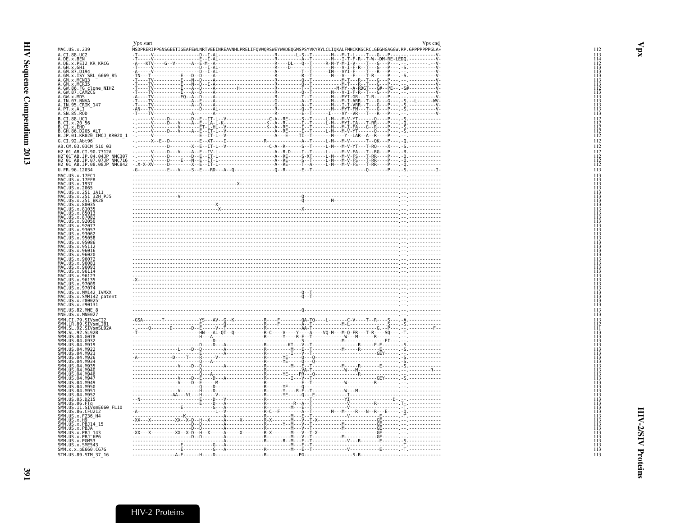<span id="page-18-1"></span><span id="page-18-0"></span>

|                                                                                                                                                                              | Vpx start                                                                                                          |                                                                              | Vpx end |
|------------------------------------------------------------------------------------------------------------------------------------------------------------------------------|--------------------------------------------------------------------------------------------------------------------|------------------------------------------------------------------------------|---------|
| MAC.US.x.239                                                                                                                                                                 | MSDPRERIPPGNSGEETIGEAFEWLNRTVEEINREAVNHLPRELIFQVWQRSWEYWHDEQGMSPSYVKYRYLCLIQKALFMHCKKGCRCLGEGHGAGGW.RP.GPPPPPPGLA* |                                                                              |         |
| A.CI.88.UC2<br>A.DE.x.BEN                                                                                                                                                    | -T-----V------------------<br>$-D - -I - AL$                                                                       | -------------------------R-------L-S--T--------M---M-I-L-----T---G---P---.-- |         |
| A.DE.x.PEI2 KR KRCG<br>A.GH.x.GH1                                                                                                                                            |                                                                                                                    |                                                                              |         |
| A.GM.87.D194<br>A.GM.x.ISY SBL 6669 85                                                                                                                                       |                                                                                                                    |                                                                              |         |
| A.GM.x.MCN13                                                                                                                                                                 |                                                                                                                    |                                                                              |         |
| A.GM.x.MCR35                                                                                                                                                                 |                                                                                                                    |                                                                              |         |
| A.GW.86.FG clone_NIHZ<br>A.GW.87.CAM2CG                                                                                                                                      |                                                                                                                    |                                                                              |         |
| A.GW.X.MDS<br>A.IN.07.NNVA<br>A.IN.95.CRIK_147<br>A.P.T.X.ALI                                                                                                                |                                                                                                                    |                                                                              |         |
|                                                                                                                                                                              |                                                                                                                    |                                                                              |         |
| A.SN.85.ROD                                                                                                                                                                  |                                                                                                                    |                                                                              |         |
| B.CI.88.UC1<br>B.CI.x.20 56<br>B.CI.x.EHO<br>B.GH.86.D205.ALT                                                                                                                |                                                                                                                    |                                                                              |         |
|                                                                                                                                                                              |                                                                                                                    |                                                                              |         |
| B.JP.01.KR020_IMCJ_KR020_1                                                                                                                                                   |                                                                                                                    |                                                                              |         |
| G.CI.92.Abt96                                                                                                                                                                |                                                                                                                    |                                                                              |         |
| AB.CM.03.03CM_510_03                                                                                                                                                         |                                                                                                                    |                                                                              |         |
| H2 01 AB.CI.90.7312A                                                                                                                                                         |                                                                                                                    |                                                                              |         |
| H2-01-AB.JP.04.04JP NMC307<br>H2-01-AB.JP.07.07JP NMC716                                                                                                                     |                                                                                                                    |                                                                              |         |
| H2 01 AB.JP.08.08JP NMC842<br>U.FR.96.12034                                                                                                                                  |                                                                                                                    |                                                                              |         |
|                                                                                                                                                                              |                                                                                                                    |                                                                              |         |
| MAC. US. x. 17EC1<br>MAC. US. x. 17EFR<br>MAC. US. x. 1937<br>MAC. US. x. 2065                                                                                               |                                                                                                                    |                                                                              |         |
|                                                                                                                                                                              |                                                                                                                    |                                                                              |         |
| MAC.US.X.251_1A11<br>MAC.US.x.251_32H_PJ5<br>MAC.US.x.251_BK28<br>MAC.US.x.80035                                                                                             |                                                                                                                    |                                                                              |         |
|                                                                                                                                                                              |                                                                                                                    |                                                                              |         |
| MAC.US.x.81035<br>MAC.US.x.81035                                                                                                                                             |                                                                                                                    |                                                                              |         |
| MAC.US.x.87082                                                                                                                                                               |                                                                                                                    |                                                                              |         |
| MAC.US.x.92050<br>MAC.US.x.92077                                                                                                                                             |                                                                                                                    |                                                                              |         |
| MAC.US.x.93057<br>MAC.US.x.93062                                                                                                                                             |                                                                                                                    |                                                                              |         |
| MAC.US.x.95058                                                                                                                                                               |                                                                                                                    |                                                                              |         |
| MAC.US.x.95086<br>MAC.US.x.95112                                                                                                                                             |                                                                                                                    |                                                                              |         |
| MAC.US.x.96016<br>MAC.US.x.96020<br>MAC.US.x.96072<br>MAC.US.x.96081                                                                                                         |                                                                                                                    |                                                                              |         |
|                                                                                                                                                                              |                                                                                                                    |                                                                              |         |
| MAC NS x 96093                                                                                                                                                               |                                                                                                                    |                                                                              |         |
| MAC.US.x.90993<br>MAC.US.x.96123<br>MAC.US.x.96135<br>MAC.US.x.97009<br>MAC.US.x.970094                                                                                      |                                                                                                                    |                                                                              |         |
|                                                                                                                                                                              |                                                                                                                    |                                                                              |         |
| MAC.US.x.97074<br>MAC.US.x.97074<br>MAC.US.x.MM142_IVMXX                                                                                                                     |                                                                                                                    |                                                                              |         |
| MAC.US.x.SMM142_patent<br>MAC.US.x.r80025                                                                                                                                    |                                                                                                                    |                                                                              |         |
| MAC.US.x.r90131                                                                                                                                                              |                                                                                                                    |                                                                              |         |
| MNE.US.82.MNE 8                                                                                                                                                              |                                                                                                                    |                                                                              |         |
| MNE.US.x.MNE027<br>SMM.CI.Z9.SIVSMCI2                                                                                                                                        |                                                                                                                    |                                                                              |         |
| SMM.CL.79.SIVSMCL2<br>SMM.CL.89.SIVSmLIB1<br>SMM.SL.92.SIVSmSL92A<br>SMM.US.04.G078<br>SMM.US.04.G078<br>SMM.US.04.G932<br>SMM.US.04.M919                                    |                                                                                                                    |                                                                              |         |
|                                                                                                                                                                              |                                                                                                                    |                                                                              |         |
|                                                                                                                                                                              |                                                                                                                    |                                                                              |         |
|                                                                                                                                                                              |                                                                                                                    |                                                                              |         |
| SMM.US.04.M922<br>SMM.US.04.M923                                                                                                                                             |                                                                                                                    |                                                                              |         |
| SMM.US.04.M926<br>SMM.US.04.M934                                                                                                                                             |                                                                                                                    |                                                                              |         |
| SMM.US.04.M935<br>SMM.US.04.M940                                                                                                                                             |                                                                                                                    |                                                                              |         |
| SMM.US.04.M946                                                                                                                                                               |                                                                                                                    |                                                                              |         |
| SMM.US.04.M947<br>SMM.US.04.M949                                                                                                                                             |                                                                                                                    |                                                                              |         |
| SMM.US.04.M950<br>SMM.US.04.M951                                                                                                                                             |                                                                                                                    |                                                                              |         |
| SMM.US.04.M952                                                                                                                                                               |                                                                                                                    |                                                                              |         |
| SMM.US.05.D215                                                                                                                                                               |                                                                                                                    |                                                                              |         |
| 3mm. US. 06. FTq<br>SMM. US. 11. STV<br>SMM. US. 36. CFU212<br>SMM. US. 36. CFU212<br>SMM. US. x. F236<br>SMM. US. x. H9<br>SMM. US. x. H9<br>SMM. US. x. PR114. 15          |                                                                                                                    |                                                                              |         |
|                                                                                                                                                                              |                                                                                                                    |                                                                              |         |
|                                                                                                                                                                              |                                                                                                                    |                                                                              |         |
|                                                                                                                                                                              |                                                                                                                    |                                                                              |         |
|                                                                                                                                                                              |                                                                                                                    |                                                                              |         |
| SMM. US. x. H9<br>SMM. US. x. PBJ14 - 15<br>SMM. US. x. PBJ4 - 43<br>SMM. US. x. PBJ - 143<br>SMM. US. x. PGM53<br>SMM. US. x. PGM53<br>CMM. V. x. PGM53<br>SMM. V. x. PG660 |                                                                                                                    |                                                                              |         |
| SMM.x.x.pE660.CG7G<br>STM.US.89.STM_37 16                                                                                                                                    |                                                                                                                    |                                                                              |         |
|                                                                                                                                                                              |                                                                                                                    |                                                                              |         |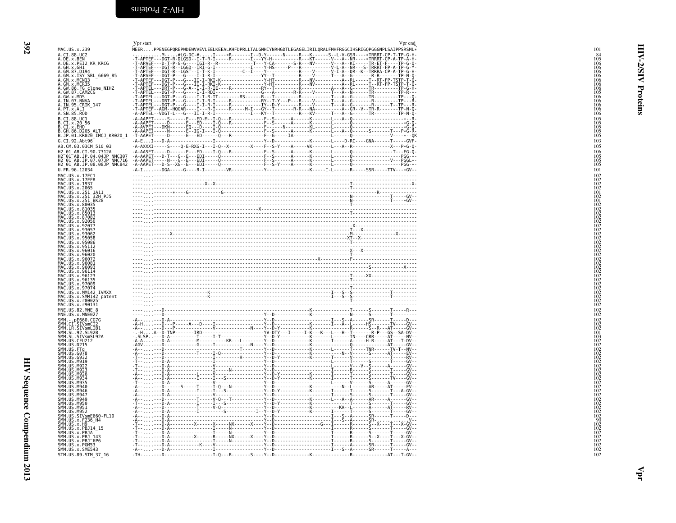<span id="page-19-1"></span><span id="page-19-0"></span>

|                                                                                                                                                                              | Vpr start<br>Vpr end                                                                                        |
|------------------------------------------------------------------------------------------------------------------------------------------------------------------------------|-------------------------------------------------------------------------------------------------------------|
| MAC.US.x.239                                                                                                                                                                 | .<br>MEERPPENEGPQREPWDEWVVEVLEELKEEALKHFDPRLLTALGNHIYNRHGDTLEGAGELIRILQRALFMHFRGGCIHSRIGQPGGGNPLSAIPPSRSML* |
| A.CI.88.UC2                                                                                                                                                                  |                                                                                                             |
| A.DE.x.BEN                                                                                                                                                                   |                                                                                                             |
| A.DE.x.PEI2 KR KRCG                                                                                                                                                          |                                                                                                             |
| A.GH.x.GH1                                                                                                                                                                   |                                                                                                             |
| A. GM. 87. D194<br>A. GM. x. ISY SBL_6669_85<br>A. GM. x. MCN13<br>A. GM. x. MCR35                                                                                           |                                                                                                             |
|                                                                                                                                                                              |                                                                                                             |
|                                                                                                                                                                              |                                                                                                             |
| A.GW.86.FG clone_NIHZ<br>A.GW.87.CAM2CG                                                                                                                                      |                                                                                                             |
|                                                                                                                                                                              |                                                                                                             |
| A.GW.X.MDS<br>A.IN.07.NNVA                                                                                                                                                   |                                                                                                             |
| A.IN.95.CRIK 147                                                                                                                                                             |                                                                                                             |
| A.PT.x.ALI                                                                                                                                                                   |                                                                                                             |
| A.SN.85.ROD                                                                                                                                                                  |                                                                                                             |
| B.CI.88.UC1                                                                                                                                                                  |                                                                                                             |
|                                                                                                                                                                              |                                                                                                             |
| B.CI.x.20 56<br>B.CI.x.EHO<br>B.GH.86.D205_ALT                                                                                                                               |                                                                                                             |
| B.JP.01.KR020 IMCJ KR020 1                                                                                                                                                   |                                                                                                             |
| G.CI.92.Abt96                                                                                                                                                                |                                                                                                             |
| AB.CM.03.03CM 510 03                                                                                                                                                         |                                                                                                             |
| H2 01 AB.CI.90.7312A                                                                                                                                                         |                                                                                                             |
|                                                                                                                                                                              |                                                                                                             |
| H2-01-AB.JP.04.04JP NMC307<br>H2-01-AB.JP.07.07JP NMC716<br>H2-01-AB.JP.08.08JP NMC842                                                                                       |                                                                                                             |
|                                                                                                                                                                              |                                                                                                             |
| U.FR.96.12034                                                                                                                                                                |                                                                                                             |
|                                                                                                                                                                              |                                                                                                             |
|                                                                                                                                                                              |                                                                                                             |
| MAC.US.x.17EC1<br>MAC.US.x.17EFR<br>MAC.US.x.1937<br>MAC.US.x.2065<br>MAC.US.x.2065                                                                                          |                                                                                                             |
| MAC.US.x.251_1A11                                                                                                                                                            |                                                                                                             |
|                                                                                                                                                                              |                                                                                                             |
| MAC.US.x.251-32H PJ5<br>MAC.US.x.251-BK28                                                                                                                                    |                                                                                                             |
| MAC.US.x.80035                                                                                                                                                               |                                                                                                             |
| MAC.US.x.81035                                                                                                                                                               |                                                                                                             |
| MAC.US.x.85013<br>MAC.US.x.87082                                                                                                                                             |                                                                                                             |
| MAC.US.x.92050                                                                                                                                                               |                                                                                                             |
| MAC.US.x.92077                                                                                                                                                               |                                                                                                             |
| MAC.US.x.93057                                                                                                                                                               |                                                                                                             |
| MAC.US.x.93062                                                                                                                                                               |                                                                                                             |
| MAC.US.x.95058<br>MAC.US.x.95086                                                                                                                                             |                                                                                                             |
| MAC.US.x.95112                                                                                                                                                               |                                                                                                             |
| MAC.US.x.96016                                                                                                                                                               |                                                                                                             |
| MAC.US.x.96020                                                                                                                                                               |                                                                                                             |
| MAC.US.x.96072<br>MAC.US.x.96081                                                                                                                                             |                                                                                                             |
| MAC.US.x.96093                                                                                                                                                               |                                                                                                             |
| MAC.US.x.96114                                                                                                                                                               |                                                                                                             |
| MAC.US.x.96123                                                                                                                                                               |                                                                                                             |
| MAC.US.x.96135                                                                                                                                                               |                                                                                                             |
| MAC.US.x.97009<br>MAC.US.x.97074                                                                                                                                             |                                                                                                             |
|                                                                                                                                                                              |                                                                                                             |
| MAC.US.x.MM142 IVMXX<br>MAC.US.x.SMM142 patent                                                                                                                               |                                                                                                             |
| MAC.US.x.r80025                                                                                                                                                              |                                                                                                             |
| MAC.US.x.r90131                                                                                                                                                              |                                                                                                             |
| MNE.US.82.MNE 8                                                                                                                                                              |                                                                                                             |
| MNE.US.x.MNE027                                                                                                                                                              |                                                                                                             |
|                                                                                                                                                                              |                                                                                                             |
| MWL. . DE660.CG7G<br>SMM. . CL. SIVSMCI2<br>SMM. LR. SIVSMLIB1<br>SMM. SL. . SIVSMLIB1<br>SMM. SL. . SIVSMSL92A<br>SMM. US. . CFU212<br>SMM. US. . CFU212<br>SMM. US. . D215 |                                                                                                             |
|                                                                                                                                                                              |                                                                                                             |
|                                                                                                                                                                              |                                                                                                             |
|                                                                                                                                                                              |                                                                                                             |
| SMM.US.FTq                                                                                                                                                                   |                                                                                                             |
| SMM. US. G078                                                                                                                                                                |                                                                                                             |
| SMM. US. G932                                                                                                                                                                |                                                                                                             |
| SMM.US.M919                                                                                                                                                                  |                                                                                                             |
| SMM.US.M922                                                                                                                                                                  |                                                                                                             |
| SMM.US.M923<br>SMM. US.M926                                                                                                                                                  |                                                                                                             |
| SMM.US.M934                                                                                                                                                                  |                                                                                                             |
| SMM. US.M935                                                                                                                                                                 |                                                                                                             |
| SMM. US. M940                                                                                                                                                                |                                                                                                             |
| <b>SMM.US.M946</b>                                                                                                                                                           |                                                                                                             |
| SMM. US.M947<br>SMM. US.M949                                                                                                                                                 |                                                                                                             |
| SMM.US.M950                                                                                                                                                                  |                                                                                                             |
| SMM.US.M951                                                                                                                                                                  |                                                                                                             |
|                                                                                                                                                                              |                                                                                                             |
| SMM.US.M952<br>SMM.US.SIVsmE660-FL10<br>SMM.US.x.F236_H4                                                                                                                     |                                                                                                             |
|                                                                                                                                                                              |                                                                                                             |
| SMM.US.x.H9<br>SMM.US.x.PBJ14_15                                                                                                                                             |                                                                                                             |
|                                                                                                                                                                              |                                                                                                             |
| SMM. US. x. PBJA<br>SMM. US. x. PBJ 143<br>SMM. US. x. PBJ 143<br>SMM. US. x. PBJ 6P6<br>SMM. US. x. PGM53                                                                   |                                                                                                             |
|                                                                                                                                                                              |                                                                                                             |
| SMM.US.x.SME543                                                                                                                                                              |                                                                                                             |
| STM.US.89.STM 37 16                                                                                                                                                          |                                                                                                             |
|                                                                                                                                                                              |                                                                                                             |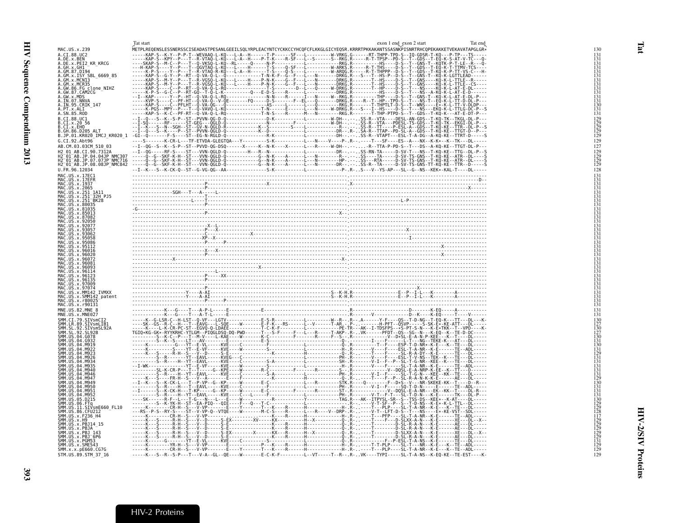<span id="page-20-1"></span><span id="page-20-0"></span>

|                                                                                                                                                                                                                             | Tat start<br>exon 1 end exon 2 start<br>Tat end                                                                                           |  |
|-----------------------------------------------------------------------------------------------------------------------------------------------------------------------------------------------------------------------------|-------------------------------------------------------------------------------------------------------------------------------------------|--|
| MAC.US.x.239                                                                                                                                                                                                                | .<br>METPLREQENSLESSNERSSCISEADASTPESANLGEEILSQLYRPLEACYNTCYCKKCCYHCQFCFLKKGLGICYEQSR.KRRRTPKKAKANTSSASNKPISNRTRHCQPEKAKKETVEKAVATAPGLGR« |  |
| A.CI.88.UC2<br>A.DE.x.BEN                                                                                                                                                                                                   |                                                                                                                                           |  |
| A.DE.x.PEI2 KR KRCG                                                                                                                                                                                                         |                                                                                                                                           |  |
| A.GH.X.GH1<br>A.GM.87.D194<br>A.GM.x.ISY_SBL_6669_85<br>A.GM.x.MCN13                                                                                                                                                        |                                                                                                                                           |  |
|                                                                                                                                                                                                                             |                                                                                                                                           |  |
| A.GM.x.MCR35                                                                                                                                                                                                                |                                                                                                                                           |  |
| A.GW.86.FG clone_NIHZ<br>A.GW.87.CAM2CG<br>A.GW.x.MDS                                                                                                                                                                       |                                                                                                                                           |  |
| A. IN. 07. NNVA<br>A. IN. 95. CRIK_147                                                                                                                                                                                      |                                                                                                                                           |  |
|                                                                                                                                                                                                                             |                                                                                                                                           |  |
| A. PT. x. ALI<br>A. SN. 85. ROD                                                                                                                                                                                             |                                                                                                                                           |  |
| B.CI.88.UC1                                                                                                                                                                                                                 |                                                                                                                                           |  |
| B.CI.x.20 56<br>B.CI.x.EHO                                                                                                                                                                                                  |                                                                                                                                           |  |
| B.GH.86.D205 ALT<br>B.JP.01.KR020_IMCJ_KR020_1                                                                                                                                                                              |                                                                                                                                           |  |
| G.CI.92.Abt96                                                                                                                                                                                                               |                                                                                                                                           |  |
| AB.CM.03.03CM 510 03<br>AB.CI.90.7312A                                                                                                                                                                                      |                                                                                                                                           |  |
| H2-01-AB.JP.04.04JP NMC307<br>H2-01-AB.JP.07.07JP NMC716                                                                                                                                                                    |                                                                                                                                           |  |
| H2 01 AB.JP.08.08JP NMC842                                                                                                                                                                                                  |                                                                                                                                           |  |
| U.FR.96.12034                                                                                                                                                                                                               |                                                                                                                                           |  |
| U. F. 190. 12034<br>MAC. US. x. 17EC1<br>MAC. US. x. 17EFR<br>MAC. US. x. 1985<br>MAC. US. x. 2505<br>MAC. US. x. 251_32H<br>PJS. X. 251_32H<br>MAC. US. x. 251_32H<br>PJS.<br>MAC. US. x. 251_8K2B<br>MAC. US. x. 251_8K2B |                                                                                                                                           |  |
|                                                                                                                                                                                                                             |                                                                                                                                           |  |
|                                                                                                                                                                                                                             |                                                                                                                                           |  |
|                                                                                                                                                                                                                             |                                                                                                                                           |  |
| MAC.US.x.80035                                                                                                                                                                                                              |                                                                                                                                           |  |
| MAC.US.x.81035<br>MAC.US.x.85013<br>US.x.87082                                                                                                                                                                              |                                                                                                                                           |  |
| MAC.US.x.92050                                                                                                                                                                                                              |                                                                                                                                           |  |
| MAC.US.x.92077<br>MAC.US.x.9305                                                                                                                                                                                             |                                                                                                                                           |  |
| .x.9306<br>MAC.US.x.95058                                                                                                                                                                                                   |                                                                                                                                           |  |
| 4AC US x 95086<br>.US. x . 95112                                                                                                                                                                                            |                                                                                                                                           |  |
| US x 96016                                                                                                                                                                                                                  |                                                                                                                                           |  |
| MAC.US.x.96020<br>MAC.US.x.96072                                                                                                                                                                                            |                                                                                                                                           |  |
| MAC.US.x.96081<br>MAC. US. x. 96093                                                                                                                                                                                         |                                                                                                                                           |  |
| MAC.US.x.96114<br>MAC.US.x.96123                                                                                                                                                                                            |                                                                                                                                           |  |
| MAC.US.x.96135                                                                                                                                                                                                              |                                                                                                                                           |  |
| MAC.US.x.97009<br>MAČ.UŠ.x.97074<br>MAČ.UŠ.x.MM142 IVMXX                                                                                                                                                                    |                                                                                                                                           |  |
|                                                                                                                                                                                                                             |                                                                                                                                           |  |
| MAC.US.x.SMM142_patent<br>MAC.US.x.r80025<br>MAC.US.x.r90131                                                                                                                                                                |                                                                                                                                           |  |
| MNE.US.82.MNE 8                                                                                                                                                                                                             |                                                                                                                                           |  |
| MNE.US.x.MNE027<br>SMM.CI.79.SIVsmCI2                                                                                                                                                                                       |                                                                                                                                           |  |
|                                                                                                                                                                                                                             |                                                                                                                                           |  |
| .LR.89.SIVsmLIB1<br>.SL.92.SIVsmSL92A<br>.SL.92.SL92B<br><b>SMM</b>                                                                                                                                                         |                                                                                                                                           |  |
| SMM.US.04.G078<br>SMM.US.04.G932                                                                                                                                                                                            |                                                                                                                                           |  |
| SMM.US.04.M919<br>SMM. U.S. 04                                                                                                                                                                                              |                                                                                                                                           |  |
| SMM.US.04.M923                                                                                                                                                                                                              |                                                                                                                                           |  |
| <b>SMM</b><br>SMM US 04 M934                                                                                                                                                                                                |                                                                                                                                           |  |
| SMM. U.S. 04<br>SMM.US.04.M940                                                                                                                                                                                              |                                                                                                                                           |  |
| <b>SMM</b><br>M946                                                                                                                                                                                                          |                                                                                                                                           |  |
| SMM.US.04.M947<br>SMM. US. 04. M949                                                                                                                                                                                         |                                                                                                                                           |  |
| SMM.US.04.M950<br>SMM. US. 04. M951                                                                                                                                                                                         |                                                                                                                                           |  |
| SMM.US.04.M952<br>SMM.US.05.D215                                                                                                                                                                                            |                                                                                                                                           |  |
| SMM: US. 06. P2.<br>SMM. US. 06. PTg<br>SMM. US. 11. SIVSmE660_FL10<br>SMM. US. 36. CFU212<br>SMM. US. x. F236_H4<br>SMM. US. x. H9<br>SMM. US. x. H9                                                                       |                                                                                                                                           |  |
|                                                                                                                                                                                                                             |                                                                                                                                           |  |
|                                                                                                                                                                                                                             |                                                                                                                                           |  |
|                                                                                                                                                                                                                             |                                                                                                                                           |  |
| SMM.US.x.PBJA --<br>SMM.US.x.PBJ 143                                                                                                                                                                                        |                                                                                                                                           |  |
| SMM.US.x.PBJ=6P6<br>SMM.US.x.PBJ=6P6<br>SMM.US.x.PGM53                                                                                                                                                                      |                                                                                                                                           |  |
| SMM.US.x.SME543<br>SMM.x.x.pE660.CG7G                                                                                                                                                                                       |                                                                                                                                           |  |
| STM. US. 89. STM 37 16                                                                                                                                                                                                      |                                                                                                                                           |  |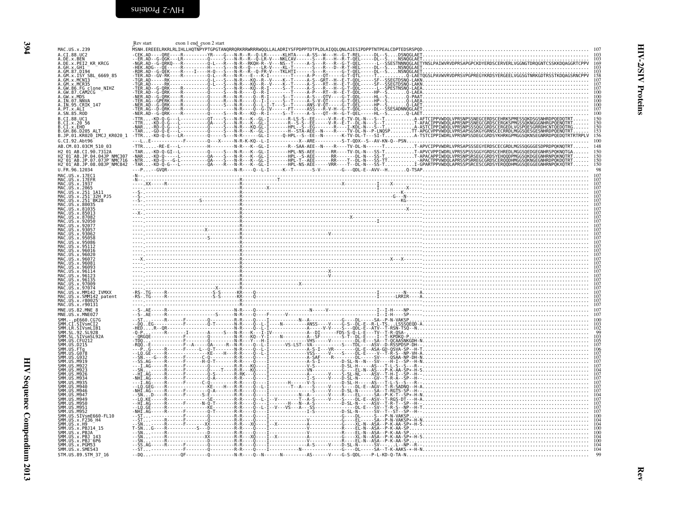<span id="page-21-1"></span><span id="page-21-0"></span>

|                                                                                                                                                                                                                                                     | exon 1 end exon 2 start<br>Rev start |                                                                              |
|-----------------------------------------------------------------------------------------------------------------------------------------------------------------------------------------------------------------------------------------------------|--------------------------------------|------------------------------------------------------------------------------|
| MAC.US.x.239<br>A.CI.88.UC2                                                                                                                                                                                                                         |                                      | ---ORE----R--------YR----G---N-R--R--Q-LR------KLHTA----A-SS--W---H--G-T-REL |
| A.DE.x.BEN                                                                                                                                                                                                                                          |                                      |                                                                              |
| A.DE.x.PEI2 KR KRCG<br>A.GH.x.GH1                                                                                                                                                                                                                   |                                      |                                                                              |
| A.GM.87.D194<br>A.GM.x.ISY SBL 6669 85                                                                                                                                                                                                              |                                      |                                                                              |
| A.GM.x.MCNI3<br>A.GM.x.MCR35                                                                                                                                                                                                                        |                                      |                                                                              |
| A.GW.86.FG_clone_NIHZ<br>A. GW. 87. CAM2CG                                                                                                                                                                                                          |                                      |                                                                              |
| A.GW.x.MDS<br>A.IN.07.NNVA                                                                                                                                                                                                                          |                                      |                                                                              |
| A.IN.95.CRIK_147                                                                                                                                                                                                                                    |                                      |                                                                              |
| A. PT. x. ALI<br>A. SN. 85. ROD                                                                                                                                                                                                                     |                                      |                                                                              |
| B.CI.88.UC1<br>$\overline{B}.\overline{CI}.x.\overline{20}$ 56                                                                                                                                                                                      |                                      |                                                                              |
| B.CI.X.EHO<br>B.GH.86.D205 ALT                                                                                                                                                                                                                      |                                      |                                                                              |
| B.JP.01.KR020_IMCJ_KR020_1                                                                                                                                                                                                                          |                                      | $\frac{153}{156}$                                                            |
| G.CI.92.Abt96<br>AB.CM.03.03CM 510 03                                                                                                                                                                                                               |                                      |                                                                              |
| 42 01 AR CT 90 7312A                                                                                                                                                                                                                                |                                      |                                                                              |
| 2 <sup>-</sup> 01 <sup>-</sup> AB.JP.04.04JP NMC307<br>H2-01-AB.JP.07.07JP-NMC716                                                                                                                                                                   |                                      |                                                                              |
| H2 <sup>-01-AB.JP.08.08JP-NMC842</sup><br>U.FR.96.12034                                                                                                                                                                                             |                                      |                                                                              |
| MAC.US.x.17EC1                                                                                                                                                                                                                                      |                                      |                                                                              |
| MAC.US.x.17EFR                                                                                                                                                                                                                                      |                                      |                                                                              |
| MAC.US.x.1937<br>MAC.US.x.2065<br>MAC.US.x.2065<br>MAC.US.x.251_32H_PJ5<br>MAC.US.x.251_32H_PJ5<br>MAC.US.x.251_BK28                                                                                                                                |                                      |                                                                              |
|                                                                                                                                                                                                                                                     |                                      |                                                                              |
|                                                                                                                                                                                                                                                     |                                      |                                                                              |
|                                                                                                                                                                                                                                                     |                                      |                                                                              |
|                                                                                                                                                                                                                                                     |                                      |                                                                              |
| MAC US x 93057                                                                                                                                                                                                                                      |                                      |                                                                              |
| MAC.US.x.95058                                                                                                                                                                                                                                      |                                      |                                                                              |
| MAC.US.x.95112                                                                                                                                                                                                                                      |                                      |                                                                              |
| US.x.96026                                                                                                                                                                                                                                          |                                      |                                                                              |
| . x 9608                                                                                                                                                                                                                                            |                                      |                                                                              |
|                                                                                                                                                                                                                                                     |                                      |                                                                              |
|                                                                                                                                                                                                                                                     |                                      |                                                                              |
| MAC IIS x 97074                                                                                                                                                                                                                                     |                                      |                                                                              |
| MAC.US.x.MM142 IVMXX                                                                                                                                                                                                                                |                                      |                                                                              |
| MAC.US.x.SMM142 patent<br>MAC.US.x.r80025                                                                                                                                                                                                           |                                      |                                                                              |
| MAC.US.x.r90131<br>MNE.US.82.MNE 8                                                                                                                                                                                                                  |                                      |                                                                              |
| MNE.US.x.MNE027                                                                                                                                                                                                                                     |                                      |                                                                              |
|                                                                                                                                                                                                                                                     |                                      |                                                                              |
| SMM.CI.SIVSMCI2<br>SMM.LR.SIVSMLIB1<br>SMM.SL.92.SL92B                                                                                                                                                                                              |                                      |                                                                              |
|                                                                                                                                                                                                                                                     |                                      |                                                                              |
|                                                                                                                                                                                                                                                     |                                      |                                                                              |
|                                                                                                                                                                                                                                                     |                                      |                                                                              |
|                                                                                                                                                                                                                                                     |                                      |                                                                              |
|                                                                                                                                                                                                                                                     |                                      |                                                                              |
| M93                                                                                                                                                                                                                                                 |                                      |                                                                              |
| SMM IIS<br>M946                                                                                                                                                                                                                                     |                                      |                                                                              |
| <b>SMM 119</b><br>M946<br>SMM IIS<br>M941                                                                                                                                                                                                           |                                      |                                                                              |
| SMM.US<br>M949<br>SMM.US.M950<br>SMM.US.M951                                                                                                                                                                                                        |                                      |                                                                              |
|                                                                                                                                                                                                                                                     |                                      |                                                                              |
|                                                                                                                                                                                                                                                     |                                      |                                                                              |
|                                                                                                                                                                                                                                                     |                                      |                                                                              |
|                                                                                                                                                                                                                                                     |                                      |                                                                              |
| SMM. US. M951<br>SMM. US. M952<br>SMM. US. X. F236<br>SMM. US. X. F236 - H4<br>SMM. US. X. F236 - H4<br>SMM. US. X. P8114 - 15<br>SMM. US. X. P81 - 143<br>SMM. US. X. P81 - 149<br>SMM. US. X. P81 - 149<br>SMM. US. X. P6M53<br>SMM. US. X. P6M53 |                                      |                                                                              |
| SMM. US. x. SME543                                                                                                                                                                                                                                  |                                      |                                                                              |
| STM.US.89.STM 37 16                                                                                                                                                                                                                                 |                                      |                                                                              |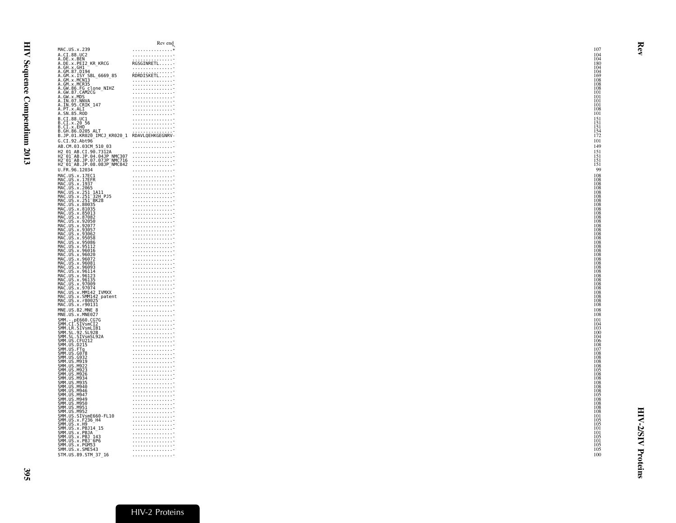<span id="page-22-0"></span>

| MAC.US.x.239<br>A.CI.88.UC2<br>A.DE.x.BEN<br>A.DE.x.PEI2_KR_KRCG<br>A.GH.X.GHI<br>A.GM.87.D194<br>A.GM. 87.1517<br>A.GM. x.1517 SBL_6669_85<br>A.GM. x.MCR35<br>A.GW. 86.FG_clone_NIHZ<br>A.GW. 87.CAM2CG<br>A.GW. 87.CAM2CG<br>A.GW.X.MDS<br>A.GW.X.MDS<br>A.IN.95.CRIK_147<br>A.FT.x.ALI<br>A.SN.85.ROD<br>B.CI.88.UC1<br>B.CI.x.20 56<br>B.CI.x.EHO<br>B.GH.86.D205 ALT<br>B.JP.01.KR020_IMCJ_KR020_1 RDAVLQEHKGEGNRV-<br>G.CI.92.Abt96<br>AB.CM.03.03CM 510 03<br>H2_01_AB.CI.90.7312A<br>H2 <sup>_</sup> 01 <sup>_</sup> AB.JP.04.04JP_NMC307<br>H2_01_AB.JP.07.07JP_NMC716<br>U.FR.96.12034<br>U. FR. 06. 12034<br>MAC. US. x. 17EC1<br>MAC. US. x. 17EFR<br>MAC. US. x. 22035<br>MAC. US. x. 2201<br>MAC. US. x. 2211_BA11<br>MAC. US. x. 2311_BRC2<br>MAC. US. x. 80035<br>MAC. US. x. 80035<br>MAC. US. x. 87082<br>MAC. US. x. 87082<br>MAC. US. x. 82087<br><br>MAC. US. x. 93062<br>MAC. US. x. 95068<br>MAC. US. x. 95086<br>MAC. US. x. 95012<br>MAC. US. x. 96020<br>MAC. US. x. 96092<br>MAC. US. x. 96081<br>MAC. US. x. 96081<br>MAC. US. x. 96081<br>MAC. US. x. 96112<br>MAC. US. x. 96112<br>MAC. US. x. 96112<br>MAC. U<br>MAC.US.x.97074<br>MAC.US.x.97074<br>MAC.US.x.MM142_IVMXX<br>MAC.US.x.SMM142_patent<br>MAC.US.x.r80025<br>MAC.US.x.r90131<br>MNE. US . X. MNEB27<br>SMM. CT, SERGO. CC7G<br>SMM. CT, STV SMCT2<br>SMM. CT, STV SMCT2<br>SMM. SL. 92. SL. 92.<br>SMM. US . CTU212<br>SMM. US . CTU212<br>SMM. US . PCT3<br>SMM. US . PC7<br>SMM. US . CTG78<br>SMM. US . CG78<br>SMM. US . CG78<br>SMM. US . CG7<br>SMM. US M919<br>SMM. US. M922<br>SMM. US.M923<br>SMM. US.M926<br>SMM. US.M934<br>SMM.US.M935<br>SMM.US.M935<br>SMM.US.M946<br>SMM.US.M946<br>SMM.US.M947<br>SMM.US.M947<br>SMM.US.M949<br>SMM.US.M950<br>SMM.US.M951<br>SMM.US.M952<br>SMM. US. M952<br>SMM. US. SIVSmE660 - FL10<br>SMM. US. x. F236 - H4<br>SMM. US. x. FB314 - 15<br>SMM. US. x. PB314 - 15<br>SMM. US. x. PB3<br>SMM. US. x. PB55<br>SMM. US. x. PGM53<br>SMM. US. x. PGM53<br>SMM. US. x. PGM53<br>SMM. US. x. PGM53<br>STM.US.89.STM_37_16 |                                                                   | Rev end                                                                                                                                                                                                                                                                                                                                                                              |
|---------------------------------------------------------------------------------------------------------------------------------------------------------------------------------------------------------------------------------------------------------------------------------------------------------------------------------------------------------------------------------------------------------------------------------------------------------------------------------------------------------------------------------------------------------------------------------------------------------------------------------------------------------------------------------------------------------------------------------------------------------------------------------------------------------------------------------------------------------------------------------------------------------------------------------------------------------------------------------------------------------------------------------------------------------------------------------------------------------------------------------------------------------------------------------------------------------------------------------------------------------------------------------------------------------------------------------------------------------------------------------------------------------------------------------------------------------------------------------------------------------------------------------------------------------------------------------------------------------------------------------------------------------------------------------------------------------------------------------------------------------------------------------------------------------------------------------------------------------------------------------------------------------------------------------------------------------------------------------------------------------------------------------------------------------------------|-------------------------------------------------------------------|--------------------------------------------------------------------------------------------------------------------------------------------------------------------------------------------------------------------------------------------------------------------------------------------------------------------------------------------------------------------------------------|
|                                                                                                                                                                                                                                                                                                                                                                                                                                                                                                                                                                                                                                                                                                                                                                                                                                                                                                                                                                                                                                                                                                                                                                                                                                                                                                                                                                                                                                                                                                                                                                                                                                                                                                                                                                                                                                                                                                                                                                                                                                                                     |                                                                   | . *                                                                                                                                                                                                                                                                                                                                                                                  |
|                                                                                                                                                                                                                                                                                                                                                                                                                                                                                                                                                                                                                                                                                                                                                                                                                                                                                                                                                                                                                                                                                                                                                                                                                                                                                                                                                                                                                                                                                                                                                                                                                                                                                                                                                                                                                                                                                                                                                                                                                                                                     |                                                                   | .                                                                                                                                                                                                                                                                                                                                                                                    |
|                                                                                                                                                                                                                                                                                                                                                                                                                                                                                                                                                                                                                                                                                                                                                                                                                                                                                                                                                                                                                                                                                                                                                                                                                                                                                                                                                                                                                                                                                                                                                                                                                                                                                                                                                                                                                                                                                                                                                                                                                                                                     |                                                                   | RGSGINRETL                                                                                                                                                                                                                                                                                                                                                                           |
|                                                                                                                                                                                                                                                                                                                                                                                                                                                                                                                                                                                                                                                                                                                                                                                                                                                                                                                                                                                                                                                                                                                                                                                                                                                                                                                                                                                                                                                                                                                                                                                                                                                                                                                                                                                                                                                                                                                                                                                                                                                                     |                                                                   |                                                                                                                                                                                                                                                                                                                                                                                      |
|                                                                                                                                                                                                                                                                                                                                                                                                                                                                                                                                                                                                                                                                                                                                                                                                                                                                                                                                                                                                                                                                                                                                                                                                                                                                                                                                                                                                                                                                                                                                                                                                                                                                                                                                                                                                                                                                                                                                                                                                                                                                     |                                                                   | .                                                                                                                                                                                                                                                                                                                                                                                    |
|                                                                                                                                                                                                                                                                                                                                                                                                                                                                                                                                                                                                                                                                                                                                                                                                                                                                                                                                                                                                                                                                                                                                                                                                                                                                                                                                                                                                                                                                                                                                                                                                                                                                                                                                                                                                                                                                                                                                                                                                                                                                     |                                                                   | $\begin{minipage}{0.03\textwidth} \begin{tabular}{@{}c@{}} \hline \textbf{R} & \textbf{D} & \textbf{R} & \textbf{D} & \textbf{R} \\ \textbf{R} & \textbf{D} & \textbf{R} & \textbf{D} & \textbf{R} \\ \textbf{R} & \textbf{D} & \textbf{R} & \textbf{D} & \textbf{R} \\ \textbf{D} & \textbf{R} & \textbf{D} & \textbf{R} & \textbf{D} & \textbf{R} \\ \end{tabular} \end{minipage}$ |
|                                                                                                                                                                                                                                                                                                                                                                                                                                                                                                                                                                                                                                                                                                                                                                                                                                                                                                                                                                                                                                                                                                                                                                                                                                                                                                                                                                                                                                                                                                                                                                                                                                                                                                                                                                                                                                                                                                                                                                                                                                                                     |                                                                   | . <del>.</del>                                                                                                                                                                                                                                                                                                                                                                       |
|                                                                                                                                                                                                                                                                                                                                                                                                                                                                                                                                                                                                                                                                                                                                                                                                                                                                                                                                                                                                                                                                                                                                                                                                                                                                                                                                                                                                                                                                                                                                                                                                                                                                                                                                                                                                                                                                                                                                                                                                                                                                     |                                                                   | . <del>.</del>                                                                                                                                                                                                                                                                                                                                                                       |
|                                                                                                                                                                                                                                                                                                                                                                                                                                                                                                                                                                                                                                                                                                                                                                                                                                                                                                                                                                                                                                                                                                                                                                                                                                                                                                                                                                                                                                                                                                                                                                                                                                                                                                                                                                                                                                                                                                                                                                                                                                                                     |                                                                   | . <del>.</del>                                                                                                                                                                                                                                                                                                                                                                       |
|                                                                                                                                                                                                                                                                                                                                                                                                                                                                                                                                                                                                                                                                                                                                                                                                                                                                                                                                                                                                                                                                                                                                                                                                                                                                                                                                                                                                                                                                                                                                                                                                                                                                                                                                                                                                                                                                                                                                                                                                                                                                     |                                                                   | .<br>. <del>.</del>                                                                                                                                                                                                                                                                                                                                                                  |
|                                                                                                                                                                                                                                                                                                                                                                                                                                                                                                                                                                                                                                                                                                                                                                                                                                                                                                                                                                                                                                                                                                                                                                                                                                                                                                                                                                                                                                                                                                                                                                                                                                                                                                                                                                                                                                                                                                                                                                                                                                                                     |                                                                   | . <del>.</del>                                                                                                                                                                                                                                                                                                                                                                       |
|                                                                                                                                                                                                                                                                                                                                                                                                                                                                                                                                                                                                                                                                                                                                                                                                                                                                                                                                                                                                                                                                                                                                                                                                                                                                                                                                                                                                                                                                                                                                                                                                                                                                                                                                                                                                                                                                                                                                                                                                                                                                     |                                                                   | . <del>.</del>                                                                                                                                                                                                                                                                                                                                                                       |
|                                                                                                                                                                                                                                                                                                                                                                                                                                                                                                                                                                                                                                                                                                                                                                                                                                                                                                                                                                                                                                                                                                                                                                                                                                                                                                                                                                                                                                                                                                                                                                                                                                                                                                                                                                                                                                                                                                                                                                                                                                                                     |                                                                   | . <del>.</del>                                                                                                                                                                                                                                                                                                                                                                       |
|                                                                                                                                                                                                                                                                                                                                                                                                                                                                                                                                                                                                                                                                                                                                                                                                                                                                                                                                                                                                                                                                                                                                                                                                                                                                                                                                                                                                                                                                                                                                                                                                                                                                                                                                                                                                                                                                                                                                                                                                                                                                     |                                                                   | .                                                                                                                                                                                                                                                                                                                                                                                    |
|                                                                                                                                                                                                                                                                                                                                                                                                                                                                                                                                                                                                                                                                                                                                                                                                                                                                                                                                                                                                                                                                                                                                                                                                                                                                                                                                                                                                                                                                                                                                                                                                                                                                                                                                                                                                                                                                                                                                                                                                                                                                     |                                                                   | .                                                                                                                                                                                                                                                                                                                                                                                    |
|                                                                                                                                                                                                                                                                                                                                                                                                                                                                                                                                                                                                                                                                                                                                                                                                                                                                                                                                                                                                                                                                                                                                                                                                                                                                                                                                                                                                                                                                                                                                                                                                                                                                                                                                                                                                                                                                                                                                                                                                                                                                     |                                                                   | . <del>.</del><br>. <del>.</del>                                                                                                                                                                                                                                                                                                                                                     |
|                                                                                                                                                                                                                                                                                                                                                                                                                                                                                                                                                                                                                                                                                                                                                                                                                                                                                                                                                                                                                                                                                                                                                                                                                                                                                                                                                                                                                                                                                                                                                                                                                                                                                                                                                                                                                                                                                                                                                                                                                                                                     |                                                                   |                                                                                                                                                                                                                                                                                                                                                                                      |
|                                                                                                                                                                                                                                                                                                                                                                                                                                                                                                                                                                                                                                                                                                                                                                                                                                                                                                                                                                                                                                                                                                                                                                                                                                                                                                                                                                                                                                                                                                                                                                                                                                                                                                                                                                                                                                                                                                                                                                                                                                                                     |                                                                   |                                                                                                                                                                                                                                                                                                                                                                                      |
|                                                                                                                                                                                                                                                                                                                                                                                                                                                                                                                                                                                                                                                                                                                                                                                                                                                                                                                                                                                                                                                                                                                                                                                                                                                                                                                                                                                                                                                                                                                                                                                                                                                                                                                                                                                                                                                                                                                                                                                                                                                                     |                                                                   | .                                                                                                                                                                                                                                                                                                                                                                                    |
|                                                                                                                                                                                                                                                                                                                                                                                                                                                                                                                                                                                                                                                                                                                                                                                                                                                                                                                                                                                                                                                                                                                                                                                                                                                                                                                                                                                                                                                                                                                                                                                                                                                                                                                                                                                                                                                                                                                                                                                                                                                                     |                                                                   | .                                                                                                                                                                                                                                                                                                                                                                                    |
|                                                                                                                                                                                                                                                                                                                                                                                                                                                                                                                                                                                                                                                                                                                                                                                                                                                                                                                                                                                                                                                                                                                                                                                                                                                                                                                                                                                                                                                                                                                                                                                                                                                                                                                                                                                                                                                                                                                                                                                                                                                                     |                                                                   | .                                                                                                                                                                                                                                                                                                                                                                                    |
|                                                                                                                                                                                                                                                                                                                                                                                                                                                                                                                                                                                                                                                                                                                                                                                                                                                                                                                                                                                                                                                                                                                                                                                                                                                                                                                                                                                                                                                                                                                                                                                                                                                                                                                                                                                                                                                                                                                                                                                                                                                                     |                                                                   | .                                                                                                                                                                                                                                                                                                                                                                                    |
|                                                                                                                                                                                                                                                                                                                                                                                                                                                                                                                                                                                                                                                                                                                                                                                                                                                                                                                                                                                                                                                                                                                                                                                                                                                                                                                                                                                                                                                                                                                                                                                                                                                                                                                                                                                                                                                                                                                                                                                                                                                                     |                                                                   |                                                                                                                                                                                                                                                                                                                                                                                      |
|                                                                                                                                                                                                                                                                                                                                                                                                                                                                                                                                                                                                                                                                                                                                                                                                                                                                                                                                                                                                                                                                                                                                                                                                                                                                                                                                                                                                                                                                                                                                                                                                                                                                                                                                                                                                                                                                                                                                                                                                                                                                     | H2 <sup>-</sup> 01 <sup>-</sup> AB.JP.08.08JP <sup>-</sup> NMC842 |                                                                                                                                                                                                                                                                                                                                                                                      |
|                                                                                                                                                                                                                                                                                                                                                                                                                                                                                                                                                                                                                                                                                                                                                                                                                                                                                                                                                                                                                                                                                                                                                                                                                                                                                                                                                                                                                                                                                                                                                                                                                                                                                                                                                                                                                                                                                                                                                                                                                                                                     |                                                                   | .                                                                                                                                                                                                                                                                                                                                                                                    |
|                                                                                                                                                                                                                                                                                                                                                                                                                                                                                                                                                                                                                                                                                                                                                                                                                                                                                                                                                                                                                                                                                                                                                                                                                                                                                                                                                                                                                                                                                                                                                                                                                                                                                                                                                                                                                                                                                                                                                                                                                                                                     |                                                                   | .                                                                                                                                                                                                                                                                                                                                                                                    |
|                                                                                                                                                                                                                                                                                                                                                                                                                                                                                                                                                                                                                                                                                                                                                                                                                                                                                                                                                                                                                                                                                                                                                                                                                                                                                                                                                                                                                                                                                                                                                                                                                                                                                                                                                                                                                                                                                                                                                                                                                                                                     |                                                                   | .                                                                                                                                                                                                                                                                                                                                                                                    |
|                                                                                                                                                                                                                                                                                                                                                                                                                                                                                                                                                                                                                                                                                                                                                                                                                                                                                                                                                                                                                                                                                                                                                                                                                                                                                                                                                                                                                                                                                                                                                                                                                                                                                                                                                                                                                                                                                                                                                                                                                                                                     |                                                                   | .                                                                                                                                                                                                                                                                                                                                                                                    |
|                                                                                                                                                                                                                                                                                                                                                                                                                                                                                                                                                                                                                                                                                                                                                                                                                                                                                                                                                                                                                                                                                                                                                                                                                                                                                                                                                                                                                                                                                                                                                                                                                                                                                                                                                                                                                                                                                                                                                                                                                                                                     |                                                                   | . <del>.</del>                                                                                                                                                                                                                                                                                                                                                                       |
|                                                                                                                                                                                                                                                                                                                                                                                                                                                                                                                                                                                                                                                                                                                                                                                                                                                                                                                                                                                                                                                                                                                                                                                                                                                                                                                                                                                                                                                                                                                                                                                                                                                                                                                                                                                                                                                                                                                                                                                                                                                                     |                                                                   | . <del>.</del>                                                                                                                                                                                                                                                                                                                                                                       |
|                                                                                                                                                                                                                                                                                                                                                                                                                                                                                                                                                                                                                                                                                                                                                                                                                                                                                                                                                                                                                                                                                                                                                                                                                                                                                                                                                                                                                                                                                                                                                                                                                                                                                                                                                                                                                                                                                                                                                                                                                                                                     |                                                                   |                                                                                                                                                                                                                                                                                                                                                                                      |
|                                                                                                                                                                                                                                                                                                                                                                                                                                                                                                                                                                                                                                                                                                                                                                                                                                                                                                                                                                                                                                                                                                                                                                                                                                                                                                                                                                                                                                                                                                                                                                                                                                                                                                                                                                                                                                                                                                                                                                                                                                                                     |                                                                   | .<br>.                                                                                                                                                                                                                                                                                                                                                                               |
|                                                                                                                                                                                                                                                                                                                                                                                                                                                                                                                                                                                                                                                                                                                                                                                                                                                                                                                                                                                                                                                                                                                                                                                                                                                                                                                                                                                                                                                                                                                                                                                                                                                                                                                                                                                                                                                                                                                                                                                                                                                                     |                                                                   | . <del>.</del>                                                                                                                                                                                                                                                                                                                                                                       |
|                                                                                                                                                                                                                                                                                                                                                                                                                                                                                                                                                                                                                                                                                                                                                                                                                                                                                                                                                                                                                                                                                                                                                                                                                                                                                                                                                                                                                                                                                                                                                                                                                                                                                                                                                                                                                                                                                                                                                                                                                                                                     |                                                                   | . <del>.</del>                                                                                                                                                                                                                                                                                                                                                                       |
|                                                                                                                                                                                                                                                                                                                                                                                                                                                                                                                                                                                                                                                                                                                                                                                                                                                                                                                                                                                                                                                                                                                                                                                                                                                                                                                                                                                                                                                                                                                                                                                                                                                                                                                                                                                                                                                                                                                                                                                                                                                                     |                                                                   | .                                                                                                                                                                                                                                                                                                                                                                                    |
|                                                                                                                                                                                                                                                                                                                                                                                                                                                                                                                                                                                                                                                                                                                                                                                                                                                                                                                                                                                                                                                                                                                                                                                                                                                                                                                                                                                                                                                                                                                                                                                                                                                                                                                                                                                                                                                                                                                                                                                                                                                                     |                                                                   | . <del>.</del>                                                                                                                                                                                                                                                                                                                                                                       |
|                                                                                                                                                                                                                                                                                                                                                                                                                                                                                                                                                                                                                                                                                                                                                                                                                                                                                                                                                                                                                                                                                                                                                                                                                                                                                                                                                                                                                                                                                                                                                                                                                                                                                                                                                                                                                                                                                                                                                                                                                                                                     |                                                                   | . <del>.</del>                                                                                                                                                                                                                                                                                                                                                                       |
|                                                                                                                                                                                                                                                                                                                                                                                                                                                                                                                                                                                                                                                                                                                                                                                                                                                                                                                                                                                                                                                                                                                                                                                                                                                                                                                                                                                                                                                                                                                                                                                                                                                                                                                                                                                                                                                                                                                                                                                                                                                                     |                                                                   | .                                                                                                                                                                                                                                                                                                                                                                                    |
|                                                                                                                                                                                                                                                                                                                                                                                                                                                                                                                                                                                                                                                                                                                                                                                                                                                                                                                                                                                                                                                                                                                                                                                                                                                                                                                                                                                                                                                                                                                                                                                                                                                                                                                                                                                                                                                                                                                                                                                                                                                                     |                                                                   | .                                                                                                                                                                                                                                                                                                                                                                                    |
|                                                                                                                                                                                                                                                                                                                                                                                                                                                                                                                                                                                                                                                                                                                                                                                                                                                                                                                                                                                                                                                                                                                                                                                                                                                                                                                                                                                                                                                                                                                                                                                                                                                                                                                                                                                                                                                                                                                                                                                                                                                                     |                                                                   | .<br>.                                                                                                                                                                                                                                                                                                                                                                               |
|                                                                                                                                                                                                                                                                                                                                                                                                                                                                                                                                                                                                                                                                                                                                                                                                                                                                                                                                                                                                                                                                                                                                                                                                                                                                                                                                                                                                                                                                                                                                                                                                                                                                                                                                                                                                                                                                                                                                                                                                                                                                     |                                                                   | .                                                                                                                                                                                                                                                                                                                                                                                    |
|                                                                                                                                                                                                                                                                                                                                                                                                                                                                                                                                                                                                                                                                                                                                                                                                                                                                                                                                                                                                                                                                                                                                                                                                                                                                                                                                                                                                                                                                                                                                                                                                                                                                                                                                                                                                                                                                                                                                                                                                                                                                     |                                                                   | .                                                                                                                                                                                                                                                                                                                                                                                    |
|                                                                                                                                                                                                                                                                                                                                                                                                                                                                                                                                                                                                                                                                                                                                                                                                                                                                                                                                                                                                                                                                                                                                                                                                                                                                                                                                                                                                                                                                                                                                                                                                                                                                                                                                                                                                                                                                                                                                                                                                                                                                     |                                                                   | .                                                                                                                                                                                                                                                                                                                                                                                    |
|                                                                                                                                                                                                                                                                                                                                                                                                                                                                                                                                                                                                                                                                                                                                                                                                                                                                                                                                                                                                                                                                                                                                                                                                                                                                                                                                                                                                                                                                                                                                                                                                                                                                                                                                                                                                                                                                                                                                                                                                                                                                     |                                                                   | .                                                                                                                                                                                                                                                                                                                                                                                    |
|                                                                                                                                                                                                                                                                                                                                                                                                                                                                                                                                                                                                                                                                                                                                                                                                                                                                                                                                                                                                                                                                                                                                                                                                                                                                                                                                                                                                                                                                                                                                                                                                                                                                                                                                                                                                                                                                                                                                                                                                                                                                     |                                                                   | .                                                                                                                                                                                                                                                                                                                                                                                    |
|                                                                                                                                                                                                                                                                                                                                                                                                                                                                                                                                                                                                                                                                                                                                                                                                                                                                                                                                                                                                                                                                                                                                                                                                                                                                                                                                                                                                                                                                                                                                                                                                                                                                                                                                                                                                                                                                                                                                                                                                                                                                     |                                                                   | .                                                                                                                                                                                                                                                                                                                                                                                    |
|                                                                                                                                                                                                                                                                                                                                                                                                                                                                                                                                                                                                                                                                                                                                                                                                                                                                                                                                                                                                                                                                                                                                                                                                                                                                                                                                                                                                                                                                                                                                                                                                                                                                                                                                                                                                                                                                                                                                                                                                                                                                     |                                                                   | .<br>.                                                                                                                                                                                                                                                                                                                                                                               |
|                                                                                                                                                                                                                                                                                                                                                                                                                                                                                                                                                                                                                                                                                                                                                                                                                                                                                                                                                                                                                                                                                                                                                                                                                                                                                                                                                                                                                                                                                                                                                                                                                                                                                                                                                                                                                                                                                                                                                                                                                                                                     |                                                                   | .                                                                                                                                                                                                                                                                                                                                                                                    |
|                                                                                                                                                                                                                                                                                                                                                                                                                                                                                                                                                                                                                                                                                                                                                                                                                                                                                                                                                                                                                                                                                                                                                                                                                                                                                                                                                                                                                                                                                                                                                                                                                                                                                                                                                                                                                                                                                                                                                                                                                                                                     |                                                                   | .                                                                                                                                                                                                                                                                                                                                                                                    |
|                                                                                                                                                                                                                                                                                                                                                                                                                                                                                                                                                                                                                                                                                                                                                                                                                                                                                                                                                                                                                                                                                                                                                                                                                                                                                                                                                                                                                                                                                                                                                                                                                                                                                                                                                                                                                                                                                                                                                                                                                                                                     |                                                                   | . -                                                                                                                                                                                                                                                                                                                                                                                  |
|                                                                                                                                                                                                                                                                                                                                                                                                                                                                                                                                                                                                                                                                                                                                                                                                                                                                                                                                                                                                                                                                                                                                                                                                                                                                                                                                                                                                                                                                                                                                                                                                                                                                                                                                                                                                                                                                                                                                                                                                                                                                     |                                                                   | .                                                                                                                                                                                                                                                                                                                                                                                    |
|                                                                                                                                                                                                                                                                                                                                                                                                                                                                                                                                                                                                                                                                                                                                                                                                                                                                                                                                                                                                                                                                                                                                                                                                                                                                                                                                                                                                                                                                                                                                                                                                                                                                                                                                                                                                                                                                                                                                                                                                                                                                     |                                                                   | .                                                                                                                                                                                                                                                                                                                                                                                    |
|                                                                                                                                                                                                                                                                                                                                                                                                                                                                                                                                                                                                                                                                                                                                                                                                                                                                                                                                                                                                                                                                                                                                                                                                                                                                                                                                                                                                                                                                                                                                                                                                                                                                                                                                                                                                                                                                                                                                                                                                                                                                     |                                                                   | .                                                                                                                                                                                                                                                                                                                                                                                    |
|                                                                                                                                                                                                                                                                                                                                                                                                                                                                                                                                                                                                                                                                                                                                                                                                                                                                                                                                                                                                                                                                                                                                                                                                                                                                                                                                                                                                                                                                                                                                                                                                                                                                                                                                                                                                                                                                                                                                                                                                                                                                     |                                                                   | . <del>.</del>                                                                                                                                                                                                                                                                                                                                                                       |
|                                                                                                                                                                                                                                                                                                                                                                                                                                                                                                                                                                                                                                                                                                                                                                                                                                                                                                                                                                                                                                                                                                                                                                                                                                                                                                                                                                                                                                                                                                                                                                                                                                                                                                                                                                                                                                                                                                                                                                                                                                                                     |                                                                   | .                                                                                                                                                                                                                                                                                                                                                                                    |
|                                                                                                                                                                                                                                                                                                                                                                                                                                                                                                                                                                                                                                                                                                                                                                                                                                                                                                                                                                                                                                                                                                                                                                                                                                                                                                                                                                                                                                                                                                                                                                                                                                                                                                                                                                                                                                                                                                                                                                                                                                                                     |                                                                   | .                                                                                                                                                                                                                                                                                                                                                                                    |
|                                                                                                                                                                                                                                                                                                                                                                                                                                                                                                                                                                                                                                                                                                                                                                                                                                                                                                                                                                                                                                                                                                                                                                                                                                                                                                                                                                                                                                                                                                                                                                                                                                                                                                                                                                                                                                                                                                                                                                                                                                                                     |                                                                   |                                                                                                                                                                                                                                                                                                                                                                                      |
|                                                                                                                                                                                                                                                                                                                                                                                                                                                                                                                                                                                                                                                                                                                                                                                                                                                                                                                                                                                                                                                                                                                                                                                                                                                                                                                                                                                                                                                                                                                                                                                                                                                                                                                                                                                                                                                                                                                                                                                                                                                                     |                                                                   | . <del>.</del>                                                                                                                                                                                                                                                                                                                                                                       |
|                                                                                                                                                                                                                                                                                                                                                                                                                                                                                                                                                                                                                                                                                                                                                                                                                                                                                                                                                                                                                                                                                                                                                                                                                                                                                                                                                                                                                                                                                                                                                                                                                                                                                                                                                                                                                                                                                                                                                                                                                                                                     |                                                                   | . <del>.</del>                                                                                                                                                                                                                                                                                                                                                                       |
|                                                                                                                                                                                                                                                                                                                                                                                                                                                                                                                                                                                                                                                                                                                                                                                                                                                                                                                                                                                                                                                                                                                                                                                                                                                                                                                                                                                                                                                                                                                                                                                                                                                                                                                                                                                                                                                                                                                                                                                                                                                                     |                                                                   | . <del>.</del><br>.                                                                                                                                                                                                                                                                                                                                                                  |
|                                                                                                                                                                                                                                                                                                                                                                                                                                                                                                                                                                                                                                                                                                                                                                                                                                                                                                                                                                                                                                                                                                                                                                                                                                                                                                                                                                                                                                                                                                                                                                                                                                                                                                                                                                                                                                                                                                                                                                                                                                                                     |                                                                   | .                                                                                                                                                                                                                                                                                                                                                                                    |
|                                                                                                                                                                                                                                                                                                                                                                                                                                                                                                                                                                                                                                                                                                                                                                                                                                                                                                                                                                                                                                                                                                                                                                                                                                                                                                                                                                                                                                                                                                                                                                                                                                                                                                                                                                                                                                                                                                                                                                                                                                                                     |                                                                   | . <del>.</del>                                                                                                                                                                                                                                                                                                                                                                       |
|                                                                                                                                                                                                                                                                                                                                                                                                                                                                                                                                                                                                                                                                                                                                                                                                                                                                                                                                                                                                                                                                                                                                                                                                                                                                                                                                                                                                                                                                                                                                                                                                                                                                                                                                                                                                                                                                                                                                                                                                                                                                     |                                                                   | . <del>.</del>                                                                                                                                                                                                                                                                                                                                                                       |
|                                                                                                                                                                                                                                                                                                                                                                                                                                                                                                                                                                                                                                                                                                                                                                                                                                                                                                                                                                                                                                                                                                                                                                                                                                                                                                                                                                                                                                                                                                                                                                                                                                                                                                                                                                                                                                                                                                                                                                                                                                                                     |                                                                   | .                                                                                                                                                                                                                                                                                                                                                                                    |
|                                                                                                                                                                                                                                                                                                                                                                                                                                                                                                                                                                                                                                                                                                                                                                                                                                                                                                                                                                                                                                                                                                                                                                                                                                                                                                                                                                                                                                                                                                                                                                                                                                                                                                                                                                                                                                                                                                                                                                                                                                                                     |                                                                   | . <del>.</del><br>.                                                                                                                                                                                                                                                                                                                                                                  |
|                                                                                                                                                                                                                                                                                                                                                                                                                                                                                                                                                                                                                                                                                                                                                                                                                                                                                                                                                                                                                                                                                                                                                                                                                                                                                                                                                                                                                                                                                                                                                                                                                                                                                                                                                                                                                                                                                                                                                                                                                                                                     |                                                                   | .                                                                                                                                                                                                                                                                                                                                                                                    |
|                                                                                                                                                                                                                                                                                                                                                                                                                                                                                                                                                                                                                                                                                                                                                                                                                                                                                                                                                                                                                                                                                                                                                                                                                                                                                                                                                                                                                                                                                                                                                                                                                                                                                                                                                                                                                                                                                                                                                                                                                                                                     |                                                                   | .                                                                                                                                                                                                                                                                                                                                                                                    |
|                                                                                                                                                                                                                                                                                                                                                                                                                                                                                                                                                                                                                                                                                                                                                                                                                                                                                                                                                                                                                                                                                                                                                                                                                                                                                                                                                                                                                                                                                                                                                                                                                                                                                                                                                                                                                                                                                                                                                                                                                                                                     |                                                                   | .                                                                                                                                                                                                                                                                                                                                                                                    |
|                                                                                                                                                                                                                                                                                                                                                                                                                                                                                                                                                                                                                                                                                                                                                                                                                                                                                                                                                                                                                                                                                                                                                                                                                                                                                                                                                                                                                                                                                                                                                                                                                                                                                                                                                                                                                                                                                                                                                                                                                                                                     |                                                                   | .                                                                                                                                                                                                                                                                                                                                                                                    |
|                                                                                                                                                                                                                                                                                                                                                                                                                                                                                                                                                                                                                                                                                                                                                                                                                                                                                                                                                                                                                                                                                                                                                                                                                                                                                                                                                                                                                                                                                                                                                                                                                                                                                                                                                                                                                                                                                                                                                                                                                                                                     |                                                                   | .                                                                                                                                                                                                                                                                                                                                                                                    |
|                                                                                                                                                                                                                                                                                                                                                                                                                                                                                                                                                                                                                                                                                                                                                                                                                                                                                                                                                                                                                                                                                                                                                                                                                                                                                                                                                                                                                                                                                                                                                                                                                                                                                                                                                                                                                                                                                                                                                                                                                                                                     |                                                                   | .                                                                                                                                                                                                                                                                                                                                                                                    |
|                                                                                                                                                                                                                                                                                                                                                                                                                                                                                                                                                                                                                                                                                                                                                                                                                                                                                                                                                                                                                                                                                                                                                                                                                                                                                                                                                                                                                                                                                                                                                                                                                                                                                                                                                                                                                                                                                                                                                                                                                                                                     |                                                                   | .                                                                                                                                                                                                                                                                                                                                                                                    |
|                                                                                                                                                                                                                                                                                                                                                                                                                                                                                                                                                                                                                                                                                                                                                                                                                                                                                                                                                                                                                                                                                                                                                                                                                                                                                                                                                                                                                                                                                                                                                                                                                                                                                                                                                                                                                                                                                                                                                                                                                                                                     |                                                                   | . <del>.</del>                                                                                                                                                                                                                                                                                                                                                                       |
|                                                                                                                                                                                                                                                                                                                                                                                                                                                                                                                                                                                                                                                                                                                                                                                                                                                                                                                                                                                                                                                                                                                                                                                                                                                                                                                                                                                                                                                                                                                                                                                                                                                                                                                                                                                                                                                                                                                                                                                                                                                                     |                                                                   | .                                                                                                                                                                                                                                                                                                                                                                                    |
|                                                                                                                                                                                                                                                                                                                                                                                                                                                                                                                                                                                                                                                                                                                                                                                                                                                                                                                                                                                                                                                                                                                                                                                                                                                                                                                                                                                                                                                                                                                                                                                                                                                                                                                                                                                                                                                                                                                                                                                                                                                                     |                                                                   | .                                                                                                                                                                                                                                                                                                                                                                                    |
|                                                                                                                                                                                                                                                                                                                                                                                                                                                                                                                                                                                                                                                                                                                                                                                                                                                                                                                                                                                                                                                                                                                                                                                                                                                                                                                                                                                                                                                                                                                                                                                                                                                                                                                                                                                                                                                                                                                                                                                                                                                                     |                                                                   | . <del>.</del><br>.                                                                                                                                                                                                                                                                                                                                                                  |
|                                                                                                                                                                                                                                                                                                                                                                                                                                                                                                                                                                                                                                                                                                                                                                                                                                                                                                                                                                                                                                                                                                                                                                                                                                                                                                                                                                                                                                                                                                                                                                                                                                                                                                                                                                                                                                                                                                                                                                                                                                                                     |                                                                   | . -                                                                                                                                                                                                                                                                                                                                                                                  |
|                                                                                                                                                                                                                                                                                                                                                                                                                                                                                                                                                                                                                                                                                                                                                                                                                                                                                                                                                                                                                                                                                                                                                                                                                                                                                                                                                                                                                                                                                                                                                                                                                                                                                                                                                                                                                                                                                                                                                                                                                                                                     |                                                                   | .                                                                                                                                                                                                                                                                                                                                                                                    |
|                                                                                                                                                                                                                                                                                                                                                                                                                                                                                                                                                                                                                                                                                                                                                                                                                                                                                                                                                                                                                                                                                                                                                                                                                                                                                                                                                                                                                                                                                                                                                                                                                                                                                                                                                                                                                                                                                                                                                                                                                                                                     |                                                                   | .                                                                                                                                                                                                                                                                                                                                                                                    |
|                                                                                                                                                                                                                                                                                                                                                                                                                                                                                                                                                                                                                                                                                                                                                                                                                                                                                                                                                                                                                                                                                                                                                                                                                                                                                                                                                                                                                                                                                                                                                                                                                                                                                                                                                                                                                                                                                                                                                                                                                                                                     |                                                                   | . <del>.</del>                                                                                                                                                                                                                                                                                                                                                                       |
|                                                                                                                                                                                                                                                                                                                                                                                                                                                                                                                                                                                                                                                                                                                                                                                                                                                                                                                                                                                                                                                                                                                                                                                                                                                                                                                                                                                                                                                                                                                                                                                                                                                                                                                                                                                                                                                                                                                                                                                                                                                                     |                                                                   | . <del>.</del>                                                                                                                                                                                                                                                                                                                                                                       |
|                                                                                                                                                                                                                                                                                                                                                                                                                                                                                                                                                                                                                                                                                                                                                                                                                                                                                                                                                                                                                                                                                                                                                                                                                                                                                                                                                                                                                                                                                                                                                                                                                                                                                                                                                                                                                                                                                                                                                                                                                                                                     |                                                                   | .                                                                                                                                                                                                                                                                                                                                                                                    |
|                                                                                                                                                                                                                                                                                                                                                                                                                                                                                                                                                                                                                                                                                                                                                                                                                                                                                                                                                                                                                                                                                                                                                                                                                                                                                                                                                                                                                                                                                                                                                                                                                                                                                                                                                                                                                                                                                                                                                                                                                                                                     |                                                                   | .                                                                                                                                                                                                                                                                                                                                                                                    |
|                                                                                                                                                                                                                                                                                                                                                                                                                                                                                                                                                                                                                                                                                                                                                                                                                                                                                                                                                                                                                                                                                                                                                                                                                                                                                                                                                                                                                                                                                                                                                                                                                                                                                                                                                                                                                                                                                                                                                                                                                                                                     |                                                                   | .<br>.                                                                                                                                                                                                                                                                                                                                                                               |
|                                                                                                                                                                                                                                                                                                                                                                                                                                                                                                                                                                                                                                                                                                                                                                                                                                                                                                                                                                                                                                                                                                                                                                                                                                                                                                                                                                                                                                                                                                                                                                                                                                                                                                                                                                                                                                                                                                                                                                                                                                                                     |                                                                   |                                                                                                                                                                                                                                                                                                                                                                                      |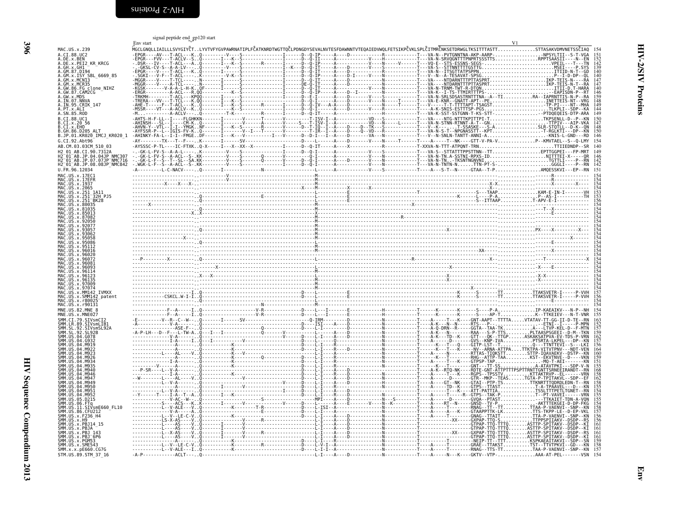<span id="page-23-1"></span><span id="page-23-0"></span>

|                                                                                        | signal peptide end_gp120 start<br>Env start                                                                                                                                                                                                                                |  |                                                                                  |            |
|----------------------------------------------------------------------------------------|----------------------------------------------------------------------------------------------------------------------------------------------------------------------------------------------------------------------------------------------------------------------------|--|----------------------------------------------------------------------------------|------------|
| MAC.US.x.239<br>A.CI.88.UC2                                                            | MGCLGNQLLIAILLLSVYGIYČTLYVTVFYGVPAWRNATIPLFČATKNRDTWGTTQČLPDNGDYSEVALNVTESFDAWNNTVTEQAIEDVWQLFETSIKPČVKLSPLČITMRČNKSETDRWGLTKSITTTASTTSTTASAKVDMVNETSSČIAQ                                                                                                                 |  |                                                                                  |            |
| A.DE.x.BEN<br>A.DE.X.PEI2 KR KRCG                                                      | $\begin{bmatrix} 0.01 & 0.01 & 0.01 & 0.01 & 0.01 & 0.01 & 0.01 & 0.01 & 0.01 & 0.01 & 0.01 & 0.01 & 0.01 & 0.01 & 0.01 & 0.01 & 0.01 & 0.01 & 0.01 & 0.01 & 0.01 & 0.01 & 0.01 & 0.01 & 0.01 & 0.01 & 0.01 & 0.01 & 0.01 & 0.01 & 0.01 & 0.01 & 0.01 & 0.01 & 0.01 & 0.0$ |  |                                                                                  |            |
| A.GH.x.GH1<br>A.GM.87.D194                                                             |                                                                                                                                                                                                                                                                            |  |                                                                                  |            |
| A.GM.X.ISY SBL_6669_85<br>A.GM.x.MCNI3<br>A.GM.x.MCR35                                 |                                                                                                                                                                                                                                                                            |  |                                                                                  |            |
| A.GW.86.FG clone_NIHZ<br>A.GW.87.CAM2CG                                                |                                                                                                                                                                                                                                                                            |  |                                                                                  |            |
| A.GW.X.MDS<br>A.IN.07.NNVA                                                             |                                                                                                                                                                                                                                                                            |  |                                                                                  |            |
| A. IN. 95. CRIK_147<br>A. PT. x. ALI<br>A. SN. 85. ROD                                 |                                                                                                                                                                                                                                                                            |  |                                                                                  | 149        |
| B.CI.88.UC1<br>B.CI.x.20 56                                                            |                                                                                                                                                                                                                                                                            |  |                                                                                  |            |
| B.CI.X.EHO<br>B.GH.86.D205 ALT                                                         |                                                                                                                                                                                                                                                                            |  |                                                                                  |            |
| B.JP.01.KR020_IMCJ_KR020_1<br>G.CI.92.Abt96                                            |                                                                                                                                                                                                                                                                            |  |                                                                                  |            |
| AB.CM.03.03CM 510 03<br>H2 01 AB.CI.90.7312A                                           |                                                                                                                                                                                                                                                                            |  |                                                                                  |            |
| H2-01-AB.JP.04.04JP NMC307<br>H2-01-AB.JP.07.07JP NMC716<br>H2-01-AB.JP.08.08JP NMC842 |                                                                                                                                                                                                                                                                            |  |                                                                                  |            |
| $U. \overline{FR}.96.12034$                                                            |                                                                                                                                                                                                                                                                            |  |                                                                                  | 142<br>151 |
| MAC.US.x.17EC1<br>MAC.US.x.17EFR<br>MAC. US. x. 1937                                   |                                                                                                                                                                                                                                                                            |  |                                                                                  |            |
| MAC. US. x. 2065<br>MAC.US.x.251 1A11                                                  |                                                                                                                                                                                                                                                                            |  |                                                                                  |            |
| MAC.US.x.251 <sup>-</sup> 32H PJ5<br>MAC.US.x.251 <sup>-</sup> BK28<br>MAC.US.x.80035  |                                                                                                                                                                                                                                                                            |  |                                                                                  |            |
| MAC.US.x.81035<br>US.x.85013                                                           |                                                                                                                                                                                                                                                                            |  |                                                                                  |            |
| MAC.US.x.87082<br>.92050                                                               |                                                                                                                                                                                                                                                                            |  |                                                                                  |            |
| MAC.US.x.93057<br>U.S. x. 93062                                                        |                                                                                                                                                                                                                                                                            |  |                                                                                  |            |
| MAC.US.x.95058<br>.US.x.95086                                                          |                                                                                                                                                                                                                                                                            |  |                                                                                  |            |
| MAC.US.x.95112<br>MAC.US.x.96016<br>96026                                              |                                                                                                                                                                                                                                                                            |  |                                                                                  |            |
| MAC.US.x.96081                                                                         |                                                                                                                                                                                                                                                                            |  |                                                                                  |            |
| MAC.US.x.96093<br>MAC.US.x.96114                                                       |                                                                                                                                                                                                                                                                            |  |                                                                                  |            |
| MAC.US.x.96123<br>MAC.US.x.96135<br>MAC.US.x.97009                                     |                                                                                                                                                                                                                                                                            |  |                                                                                  |            |
| MAC.US.x.97074<br>MAC.US.x.MM142 IVMXX                                                 |                                                                                                                                                                                                                                                                            |  |                                                                                  | 157        |
| MAC.US.x.SMM142_patent<br>MAC.US.x.r80025<br>MAC.US.x.r90131                           |                                                                                                                                                                                                                                                                            |  |                                                                                  |            |
| MNE.US.82.MNE 8<br>MNE.US.x.MNE027                                                     |                                                                                                                                                                                                                                                                            |  |                                                                                  |            |
| SMM.CI.79.SIVsmCI2<br>SMM.LR.89.SIVsmLIB1                                              |                                                                                                                                                                                                                                                                            |  |                                                                                  |            |
| SMM. SL. 92. SIVsmSL92A<br>.92.SL92B<br>SMM. US.04. G078                               |                                                                                                                                                                                                                                                                            |  |                                                                                  |            |
| SMM. US 04.6932                                                                        |                                                                                                                                                                                                                                                                            |  |                                                                                  |            |
| 04.M922<br>04.M926                                                                     |                                                                                                                                                                                                                                                                            |  |                                                                                  |            |
| 04 M935                                                                                |                                                                                                                                                                                                                                                                            |  |                                                                                  |            |
| $AA$ $MQAA$<br>A4 MQ46                                                                 |                                                                                                                                                                                                                                                                            |  |                                                                                  |            |
| .04 M94<br>04 M949<br>A4 MQ5A                                                          |                                                                                                                                                                                                                                                                            |  |                                                                                  |            |
| 04.M952                                                                                |                                                                                                                                                                                                                                                                            |  |                                                                                  |            |
| SMM.US.05.D215<br>SMM. US. 06. FTq<br>ŠMM.UŠ.II.SIVsmE660 FL10                         |                                                                                                                                                                                                                                                                            |  |                                                                                  |            |
| SMM. US.86. CFU212<br>SMM.US.x.F236 H4                                                 |                                                                                                                                                                                                                                                                            |  |                                                                                  |            |
| SMM. US. x. H9<br>SMM. US. x. PBJ14 15<br>SMM.US.x.PBJA                                |                                                                                                                                                                                                                                                                            |  |                                                                                  |            |
| $\overline{SMM}$ . US $\hat{x}$ . PBJ 143<br>SMM. U.S. x. PBJ 6P6                      |                                                                                                                                                                                                                                                                            |  |                                                                                  |            |
| SMM. US. x. PGM53<br>SMM.US.x.SME543                                                   |                                                                                                                                                                                                                                                                            |  |                                                                                  |            |
| SMM. x. x. pE660. CG7G<br>STM.US.89.STM 37 16                                          |                                                                                                                                                                                                                                                                            |  | -D-------------N-------------T----A-----N---K----GKTV--VTP-AAA-AT-PEL--------VSN | 154        |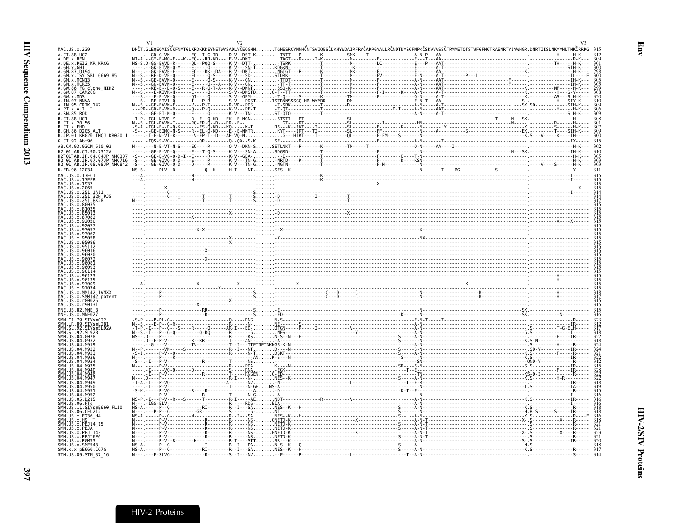<span id="page-24-0"></span>

| MAC.US.x.239<br>A.CI.88.UC2                                                                                                                | DNČT.GLEOEOMISČKFNMTGLKRDKKKEYNETWYSADLVČEQGNNTGNESRCYMNHČNTSVIQESČDKHYWDAIRFRYČAPPGYALLRČNDTNYSGFMPKČSKVVVSSČTRMMETQTSTWFGFNGTRAENRTYIYWHGR.DNRTIISLNKYYNLTMKČRRPG 315 |  |  |                                                                                                                                                                                                                                   |     |
|--------------------------------------------------------------------------------------------------------------------------------------------|-------------------------------------------------------------------------------------------------------------------------------------------------------------------------|--|--|-----------------------------------------------------------------------------------------------------------------------------------------------------------------------------------------------------------------------------------|-----|
| DE.x.BEN                                                                                                                                   |                                                                                                                                                                         |  |  |                                                                                                                                                                                                                                   |     |
| A.DE.x.PEI2 KR KRCG                                                                                                                        |                                                                                                                                                                         |  |  |                                                                                                                                                                                                                                   |     |
| GH.x.GH1<br>GM.87.D194                                                                                                                     |                                                                                                                                                                         |  |  |                                                                                                                                                                                                                                   |     |
| GM.x.ISY SBL 6669 85                                                                                                                       |                                                                                                                                                                         |  |  |                                                                                                                                                                                                                                   |     |
| GM.x.MCR35                                                                                                                                 |                                                                                                                                                                         |  |  |                                                                                                                                                                                                                                   |     |
| GW.86.FG clone NIHZ                                                                                                                        |                                                                                                                                                                         |  |  |                                                                                                                                                                                                                                   |     |
| GW.87.CAM2CG                                                                                                                               |                                                                                                                                                                         |  |  |                                                                                                                                                                                                                                   |     |
| IN.07.NNVA                                                                                                                                 |                                                                                                                                                                         |  |  |                                                                                                                                                                                                                                   |     |
| IN.95.CRIK 147                                                                                                                             |                                                                                                                                                                         |  |  |                                                                                                                                                                                                                                   |     |
| PT.x.ALI<br>A.SN.85.ROD                                                                                                                    |                                                                                                                                                                         |  |  |                                                                                                                                                                                                                                   |     |
| B.CI.88.UC1                                                                                                                                |                                                                                                                                                                         |  |  |                                                                                                                                                                                                                                   |     |
| B.CI.x.20 56<br>B.CI.x.EHO                                                                                                                 |                                                                                                                                                                         |  |  |                                                                                                                                                                                                                                   |     |
| B.GH.86.D205 ALT                                                                                                                           |                                                                                                                                                                         |  |  |                                                                                                                                                                                                                                   |     |
| B.JP.01.KR020 IMCJ KR020 1                                                                                                                 |                                                                                                                                                                         |  |  |                                                                                                                                                                                                                                   |     |
| G.CI.92.Abt96                                                                                                                              |                                                                                                                                                                         |  |  |                                                                                                                                                                                                                                   | 315 |
| AB.CM.03.03CM 510 03                                                                                                                       |                                                                                                                                                                         |  |  |                                                                                                                                                                                                                                   |     |
| 12 01 AB.CI.90.7312A                                                                                                                       |                                                                                                                                                                         |  |  |                                                                                                                                                                                                                                   |     |
|                                                                                                                                            |                                                                                                                                                                         |  |  |                                                                                                                                                                                                                                   |     |
| H2 <sup>−</sup> 01 <sup>−</sup> AB.JP.04.04JP NMC307<br>H2 <sup>−</sup> 01 <sup>−</sup> AB.JP.07.07JP NMC716<br>H2_01_AB.JP.08.08JP_NMC842 |                                                                                                                                                                         |  |  |                                                                                                                                                                                                                                   |     |
| U.FR.96.12034                                                                                                                              |                                                                                                                                                                         |  |  |                                                                                                                                                                                                                                   | 311 |
| MAC.US.x.17EC1                                                                                                                             |                                                                                                                                                                         |  |  |                                                                                                                                                                                                                                   |     |
| MAC.US.x.1937                                                                                                                              |                                                                                                                                                                         |  |  |                                                                                                                                                                                                                                   |     |
| MAC.US.x.251 1A11                                                                                                                          |                                                                                                                                                                         |  |  |                                                                                                                                                                                                                                   |     |
|                                                                                                                                            |                                                                                                                                                                         |  |  |                                                                                                                                                                                                                                   |     |
|                                                                                                                                            |                                                                                                                                                                         |  |  |                                                                                                                                                                                                                                   |     |
|                                                                                                                                            |                                                                                                                                                                         |  |  |                                                                                                                                                                                                                                   |     |
|                                                                                                                                            |                                                                                                                                                                         |  |  |                                                                                                                                                                                                                                   |     |
|                                                                                                                                            |                                                                                                                                                                         |  |  |                                                                                                                                                                                                                                   |     |
|                                                                                                                                            | $\ddot{x}$                                                                                                                                                              |  |  |                                                                                                                                                                                                                                   |     |
|                                                                                                                                            |                                                                                                                                                                         |  |  |                                                                                                                                                                                                                                   |     |
|                                                                                                                                            |                                                                                                                                                                         |  |  |                                                                                                                                                                                                                                   |     |
|                                                                                                                                            |                                                                                                                                                                         |  |  |                                                                                                                                                                                                                                   |     |
|                                                                                                                                            |                                                                                                                                                                         |  |  |                                                                                                                                                                                                                                   |     |
|                                                                                                                                            |                                                                                                                                                                         |  |  |                                                                                                                                                                                                                                   |     |
|                                                                                                                                            |                                                                                                                                                                         |  |  |                                                                                                                                                                                                                                   |     |
|                                                                                                                                            |                                                                                                                                                                         |  |  | $\frac{1}{2}$ . The contract of the contract of the contract of the contract of the contract of the contract of the contract of the contract of the contract of the contract of the contract of the contract of the contract of t |     |
|                                                                                                                                            |                                                                                                                                                                         |  |  |                                                                                                                                                                                                                                   |     |
|                                                                                                                                            |                                                                                                                                                                         |  |  |                                                                                                                                                                                                                                   |     |
|                                                                                                                                            |                                                                                                                                                                         |  |  |                                                                                                                                                                                                                                   |     |
|                                                                                                                                            |                                                                                                                                                                         |  |  |                                                                                                                                                                                                                                   |     |
| MAC US x MM142 TVMXX                                                                                                                       |                                                                                                                                                                         |  |  |                                                                                                                                                                                                                                   |     |
| MAC.US.x.SMM142 patent                                                                                                                     |                                                                                                                                                                         |  |  |                                                                                                                                                                                                                                   |     |
|                                                                                                                                            |                                                                                                                                                                         |  |  |                                                                                                                                                                                                                                   |     |
|                                                                                                                                            |                                                                                                                                                                         |  |  |                                                                                                                                                                                                                                   |     |
|                                                                                                                                            |                                                                                                                                                                         |  |  |                                                                                                                                                                                                                                   |     |
|                                                                                                                                            |                                                                                                                                                                         |  |  |                                                                                                                                                                                                                                   |     |
|                                                                                                                                            |                                                                                                                                                                         |  |  |                                                                                                                                                                                                                                   |     |
|                                                                                                                                            |                                                                                                                                                                         |  |  |                                                                                                                                                                                                                                   |     |
|                                                                                                                                            |                                                                                                                                                                         |  |  |                                                                                                                                                                                                                                   |     |
|                                                                                                                                            |                                                                                                                                                                         |  |  |                                                                                                                                                                                                                                   |     |
|                                                                                                                                            |                                                                                                                                                                         |  |  |                                                                                                                                                                                                                                   |     |
|                                                                                                                                            |                                                                                                                                                                         |  |  |                                                                                                                                                                                                                                   |     |
|                                                                                                                                            |                                                                                                                                                                         |  |  |                                                                                                                                                                                                                                   |     |
|                                                                                                                                            |                                                                                                                                                                         |  |  |                                                                                                                                                                                                                                   |     |
|                                                                                                                                            |                                                                                                                                                                         |  |  |                                                                                                                                                                                                                                   |     |
|                                                                                                                                            |                                                                                                                                                                         |  |  |                                                                                                                                                                                                                                   |     |
|                                                                                                                                            |                                                                                                                                                                         |  |  |                                                                                                                                                                                                                                   |     |
|                                                                                                                                            |                                                                                                                                                                         |  |  |                                                                                                                                                                                                                                   |     |
|                                                                                                                                            |                                                                                                                                                                         |  |  |                                                                                                                                                                                                                                   |     |
| SIVsmE660 FL10                                                                                                                             |                                                                                                                                                                         |  |  |                                                                                                                                                                                                                                   |     |
|                                                                                                                                            |                                                                                                                                                                         |  |  |                                                                                                                                                                                                                                   |     |
|                                                                                                                                            |                                                                                                                                                                         |  |  |                                                                                                                                                                                                                                   |     |
|                                                                                                                                            |                                                                                                                                                                         |  |  |                                                                                                                                                                                                                                   |     |
|                                                                                                                                            |                                                                                                                                                                         |  |  |                                                                                                                                                                                                                                   |     |
| MNE.US.x.MNE02                                                                                                                             |                                                                                                                                                                         |  |  |                                                                                                                                                                                                                                   |     |
|                                                                                                                                            |                                                                                                                                                                         |  |  |                                                                                                                                                                                                                                   |     |
| SMM.x.x.pE660.CG7G<br>STM.US.89.STM 37 16                                                                                                  |                                                                                                                                                                         |  |  |                                                                                                                                                                                                                                   |     |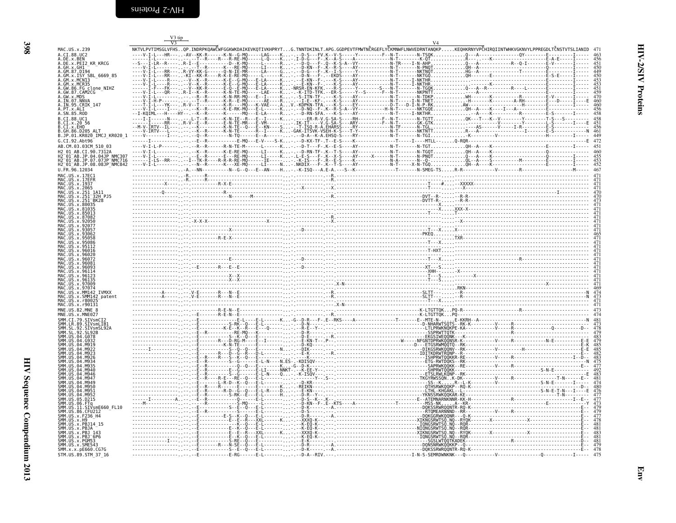<span id="page-25-0"></span>

| NKTVLPVTIMSGLVFHSOP.INDRPKOAWČWFGGKWKDAIKEVKOTIVKHPRYTG.TNNTDKINLT.APG.GGDPEVTFMWTNČRGEFLYČKMNWFLNWVEDRNTANOKPKEOHKRNYVPČHIROIINTWHKVGKNVYLPPREGDLTČNSTVTSLIANID<br>MAC.US.x.239<br>A.CI.88.UC2<br>A.DE.x.BEN<br>A.DE.x.PEI2 KR KRCG<br>A.GH.x.GH1<br>A.GM.87.D194<br>A.GM.x.ISY SBL 6669 85<br>GM.x.MCR35<br>A.GW.86.FG_clone_NIHZ<br>A.GW.87.CAM2CG<br>A.GW.X.MDS<br>A.IN.07.NNVA<br>A.IN.95.CRIK 147<br>A. PT. x. ALI<br>B.CT.88.UC1<br>.CI.x.20 56<br>CI.X.EHO<br>B.GH.86.D205 ALT<br>B.JP.01.KR020 IMCJ KR020 1<br>G.CI.92.Abt96<br>AB.CM.03.03CM 510 03<br>H2 01 AB.CI.90.7312A<br>H2-01-AB.JP.04.04JP-NMC307<br>H2-01-AB.JP.07.07JP-NMC716<br>H2_01_AB.JP.08.08JP_NMC842<br>U.FR.96.12034<br>MAC.US.x.17EFR<br>US.x.1937<br>.US.x.2065<br>.US.x.251_1A11<br>MAC.US.x.251<br>US.x.251<br>x.81035<br>8708<br>MAC.US.x.96135<br>US.x.97009<br>MAC.US.x.97074<br><b>TVMXX</b><br>US.x.MM142<br>MAC.US.x.SMM142 patent<br>MAC. US. x. r80025<br>MAC.US.x.r90131<br>MNE.US.82.MNE 8<br>.92.SIVsmSL92A<br>A4 MQ53<br>US.05.D215<br>US.11.SIVsmE660_FL10<br>US.86.CFU212<br>US.x.F236 H4<br>.US.x.H9<br>US.x.PBJ14 15<br>SMM.US.x.PBJ 143<br>SMM.US.x.PBJ <sup>-</sup> 6P6 |  | V <sub>4</sub> |  |
|---------------------------------------------------------------------------------------------------------------------------------------------------------------------------------------------------------------------------------------------------------------------------------------------------------------------------------------------------------------------------------------------------------------------------------------------------------------------------------------------------------------------------------------------------------------------------------------------------------------------------------------------------------------------------------------------------------------------------------------------------------------------------------------------------------------------------------------------------------------------------------------------------------------------------------------------------------------------------------------------------------------------------------------------------------------------------------------------------------------------------------------------------------------------------|--|----------------|--|
|                                                                                                                                                                                                                                                                                                                                                                                                                                                                                                                                                                                                                                                                                                                                                                                                                                                                                                                                                                                                                                                                                                                                                                           |  |                |  |
|                                                                                                                                                                                                                                                                                                                                                                                                                                                                                                                                                                                                                                                                                                                                                                                                                                                                                                                                                                                                                                                                                                                                                                           |  |                |  |
|                                                                                                                                                                                                                                                                                                                                                                                                                                                                                                                                                                                                                                                                                                                                                                                                                                                                                                                                                                                                                                                                                                                                                                           |  |                |  |
|                                                                                                                                                                                                                                                                                                                                                                                                                                                                                                                                                                                                                                                                                                                                                                                                                                                                                                                                                                                                                                                                                                                                                                           |  |                |  |
|                                                                                                                                                                                                                                                                                                                                                                                                                                                                                                                                                                                                                                                                                                                                                                                                                                                                                                                                                                                                                                                                                                                                                                           |  |                |  |
|                                                                                                                                                                                                                                                                                                                                                                                                                                                                                                                                                                                                                                                                                                                                                                                                                                                                                                                                                                                                                                                                                                                                                                           |  |                |  |
|                                                                                                                                                                                                                                                                                                                                                                                                                                                                                                                                                                                                                                                                                                                                                                                                                                                                                                                                                                                                                                                                                                                                                                           |  |                |  |
|                                                                                                                                                                                                                                                                                                                                                                                                                                                                                                                                                                                                                                                                                                                                                                                                                                                                                                                                                                                                                                                                                                                                                                           |  |                |  |
|                                                                                                                                                                                                                                                                                                                                                                                                                                                                                                                                                                                                                                                                                                                                                                                                                                                                                                                                                                                                                                                                                                                                                                           |  |                |  |
|                                                                                                                                                                                                                                                                                                                                                                                                                                                                                                                                                                                                                                                                                                                                                                                                                                                                                                                                                                                                                                                                                                                                                                           |  |                |  |
|                                                                                                                                                                                                                                                                                                                                                                                                                                                                                                                                                                                                                                                                                                                                                                                                                                                                                                                                                                                                                                                                                                                                                                           |  |                |  |
|                                                                                                                                                                                                                                                                                                                                                                                                                                                                                                                                                                                                                                                                                                                                                                                                                                                                                                                                                                                                                                                                                                                                                                           |  |                |  |
|                                                                                                                                                                                                                                                                                                                                                                                                                                                                                                                                                                                                                                                                                                                                                                                                                                                                                                                                                                                                                                                                                                                                                                           |  |                |  |
|                                                                                                                                                                                                                                                                                                                                                                                                                                                                                                                                                                                                                                                                                                                                                                                                                                                                                                                                                                                                                                                                                                                                                                           |  |                |  |
|                                                                                                                                                                                                                                                                                                                                                                                                                                                                                                                                                                                                                                                                                                                                                                                                                                                                                                                                                                                                                                                                                                                                                                           |  |                |  |
|                                                                                                                                                                                                                                                                                                                                                                                                                                                                                                                                                                                                                                                                                                                                                                                                                                                                                                                                                                                                                                                                                                                                                                           |  |                |  |
|                                                                                                                                                                                                                                                                                                                                                                                                                                                                                                                                                                                                                                                                                                                                                                                                                                                                                                                                                                                                                                                                                                                                                                           |  |                |  |
|                                                                                                                                                                                                                                                                                                                                                                                                                                                                                                                                                                                                                                                                                                                                                                                                                                                                                                                                                                                                                                                                                                                                                                           |  |                |  |
|                                                                                                                                                                                                                                                                                                                                                                                                                                                                                                                                                                                                                                                                                                                                                                                                                                                                                                                                                                                                                                                                                                                                                                           |  |                |  |
|                                                                                                                                                                                                                                                                                                                                                                                                                                                                                                                                                                                                                                                                                                                                                                                                                                                                                                                                                                                                                                                                                                                                                                           |  |                |  |
|                                                                                                                                                                                                                                                                                                                                                                                                                                                                                                                                                                                                                                                                                                                                                                                                                                                                                                                                                                                                                                                                                                                                                                           |  |                |  |
|                                                                                                                                                                                                                                                                                                                                                                                                                                                                                                                                                                                                                                                                                                                                                                                                                                                                                                                                                                                                                                                                                                                                                                           |  |                |  |
|                                                                                                                                                                                                                                                                                                                                                                                                                                                                                                                                                                                                                                                                                                                                                                                                                                                                                                                                                                                                                                                                                                                                                                           |  |                |  |
|                                                                                                                                                                                                                                                                                                                                                                                                                                                                                                                                                                                                                                                                                                                                                                                                                                                                                                                                                                                                                                                                                                                                                                           |  |                |  |
|                                                                                                                                                                                                                                                                                                                                                                                                                                                                                                                                                                                                                                                                                                                                                                                                                                                                                                                                                                                                                                                                                                                                                                           |  |                |  |
|                                                                                                                                                                                                                                                                                                                                                                                                                                                                                                                                                                                                                                                                                                                                                                                                                                                                                                                                                                                                                                                                                                                                                                           |  |                |  |
|                                                                                                                                                                                                                                                                                                                                                                                                                                                                                                                                                                                                                                                                                                                                                                                                                                                                                                                                                                                                                                                                                                                                                                           |  |                |  |
|                                                                                                                                                                                                                                                                                                                                                                                                                                                                                                                                                                                                                                                                                                                                                                                                                                                                                                                                                                                                                                                                                                                                                                           |  |                |  |
|                                                                                                                                                                                                                                                                                                                                                                                                                                                                                                                                                                                                                                                                                                                                                                                                                                                                                                                                                                                                                                                                                                                                                                           |  |                |  |
|                                                                                                                                                                                                                                                                                                                                                                                                                                                                                                                                                                                                                                                                                                                                                                                                                                                                                                                                                                                                                                                                                                                                                                           |  |                |  |
|                                                                                                                                                                                                                                                                                                                                                                                                                                                                                                                                                                                                                                                                                                                                                                                                                                                                                                                                                                                                                                                                                                                                                                           |  |                |  |
|                                                                                                                                                                                                                                                                                                                                                                                                                                                                                                                                                                                                                                                                                                                                                                                                                                                                                                                                                                                                                                                                                                                                                                           |  |                |  |
|                                                                                                                                                                                                                                                                                                                                                                                                                                                                                                                                                                                                                                                                                                                                                                                                                                                                                                                                                                                                                                                                                                                                                                           |  |                |  |
|                                                                                                                                                                                                                                                                                                                                                                                                                                                                                                                                                                                                                                                                                                                                                                                                                                                                                                                                                                                                                                                                                                                                                                           |  |                |  |
|                                                                                                                                                                                                                                                                                                                                                                                                                                                                                                                                                                                                                                                                                                                                                                                                                                                                                                                                                                                                                                                                                                                                                                           |  |                |  |
|                                                                                                                                                                                                                                                                                                                                                                                                                                                                                                                                                                                                                                                                                                                                                                                                                                                                                                                                                                                                                                                                                                                                                                           |  |                |  |
|                                                                                                                                                                                                                                                                                                                                                                                                                                                                                                                                                                                                                                                                                                                                                                                                                                                                                                                                                                                                                                                                                                                                                                           |  |                |  |
|                                                                                                                                                                                                                                                                                                                                                                                                                                                                                                                                                                                                                                                                                                                                                                                                                                                                                                                                                                                                                                                                                                                                                                           |  |                |  |
|                                                                                                                                                                                                                                                                                                                                                                                                                                                                                                                                                                                                                                                                                                                                                                                                                                                                                                                                                                                                                                                                                                                                                                           |  |                |  |
|                                                                                                                                                                                                                                                                                                                                                                                                                                                                                                                                                                                                                                                                                                                                                                                                                                                                                                                                                                                                                                                                                                                                                                           |  |                |  |
|                                                                                                                                                                                                                                                                                                                                                                                                                                                                                                                                                                                                                                                                                                                                                                                                                                                                                                                                                                                                                                                                                                                                                                           |  |                |  |
|                                                                                                                                                                                                                                                                                                                                                                                                                                                                                                                                                                                                                                                                                                                                                                                                                                                                                                                                                                                                                                                                                                                                                                           |  |                |  |
| US.x.PGM53<br>SMM.US.x.SME543                                                                                                                                                                                                                                                                                                                                                                                                                                                                                                                                                                                                                                                                                                                                                                                                                                                                                                                                                                                                                                                                                                                                             |  |                |  |
| SMM.x.x.pE660.CG7G<br>STM.US.89.STM_37_16                                                                                                                                                                                                                                                                                                                                                                                                                                                                                                                                                                                                                                                                                                                                                                                                                                                                                                                                                                                                                                                                                                                                 |  |                |  |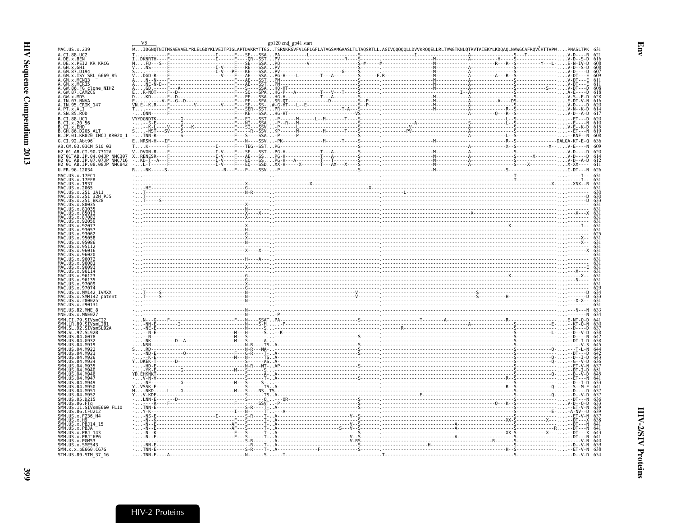<span id="page-26-0"></span>

|                                                                                                     | gp120 end_gp41 start |                                                                                                                                                                           |  |
|-----------------------------------------------------------------------------------------------------|----------------------|---------------------------------------------------------------------------------------------------------------------------------------------------------------------------|--|
| MAC.US.x.239                                                                                        |                      | .<br>WIDGNQTNITMSAEVAELYRLELGDYKLVEITPIGLAPTDVKRYTTGGTSRNKRGVFVLGFLGFLATAGSAMGAASLTLTAQSRTLL.AGIVQQQQQLLDVVKRQQELLRLTVWGTKNLQTRVTAIEKYLKDQAQLNAWGCAFRQVČHTTVPWPNASLTPK 63 |  |
| A.CI.88.UC2<br>A.DE.x.BEN                                                                           |                      |                                                                                                                                                                           |  |
| A.DE.x.PEI2 KR KRCG                                                                                 |                      |                                                                                                                                                                           |  |
| GH.x.GH1                                                                                            |                      |                                                                                                                                                                           |  |
| .GM.87.D194<br>.GM.x.ISY SBL 6669 85                                                                |                      |                                                                                                                                                                           |  |
| .GM.x.MCN13                                                                                         |                      |                                                                                                                                                                           |  |
| GM.x.MCR35                                                                                          |                      |                                                                                                                                                                           |  |
| .GW.86.FG clone_NIHZ<br>.GW.87.CAM2CG                                                               |                      |                                                                                                                                                                           |  |
| .GW.x.MDS                                                                                           |                      |                                                                                                                                                                           |  |
| .IN.07.NNVA                                                                                         |                      |                                                                                                                                                                           |  |
| A.IN.95.CRIK 147                                                                                    |                      |                                                                                                                                                                           |  |
| A.PT.x.ALI<br>A.SN.85.ROD                                                                           |                      |                                                                                                                                                                           |  |
| B.CI.88.UC1                                                                                         |                      |                                                                                                                                                                           |  |
|                                                                                                     |                      |                                                                                                                                                                           |  |
| B.CI.x.20 56<br>B.CI.x.EHO<br>B.GH.86.D205_ALT                                                      |                      |                                                                                                                                                                           |  |
|                                                                                                     |                      |                                                                                                                                                                           |  |
| .JP.01.KR020_IMCJ KR020 1                                                                           |                      |                                                                                                                                                                           |  |
| G.CI.92.Abt96                                                                                       |                      |                                                                                                                                                                           |  |
| AB.CM.03.03CM 510 03                                                                                |                      |                                                                                                                                                                           |  |
| 12 01 AB.CI.90.7312A                                                                                |                      |                                                                                                                                                                           |  |
| H2-01-AB.JP.04.04JP^NMC307<br>H2-01-AB.JP.07.07JP <sup>−</sup> NMC716<br>H2_01_AB.JP.08.08JP_NMC842 |                      |                                                                                                                                                                           |  |
|                                                                                                     |                      |                                                                                                                                                                           |  |
| U.FR.96.12034                                                                                       |                      |                                                                                                                                                                           |  |
| MAC.US.x.17EC1                                                                                      |                      |                                                                                                                                                                           |  |
| MAC.US.x.17EFR                                                                                      |                      |                                                                                                                                                                           |  |
| MAC.US.x.1937                                                                                       |                      |                                                                                                                                                                           |  |
| MAC. US. x. 2065                                                                                    |                      |                                                                                                                                                                           |  |
| MAC.US.x.251_1A11<br>MAC.US.x.251 <sup>-</sup> 32H PJ5                                              |                      |                                                                                                                                                                           |  |
|                                                                                                     |                      |                                                                                                                                                                           |  |
|                                                                                                     |                      |                                                                                                                                                                           |  |
|                                                                                                     |                      |                                                                                                                                                                           |  |
|                                                                                                     |                      |                                                                                                                                                                           |  |
|                                                                                                     |                      |                                                                                                                                                                           |  |
|                                                                                                     |                      |                                                                                                                                                                           |  |
|                                                                                                     |                      |                                                                                                                                                                           |  |
|                                                                                                     |                      |                                                                                                                                                                           |  |
|                                                                                                     |                      |                                                                                                                                                                           |  |
|                                                                                                     |                      |                                                                                                                                                                           |  |
|                                                                                                     |                      |                                                                                                                                                                           |  |
|                                                                                                     |                      |                                                                                                                                                                           |  |
|                                                                                                     |                      |                                                                                                                                                                           |  |
|                                                                                                     |                      |                                                                                                                                                                           |  |
|                                                                                                     |                      |                                                                                                                                                                           |  |
|                                                                                                     |                      |                                                                                                                                                                           |  |
|                                                                                                     |                      |                                                                                                                                                                           |  |
| . U.S. x . 97074                                                                                    |                      |                                                                                                                                                                           |  |
| US.x.MM142 IVMXX                                                                                    |                      |                                                                                                                                                                           |  |
| MAC.US.x.SMM142_patent<br>MAC.US.x.r80025                                                           |                      |                                                                                                                                                                           |  |
| MAC.US.x.r90131                                                                                     |                      |                                                                                                                                                                           |  |
| MNE.US.82.MNE 8                                                                                     |                      |                                                                                                                                                                           |  |
| MNE.US.x.MNE027                                                                                     |                      |                                                                                                                                                                           |  |
| SMM.CI.79.SIVsmCI2                                                                                  |                      |                                                                                                                                                                           |  |
| <b>STVsml TR1</b>                                                                                   |                      |                                                                                                                                                                           |  |
|                                                                                                     |                      |                                                                                                                                                                           |  |
| SMM. SL                                                                                             |                      |                                                                                                                                                                           |  |
|                                                                                                     |                      |                                                                                                                                                                           |  |
|                                                                                                     |                      |                                                                                                                                                                           |  |
|                                                                                                     |                      |                                                                                                                                                                           |  |
|                                                                                                     |                      |                                                                                                                                                                           |  |
|                                                                                                     |                      |                                                                                                                                                                           |  |
|                                                                                                     |                      |                                                                                                                                                                           |  |
|                                                                                                     |                      |                                                                                                                                                                           |  |
|                                                                                                     |                      |                                                                                                                                                                           |  |
|                                                                                                     |                      |                                                                                                                                                                           |  |
|                                                                                                     |                      |                                                                                                                                                                           |  |
|                                                                                                     |                      |                                                                                                                                                                           |  |
|                                                                                                     |                      |                                                                                                                                                                           |  |
|                                                                                                     |                      |                                                                                                                                                                           |  |
|                                                                                                     |                      |                                                                                                                                                                           |  |
| SIVsmE660 FL10                                                                                      |                      |                                                                                                                                                                           |  |
|                                                                                                     |                      |                                                                                                                                                                           |  |
|                                                                                                     |                      |                                                                                                                                                                           |  |
|                                                                                                     |                      |                                                                                                                                                                           |  |
|                                                                                                     |                      |                                                                                                                                                                           |  |
|                                                                                                     |                      |                                                                                                                                                                           |  |
|                                                                                                     |                      |                                                                                                                                                                           |  |
|                                                                                                     |                      |                                                                                                                                                                           |  |
| SMM.US.x.SME543<br>SMM.x.x.pE660.CG7G                                                               |                      |                                                                                                                                                                           |  |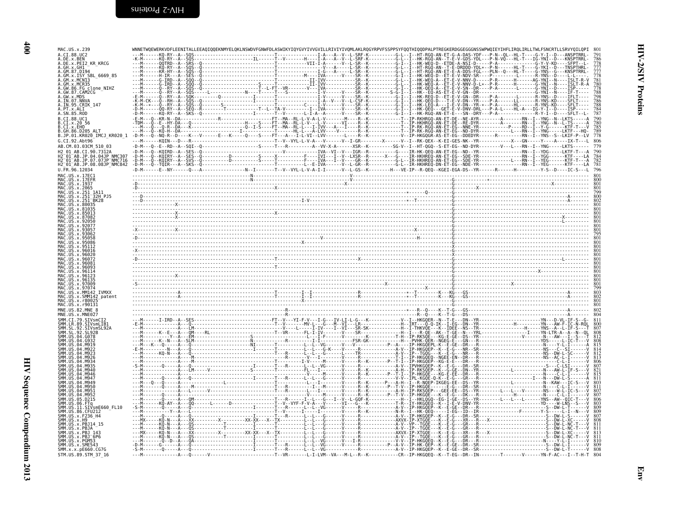| MAC.US.x.239<br>A. CT. 88. HC2                                                         |                                                                                                                                                                       |                                                                                           |                                        |
|----------------------------------------------------------------------------------------|-----------------------------------------------------------------------------------------------------------------------------------------------------------------------|-------------------------------------------------------------------------------------------|----------------------------------------|
| A.DE.x.BEN                                                                             |                                                                                                                                                                       |                                                                                           |                                        |
| A.DE.x.PEI2 KR KRCG<br>A.GH.x.GH1                                                      |                                                                                                                                                                       |                                                                                           | 786<br>778<br>777<br>777<br>778<br>781 |
| A.GM.x.ISY SBL 6669 85<br>.GM.x.MCNI3                                                  |                                                                                                                                                                       |                                                                                           |                                        |
| A.GM.x.MCR35<br>.FG clone NIHZ                                                         |                                                                                                                                                                       |                                                                                           |                                        |
| A.GW.87.CAM2CG<br>A.GW.x.MDS                                                           |                                                                                                                                                                       |                                                                                           |                                        |
| A.IN.07.NNVA<br>A.IN.95.CRIK 147                                                       |                                                                                                                                                                       |                                                                                           |                                        |
| A.PT.x.ALI<br>A.SN.85.ROD                                                              |                                                                                                                                                                       |                                                                                           |                                        |
| B.CT.88.UCI                                                                            |                                                                                                                                                                       |                                                                                           | 790                                    |
| .CI.x.EHO                                                                              |                                                                                                                                                                       |                                                                                           | 780<br>785<br>789                      |
| B.JP.01.KR020 IMCJ KR020 1                                                             |                                                                                                                                                                       |                                                                                           |                                        |
| G.CI.92.Abt96<br>AB.CM.03.03CM 510 03                                                  | -D-M---Q--E--RD--A--SQI--Q------------------S-----T---R--------A--VV-X-A-------XSR--K--------SG-V--I--HT-QGQ--S-ET-EG--ND-DYR-------V---L---RN--I--YNG-----LKTS------ |                                                                                           | 806<br>779                             |
|                                                                                        |                                                                                                                                                                       |                                                                                           |                                        |
| H2-01-AB.JP.04.04JP'NMC307<br>H2-01-AB.JP.07.07JP-NMC716<br>H2-01-AB.JP.08.08JP-NMC842 |                                                                                                                                                                       |                                                                                           | 781                                    |
|                                                                                        |                                                                                                                                                                       |                                                                                           | 796                                    |
| US.x.17EF                                                                              |                                                                                                                                                                       |                                                                                           |                                        |
|                                                                                        |                                                                                                                                                                       |                                                                                           | 801                                    |
| 32H P.15                                                                               |                                                                                                                                                                       |                                                                                           |                                        |
|                                                                                        |                                                                                                                                                                       |                                                                                           |                                        |
|                                                                                        |                                                                                                                                                                       |                                                                                           |                                        |
|                                                                                        |                                                                                                                                                                       |                                                                                           |                                        |
|                                                                                        |                                                                                                                                                                       |                                                                                           |                                        |
|                                                                                        |                                                                                                                                                                       |                                                                                           |                                        |
|                                                                                        |                                                                                                                                                                       |                                                                                           |                                        |
|                                                                                        |                                                                                                                                                                       |                                                                                           |                                        |
|                                                                                        |                                                                                                                                                                       |                                                                                           |                                        |
|                                                                                        |                                                                                                                                                                       |                                                                                           |                                        |
|                                                                                        |                                                                                                                                                                       |                                                                                           |                                        |
| <b>TVMXX</b><br>. X .                                                                  |                                                                                                                                                                       |                                                                                           |                                        |
| US.x.SMM142 patent<br>MAC.US.x.r90131                                                  |                                                                                                                                                                       |                                                                                           |                                        |
| MNE.US.82.MNE 8                                                                        |                                                                                                                                                                       |                                                                                           |                                        |
| MNE.US.x.MNE027<br>$CT$ 79                                                             |                                                                                                                                                                       |                                                                                           |                                        |
| SIVsmLIB<br>IR 89.                                                                     |                                                                                                                                                                       |                                                                                           |                                        |
| 92                                                                                     |                                                                                                                                                                       |                                                                                           | $\frac{808}{812}$                      |
|                                                                                        |                                                                                                                                                                       |                                                                                           |                                        |
|                                                                                        |                                                                                                                                                                       |                                                                                           | $815$<br>$814$<br>$812$<br>$813$       |
|                                                                                        |                                                                                                                                                                       |                                                                                           |                                        |
|                                                                                        |                                                                                                                                                                       |                                                                                           | $\frac{807}{821}$                      |
|                                                                                        |                                                                                                                                                                       |                                                                                           |                                        |
|                                                                                        |                                                                                                                                                                       |                                                                                           |                                        |
|                                                                                        |                                                                                                                                                                       |                                                                                           |                                        |
| SIVsmE660 FL10                                                                         |                                                                                                                                                                       |                                                                                           | $\frac{803}{809}$                      |
| US.86.                                                                                 |                                                                                                                                                                       |                                                                                           |                                        |
|                                                                                        |                                                                                                                                                                       |                                                                                           |                                        |
|                                                                                        |                                                                                                                                                                       |                                                                                           |                                        |
| SMM.US.x.SME543                                                                        |                                                                                                                                                                       |                                                                                           |                                        |
| SMM.x.x.pE660.CG7G<br>STM.US.89.STM 37 16                                              |                                                                                                                                                                       |                                                                                           |                                        |
|                                                                                        |                                                                                                                                                                       | ----V-----------------------T--VR------L-I-LVM--VA---M-L--R--K----------CR--IP-HKGQEQ--K- |                                        |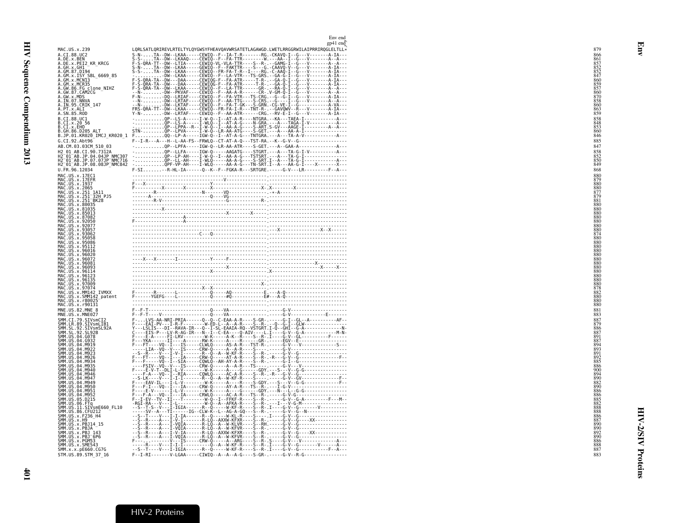<span id="page-28-0"></span>

|                                                                                                                                                                                                                | Env end<br>$gp41$ end                                                                                                                                                                                                                                                                                                                                                                                                                        |            |
|----------------------------------------------------------------------------------------------------------------------------------------------------------------------------------------------------------------|----------------------------------------------------------------------------------------------------------------------------------------------------------------------------------------------------------------------------------------------------------------------------------------------------------------------------------------------------------------------------------------------------------------------------------------------|------------|
| MAC.US.x.239                                                                                                                                                                                                   | LQRLSATLQRIREVLRTELTYLQYGWSYFHEAVQAVWRSATETLAGAWGD.LWETLRRGGRWILAIPRRIRQGLELTLL*                                                                                                                                                                                                                                                                                                                                                             | 879        |
| A.CI.88.UC2                                                                                                                                                                                                    |                                                                                                                                                                                                                                                                                                                                                                                                                                              | 866<br>861 |
| A.DE.x.BEN<br>A.DE.x.PEI2_KR_KRCG                                                                                                                                                                              |                                                                                                                                                                                                                                                                                                                                                                                                                                              |            |
| A.GH.X.GH1 <sup>-</sup><br>A.GM.87.D194                                                                                                                                                                        |                                                                                                                                                                                                                                                                                                                                                                                                                                              | 852        |
|                                                                                                                                                                                                                |                                                                                                                                                                                                                                                                                                                                                                                                                                              | 86Ċ        |
|                                                                                                                                                                                                                |                                                                                                                                                                                                                                                                                                                                                                                                                                              |            |
|                                                                                                                                                                                                                |                                                                                                                                                                                                                                                                                                                                                                                                                                              |            |
| A. GM. 87. D194<br>A. GM. x. ISY SBL_6669_85<br>A. GM. x. MCR13<br>A. GM. x. MCR35<br>A. GM. 86. FG<br>A. GM. 87. CAM2CG<br>A. IN. 97. NNVA<br>A. IN. 97. NNVA<br>A. IN. 97. NNVA<br>A. IN. 97. NNVA           |                                                                                                                                                                                                                                                                                                                                                                                                                                              |            |
| A.PT.x.ALI<br>A.SN.85.ROD                                                                                                                                                                                      | LORISATLORINEVILLE TRYING WITH THE TREATMENT RESERVED TO THE TRING THE TRING THE SECTION OF THE TRING THE TRING THE TRING THE TRING THE TRING THE TRING THE TRING THE TRING THE TRING THE TRING THE TRING THE TRING THE TRING                                                                                                                                                                                                                | 859        |
| B.CI.88.UC1<br>B.CI.x.20_56                                                                                                                                                                                    |                                                                                                                                                                                                                                                                                                                                                                                                                                              | 858        |
|                                                                                                                                                                                                                |                                                                                                                                                                                                                                                                                                                                                                                                                                              | 860        |
| B.CI.X.EHO<br>B.GH.86.D205 ALT<br>B.JP.01.KR020_IMCJ_KR020_1                                                                                                                                                   |                                                                                                                                                                                                                                                                                                                                                                                                                                              | 846        |
| G.CI.92.Abt96<br>AB.CM.03.03CM 510 03                                                                                                                                                                          | F--I-R---A---H--L-AA-FS--FRWLQ--CT-AT-A-Q---TST-RA.--K--G-V--G------------------<br>- QP--LPFA-----IGW-Q--LR-AA-ATR----S-GET.---A--GAA-A---------------A---                                                                                                                                                                                                                                                                                  | 885<br>847 |
| H2 01 AB.CI.90.7312A                                                                                                                                                                                           | -QP--LLFA-----IGW-Q-----AAGATG----STGRT.---A---TA-G-I-V-----------A---                                                                                                                                                                                                                                                                                                                                                                       | 858        |
| H2-01-AB.JP.04.04JP NMC307<br>H2-01-AB.JP.07.07JP NMC716                                                                                                                                                       |                                                                                                                                                                                                                                                                                                                                                                                                                                              |            |
| H2 <sup>-01-AB.JP.08.08JP<sup>-</sup>NMC842</sup><br>U.FR.96.12034                                                                                                                                             |                                                                                                                                                                                                                                                                                                                                                                                                                                              | 849<br>868 |
|                                                                                                                                                                                                                |                                                                                                                                                                                                                                                                                                                                                                                                                                              | 880        |
| MAC. US. x. 17EC1<br>MAC. US. x. 17EC1<br>MAC. US. x. 1937<br>MAC. US. x. 2065<br>MAC. US. x. 251_3AH<br>MAC. US. x. 251_32H<br>MAC. US. x. 251_32H<br>PJS                                                     |                                                                                                                                                                                                                                                                                                                                                                                                                                              |            |
|                                                                                                                                                                                                                |                                                                                                                                                                                                                                                                                                                                                                                                                                              |            |
|                                                                                                                                                                                                                |                                                                                                                                                                                                                                                                                                                                                                                                                                              | 881        |
| MAC. US . x . 251-BK28<br>MAC. US . x . 80035<br>MAC. US . x . 81035<br>MAC. US . x . 85013                                                                                                                    |                                                                                                                                                                                                                                                                                                                                                                                                                                              |            |
|                                                                                                                                                                                                                |                                                                                                                                                                                                                                                                                                                                                                                                                                              |            |
|                                                                                                                                                                                                                |                                                                                                                                                                                                                                                                                                                                                                                                                                              |            |
|                                                                                                                                                                                                                |                                                                                                                                                                                                                                                                                                                                                                                                                                              | 880        |
|                                                                                                                                                                                                                |                                                                                                                                                                                                                                                                                                                                                                                                                                              | 880<br>880 |
| MAC. US. x. 85943<br>MAC. US. x. 87082<br>MAC. US. x. 92057<br>MAC. US. x. 93057<br>MAC. US. x. 93062<br>MAC. US. x. 95058<br>MAC. US. x. 95058<br>MAC. US. x. 95112<br>MAC. US. x. 95112<br>MAC. US. x. 95112 |                                                                                                                                                                                                                                                                                                                                                                                                                                              | 880        |
| MAC.US.X.96016<br>MAC.US.x.96020                                                                                                                                                                               |                                                                                                                                                                                                                                                                                                                                                                                                                                              |            |
| MAC.US.x.96072<br>MAC.US.x.96081                                                                                                                                                                               |                                                                                                                                                                                                                                                                                                                                                                                                                                              |            |
|                                                                                                                                                                                                                |                                                                                                                                                                                                                                                                                                                                                                                                                                              |            |
| MAC.US.x.96093<br>MAC.US.x.96093<br>MAC.US.x.96123<br>MAC.US.x.96123                                                                                                                                           |                                                                                                                                                                                                                                                                                                                                                                                                                                              |            |
| MAC. US. x.97009<br>MAC.US.x.97074                                                                                                                                                                             |                                                                                                                                                                                                                                                                                                                                                                                                                                              |            |
| MAC.US.x.MM142 IVMXX<br>MAC.US.x.SMM142_patent                                                                                                                                                                 |                                                                                                                                                                                                                                                                                                                                                                                                                                              |            |
| MAC.US.x.r80025<br>MAC.US.x.r90131                                                                                                                                                                             |                                                                                                                                                                                                                                                                                                                                                                                                                                              | 880        |
| MNE.US.82.MNE 8<br>MNE.US.x.MNE027                                                                                                                                                                             |                                                                                                                                                                                                                                                                                                                                                                                                                                              | 881<br>883 |
|                                                                                                                                                                                                                |                                                                                                                                                                                                                                                                                                                                                                                                                                              | 887        |
| SMM.CI.79.SIVsmCI2<br>SMM.LR.89.SIVsmLIB1<br>SMM.SL.92.SIVsmSL92A<br>SMM.SL.92.SL92B                                                                                                                           |                                                                                                                                                                                                                                                                                                                                                                                                                                              | 886        |
| SMM. US. 04. 6078<br>SMM. US. 04. 6932                                                                                                                                                                         |                                                                                                                                                                                                                                                                                                                                                                                                                                              | 891        |
| SMM. US. 04. M919<br>SMM. US. 04. M922                                                                                                                                                                         |                                                                                                                                                                                                                                                                                                                                                                                                                                              | 887        |
| SMM.US.04.M923<br>SMM.US.04.M926                                                                                                                                                                               |                                                                                                                                                                                                                                                                                                                                                                                                                                              | 891        |
| SMM. US. 04. M934<br>SMM. US. 04. M935                                                                                                                                                                         |                                                                                                                                                                                                                                                                                                                                                                                                                                              |            |
|                                                                                                                                                                                                                |                                                                                                                                                                                                                                                                                                                                                                                                                                              |            |
| SMM. US. 04. M940<br>SMM. US. 04. M946                                                                                                                                                                         |                                                                                                                                                                                                                                                                                                                                                                                                                                              |            |
| SMM. US. 04. M947<br>SMM. US. 04. M949                                                                                                                                                                         |                                                                                                                                                                                                                                                                                                                                                                                                                                              | 890        |
| SMM. US. 04. M950<br>SMM. US. 04. M951<br>SMM. US. 04. M952<br>SMM. US. 05. D215                                                                                                                               |                                                                                                                                                                                                                                                                                                                                                                                                                                              |            |
|                                                                                                                                                                                                                |                                                                                                                                                                                                                                                                                                                                                                                                                                              |            |
|                                                                                                                                                                                                                |                                                                                                                                                                                                                                                                                                                                                                                                                                              |            |
|                                                                                                                                                                                                                |                                                                                                                                                                                                                                                                                                                                                                                                                                              | 886        |
| SMM. US. 09. UZ.1<br>SMM. US. 06. FTq<br>SMM. US. 11. SIVsmE660_FL10<br>SMM. US. 36. CFU212<br>SMM. US. x. F236_H4<br>SMM. US. x. H9<br>SMM. US. x. PB114_15                                                   |                                                                                                                                                                                                                                                                                                                                                                                                                                              |            |
| SMM. US. x. FBJA<br>SMM. US. x. PBJA - 143<br>SMM. US. x. PBJ - 143<br>SMM. US. x. PGM53                                                                                                                       |                                                                                                                                                                                                                                                                                                                                                                                                                                              |            |
|                                                                                                                                                                                                                | $\begin{smallmatrix} \begin{smallmatrix} \textbf{0} & \textbf{0} & \textbf{0} & \textbf{0} & \textbf{0} & \textbf{0} & \textbf{0} & \textbf{0} & \textbf{0} & \textbf{0} & \textbf{0} & \textbf{0} & \textbf{0} & \textbf{0} & \textbf{0} & \textbf{0} & \textbf{0} & \textbf{0} & \textbf{0} & \textbf{0} & \textbf{0} & \textbf{0} & \textbf{0} & \textbf{0} & \textbf{0} & \textbf{0} & \textbf{0} & \textbf{0} & \textbf{0} & \textbf{0$ |            |
| SMM.US.x.SME543<br>SMM. x. x. pE660. CG7G                                                                                                                                                                      |                                                                                                                                                                                                                                                                                                                                                                                                                                              |            |
| STM.US.89.STM 37 16                                                                                                                                                                                            | F--I-RI--------V-LGAA-----CIWIQ--A--A--A-G----S-GR-.-----G-V--R-G----------------                                                                                                                                                                                                                                                                                                                                                            | 883        |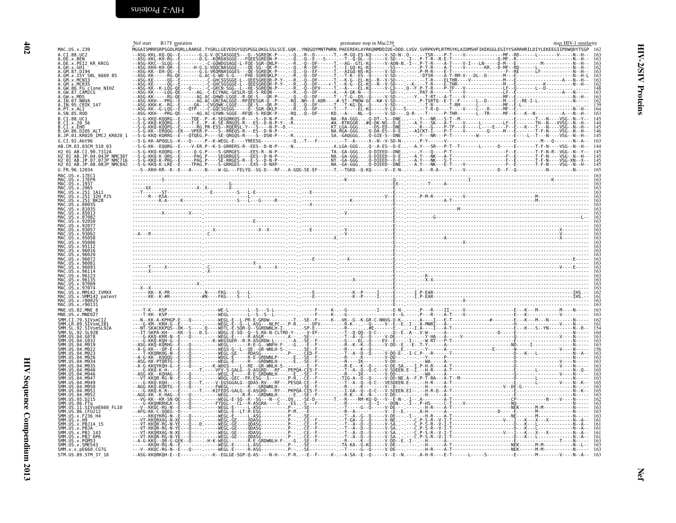<span id="page-29-1"></span><span id="page-29-0"></span>

| MAC.US.x.239                                                                                           | R17Y mutation<br>Nef start<br>premature stop in Mac239<br>max HIV-1 similarity<br>.<br>MGGAISMRRSRPSGDLRQRLLRARGE.TYGRLLGEVEDGYSQSPGGLDKGLSSLSCE.GQKYNQGQYMNTPWRN.PAEEREKLAYRKQNMDDIDE*DDD.LVGV.SVRPKVPLRTMSYKLAIDMSHFIKEKGGLEGIYYSARRHRILDIYLEKEEGIIPDWQDYTSGP |                                                                                  |
|--------------------------------------------------------------------------------------------------------|-----------------------------------------------------------------------------------------------------------------------------------------------------------------------------------------------------------------------------------------------------------------|----------------------------------------------------------------------------------|
| <b>CT 88 HC2</b><br>DE.x.PEI2 KR KRCG<br>GH.x.GH1<br>GM.87.D194<br>.x.ISY SBL_6669 85<br>FG clone NIHZ |                                                                                                                                                                                                                                                                 | $\frac{163}{163}$<br>$\frac{163}{162}$<br>$\frac{162}{148}$<br>$\frac{148}{163}$ |
| GW.x.MDS<br>IN.95.CRIK 147                                                                             |                                                                                                                                                                                                                                                                 |                                                                                  |
| JP.01.KR020 IMCJ KR020 1                                                                               |                                                                                                                                                                                                                                                                 |                                                                                  |
| -AB.JP.04.04JP.NMC307<br>-AB.JP.07.07JP-NMC716<br>-AB.JP.08.08JP-NMC842                                |                                                                                                                                                                                                                                                                 | $\begin{array}{c} 145 \\ 145 \\ 145 \\ 145 \end{array}$                          |
|                                                                                                        |                                                                                                                                                                                                                                                                 |                                                                                  |
|                                                                                                        |                                                                                                                                                                                                                                                                 |                                                                                  |
|                                                                                                        |                                                                                                                                                                                                                                                                 |                                                                                  |
|                                                                                                        |                                                                                                                                                                                                                                                                 |                                                                                  |
|                                                                                                        |                                                                                                                                                                                                                                                                 |                                                                                  |
|                                                                                                        |                                                                                                                                                                                                                                                                 |                                                                                  |
|                                                                                                        |                                                                                                                                                                                                                                                                 |                                                                                  |
|                                                                                                        |                                                                                                                                                                                                                                                                 |                                                                                  |
|                                                                                                        |                                                                                                                                                                                                                                                                 |                                                                                  |
|                                                                                                        |                                                                                                                                                                                                                                                                 |                                                                                  |
|                                                                                                        |                                                                                                                                                                                                                                                                 |                                                                                  |
|                                                                                                        |                                                                                                                                                                                                                                                                 |                                                                                  |
|                                                                                                        |                                                                                                                                                                                                                                                                 |                                                                                  |
|                                                                                                        |                                                                                                                                                                                                                                                                 |                                                                                  |
| SMM.x.x.pE660.CG7G<br>STM.US.89.STM 37 16                                                              | --ASG-KKQRKQH-E--E--------.---K--EGLGE-SGP-Q-AS----N-H---.P-R--E--F-----K-.--A-SA--E--Q-----V--E--N.----. A-H-R----E-T-----L----S----------E----------V-----V----N--A--                                                                                         |                                                                                  |